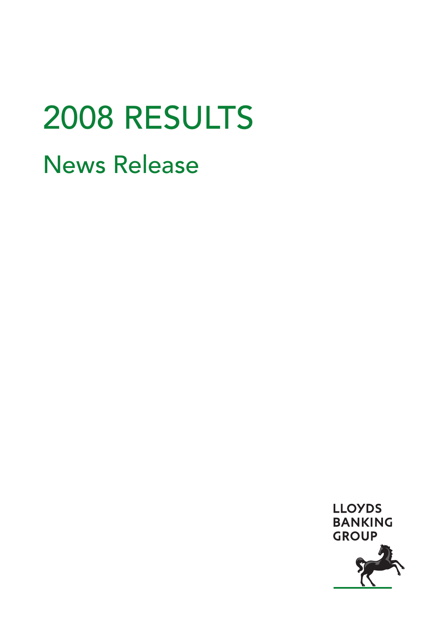# 2008 RESULTS News Release

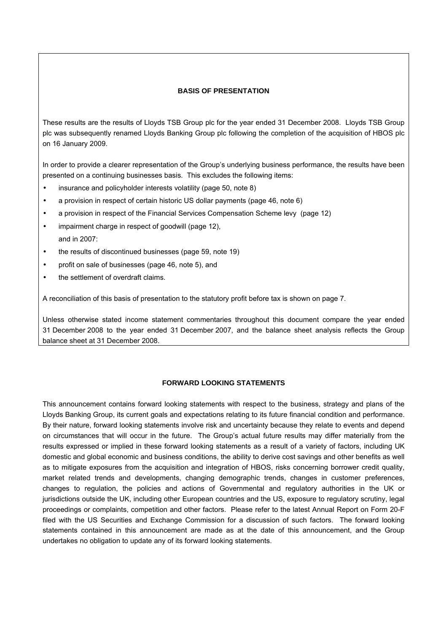#### **BASIS OF PRESENTATION**

These results are the results of Lloyds TSB Group plc for the year ended 31 December 2008. Lloyds TSB Group plc was subsequently renamed Lloyds Banking Group plc following the completion of the acquisition of HBOS plc on 16 January 2009.

In order to provide a clearer representation of the Group's underlying business performance, the results have been presented on a continuing businesses basis. This excludes the following items:

- insurance and policyholder interests volatility (page 50, note 8)
- a provision in respect of certain historic US dollar payments (page 46, note 6)
- a provision in respect of the Financial Services Compensation Scheme levy (page 12)
- impairment charge in respect of goodwill (page 12), and in 2007:
- the results of discontinued businesses (page 59, note 19)
- profit on sale of businesses (page 46, note 5), and
- the settlement of overdraft claims.

A reconciliation of this basis of presentation to the statutory profit before tax is shown on page 7.

Unless otherwise stated income statement commentaries throughout this document compare the year ended 31 December 2008 to the year ended 31 December 2007, and the balance sheet analysis reflects the Group balance sheet at 31 December 2008.

# **FORWARD LOOKING STATEMENTS**

This announcement contains forward looking statements with respect to the business, strategy and plans of the Lloyds Banking Group, its current goals and expectations relating to its future financial condition and performance. By their nature, forward looking statements involve risk and uncertainty because they relate to events and depend on circumstances that will occur in the future. The Group's actual future results may differ materially from the results expressed or implied in these forward looking statements as a result of a variety of factors, including UK domestic and global economic and business conditions, the ability to derive cost savings and other benefits as well as to mitigate exposures from the acquisition and integration of HBOS, risks concerning borrower credit quality, market related trends and developments, changing demographic trends, changes in customer preferences, changes to regulation, the policies and actions of Governmental and regulatory authorities in the UK or jurisdictions outside the UK, including other European countries and the US, exposure to regulatory scrutiny, legal proceedings or complaints, competition and other factors. Please refer to the latest Annual Report on Form 20-F filed with the US Securities and Exchange Commission for a discussion of such factors. The forward looking statements contained in this announcement are made as at the date of this announcement, and the Group undertakes no obligation to update any of its forward looking statements.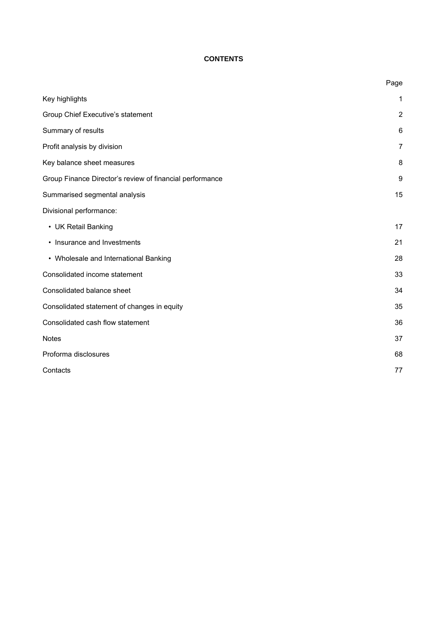# **CONTENTS**

|                                                          | Page           |
|----------------------------------------------------------|----------------|
| Key highlights                                           | 1              |
| Group Chief Executive's statement                        | $\overline{2}$ |
| Summary of results                                       | 6              |
| Profit analysis by division                              | $\overline{7}$ |
| Key balance sheet measures                               | 8              |
| Group Finance Director's review of financial performance | 9              |
| Summarised segmental analysis                            | 15             |
| Divisional performance:                                  |                |
| • UK Retail Banking                                      | 17             |
| • Insurance and Investments                              | 21             |
| • Wholesale and International Banking                    | 28             |
| Consolidated income statement                            | 33             |
| Consolidated balance sheet                               | 34             |
| Consolidated statement of changes in equity              | 35             |
| Consolidated cash flow statement                         | 36             |
| <b>Notes</b>                                             | 37             |
| Proforma disclosures                                     | 68             |
| Contacts                                                 | 77             |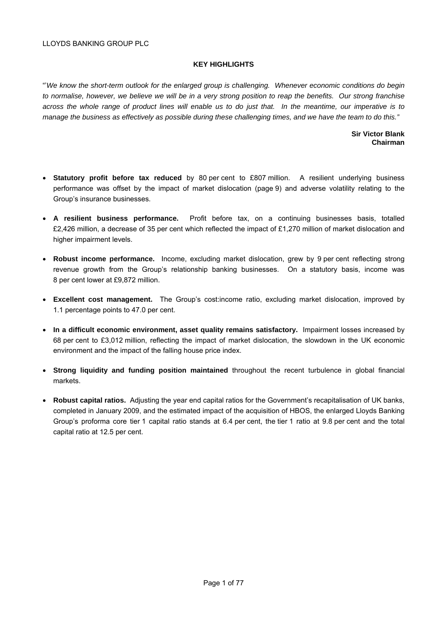#### **KEY HIGHLIGHTS**

"'*We know the short-term outlook for the enlarged group is challenging. Whenever economic conditions do begin to normalise, however, we believe we will be in a very strong position to reap the benefits. Our strong franchise across the whole range of product lines will enable us to do just that. In the meantime, our imperative is to manage the business as effectively as possible during these challenging times, and we have the team to do this."* 

#### **Sir Victor Blank Chairman**

- **Statutory profit before tax reduced** by 80 per cent to £807 million. A resilient underlying business performance was offset by the impact of market dislocation (page 9) and adverse volatility relating to the Group's insurance businesses.
- **A resilient business performance.** Profit before tax, on a continuing businesses basis, totalled £2,426 million, a decrease of 35 per cent which reflected the impact of £1,270 million of market dislocation and higher impairment levels.
- **Robust income performance.** Income, excluding market dislocation, grew by 9 per cent reflecting strong revenue growth from the Group's relationship banking businesses. On a statutory basis, income was 8 per cent lower at £9,872 million.
- **Excellent cost management.** The Group's cost:income ratio, excluding market dislocation, improved by 1.1 percentage points to 47.0 per cent.
- **In a difficult economic environment, asset quality remains satisfactory.** Impairment losses increased by 68 per cent to £3,012 million, reflecting the impact of market dislocation, the slowdown in the UK economic environment and the impact of the falling house price index.
- **Strong liquidity and funding position maintained** throughout the recent turbulence in global financial markets.
- **Robust capital ratios.** Adjusting the year end capital ratios for the Government's recapitalisation of UK banks, completed in January 2009, and the estimated impact of the acquisition of HBOS, the enlarged Lloyds Banking Group's proforma core tier 1 capital ratio stands at 6.4 per cent, the tier 1 ratio at 9.8 per cent and the total capital ratio at 12.5 per cent.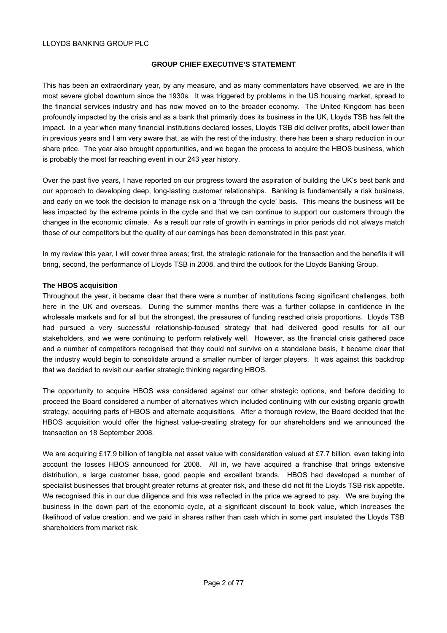#### **GROUP CHIEF EXECUTIVE'S STATEMENT**

This has been an extraordinary year, by any measure, and as many commentators have observed, we are in the most severe global downturn since the 1930s. It was triggered by problems in the US housing market, spread to the financial services industry and has now moved on to the broader economy. The United Kingdom has been profoundly impacted by the crisis and as a bank that primarily does its business in the UK, Lloyds TSB has felt the impact. In a year when many financial institutions declared losses, Lloyds TSB did deliver profits, albeit lower than in previous years and I am very aware that, as with the rest of the industry, there has been a sharp reduction in our share price. The year also brought opportunities, and we began the process to acquire the HBOS business, which is probably the most far reaching event in our 243 year history.

Over the past five years, I have reported on our progress toward the aspiration of building the UK's best bank and our approach to developing deep, long-lasting customer relationships. Banking is fundamentally a risk business, and early on we took the decision to manage risk on a 'through the cycle' basis. This means the business will be less impacted by the extreme points in the cycle and that we can continue to support our customers through the changes in the economic climate. As a result our rate of growth in earnings in prior periods did not always match those of our competitors but the quality of our earnings has been demonstrated in this past year.

In my review this year, I will cover three areas; first, the strategic rationale for the transaction and the benefits it will bring, second, the performance of Lloyds TSB in 2008, and third the outlook for the Lloyds Banking Group.

#### **The HBOS acquisition**

Throughout the year, it became clear that there were a number of institutions facing significant challenges, both here in the UK and overseas. During the summer months there was a further collapse in confidence in the wholesale markets and for all but the strongest, the pressures of funding reached crisis proportions. Lloyds TSB had pursued a very successful relationship-focused strategy that had delivered good results for all our stakeholders, and we were continuing to perform relatively well. However, as the financial crisis gathered pace and a number of competitors recognised that they could not survive on a standalone basis, it became clear that the industry would begin to consolidate around a smaller number of larger players. It was against this backdrop that we decided to revisit our earlier strategic thinking regarding HBOS.

The opportunity to acquire HBOS was considered against our other strategic options, and before deciding to proceed the Board considered a number of alternatives which included continuing with our existing organic growth strategy, acquiring parts of HBOS and alternate acquisitions. After a thorough review, the Board decided that the HBOS acquisition would offer the highest value-creating strategy for our shareholders and we announced the transaction on 18 September 2008.

We are acquiring £17.9 billion of tangible net asset value with consideration valued at £7.7 billion, even taking into account the losses HBOS announced for 2008. All in, we have acquired a franchise that brings extensive distribution, a large customer base, good people and excellent brands. HBOS had developed a number of specialist businesses that brought greater returns at greater risk, and these did not fit the Lloyds TSB risk appetite. We recognised this in our due diligence and this was reflected in the price we agreed to pay. We are buying the business in the down part of the economic cycle, at a significant discount to book value, which increases the likelihood of value creation, and we paid in shares rather than cash which in some part insulated the Lloyds TSB shareholders from market risk.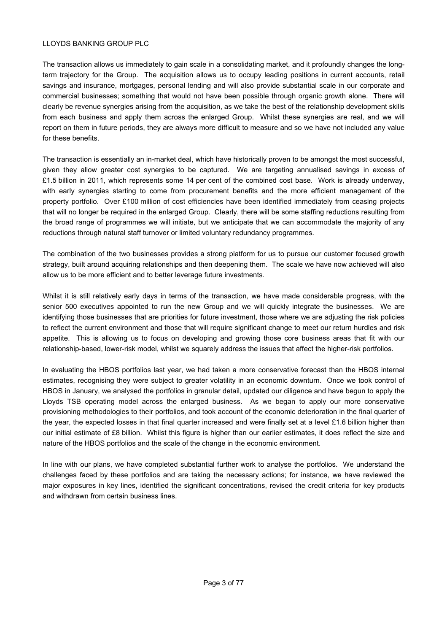The transaction allows us immediately to gain scale in a consolidating market, and it profoundly changes the longterm trajectory for the Group. The acquisition allows us to occupy leading positions in current accounts, retail savings and insurance, mortgages, personal lending and will also provide substantial scale in our corporate and commercial businesses; something that would not have been possible through organic growth alone. There will clearly be revenue synergies arising from the acquisition, as we take the best of the relationship development skills from each business and apply them across the enlarged Group. Whilst these synergies are real, and we will report on them in future periods, they are always more difficult to measure and so we have not included any value for these benefits.

The transaction is essentially an in-market deal, which have historically proven to be amongst the most successful, given they allow greater cost synergies to be captured. We are targeting annualised savings in excess of £1.5 billion in 2011, which represents some 14 per cent of the combined cost base. Work is already underway, with early synergies starting to come from procurement benefits and the more efficient management of the property portfolio. Over £100 million of cost efficiencies have been identified immediately from ceasing projects that will no longer be required in the enlarged Group. Clearly, there will be some staffing reductions resulting from the broad range of programmes we will initiate, but we anticipate that we can accommodate the majority of any reductions through natural staff turnover or limited voluntary redundancy programmes.

The combination of the two businesses provides a strong platform for us to pursue our customer focused growth strategy, built around acquiring relationships and then deepening them. The scale we have now achieved will also allow us to be more efficient and to better leverage future investments.

Whilst it is still relatively early days in terms of the transaction, we have made considerable progress, with the senior 500 executives appointed to run the new Group and we will quickly integrate the businesses. We are identifying those businesses that are priorities for future investment, those where we are adjusting the risk policies to reflect the current environment and those that will require significant change to meet our return hurdles and risk appetite. This is allowing us to focus on developing and growing those core business areas that fit with our relationship-based, lower-risk model, whilst we squarely address the issues that affect the higher-risk portfolios.

In evaluating the HBOS portfolios last year, we had taken a more conservative forecast than the HBOS internal estimates, recognising they were subject to greater volatility in an economic downturn. Once we took control of HBOS in January, we analysed the portfolios in granular detail, updated our diligence and have begun to apply the Lloyds TSB operating model across the enlarged business. As we began to apply our more conservative provisioning methodologies to their portfolios, and took account of the economic deterioration in the final quarter of the year, the expected losses in that final quarter increased and were finally set at a level £1.6 billion higher than our initial estimate of £8 billion. Whilst this figure is higher than our earlier estimates, it does reflect the size and nature of the HBOS portfolios and the scale of the change in the economic environment.

In line with our plans, we have completed substantial further work to analyse the portfolios. We understand the challenges faced by these portfolios and are taking the necessary actions; for instance, we have reviewed the major exposures in key lines, identified the significant concentrations, revised the credit criteria for key products and withdrawn from certain business lines.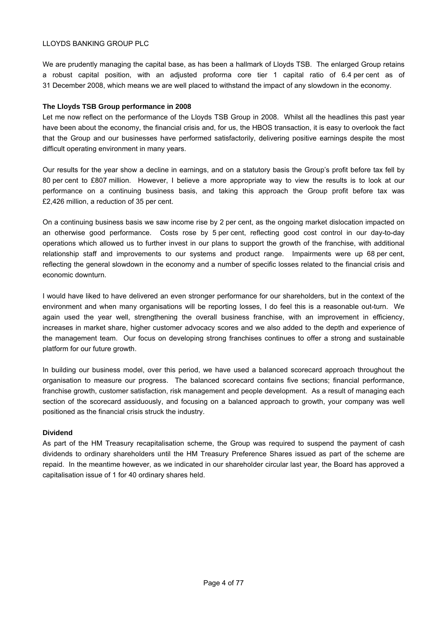We are prudently managing the capital base, as has been a hallmark of Lloyds TSB. The enlarged Group retains a robust capital position, with an adjusted proforma core tier 1 capital ratio of 6.4 per cent as of 31 December 2008, which means we are well placed to withstand the impact of any slowdown in the economy.

#### **The Lloyds TSB Group performance in 2008**

Let me now reflect on the performance of the Lloyds TSB Group in 2008. Whilst all the headlines this past year have been about the economy, the financial crisis and, for us, the HBOS transaction, it is easy to overlook the fact that the Group and our businesses have performed satisfactorily, delivering positive earnings despite the most difficult operating environment in many years.

Our results for the year show a decline in earnings, and on a statutory basis the Group's profit before tax fell by 80 per cent to £807 million. However, I believe a more appropriate way to view the results is to look at our performance on a continuing business basis, and taking this approach the Group profit before tax was £2,426 million, a reduction of 35 per cent.

On a continuing business basis we saw income rise by 2 per cent, as the ongoing market dislocation impacted on an otherwise good performance. Costs rose by 5 per cent, reflecting good cost control in our day-to-day operations which allowed us to further invest in our plans to support the growth of the franchise, with additional relationship staff and improvements to our systems and product range. Impairments were up 68 per cent, reflecting the general slowdown in the economy and a number of specific losses related to the financial crisis and economic downturn.

I would have liked to have delivered an even stronger performance for our shareholders, but in the context of the environment and when many organisations will be reporting losses, I do feel this is a reasonable out-turn. We again used the year well, strengthening the overall business franchise, with an improvement in efficiency, increases in market share, higher customer advocacy scores and we also added to the depth and experience of the management team. Our focus on developing strong franchises continues to offer a strong and sustainable platform for our future growth.

In building our business model, over this period, we have used a balanced scorecard approach throughout the organisation to measure our progress. The balanced scorecard contains five sections; financial performance, franchise growth, customer satisfaction, risk management and people development. As a result of managing each section of the scorecard assiduously, and focusing on a balanced approach to growth, your company was well positioned as the financial crisis struck the industry.

# **Dividend**

As part of the HM Treasury recapitalisation scheme, the Group was required to suspend the payment of cash dividends to ordinary shareholders until the HM Treasury Preference Shares issued as part of the scheme are repaid. In the meantime however, as we indicated in our shareholder circular last year, the Board has approved a capitalisation issue of 1 for 40 ordinary shares held.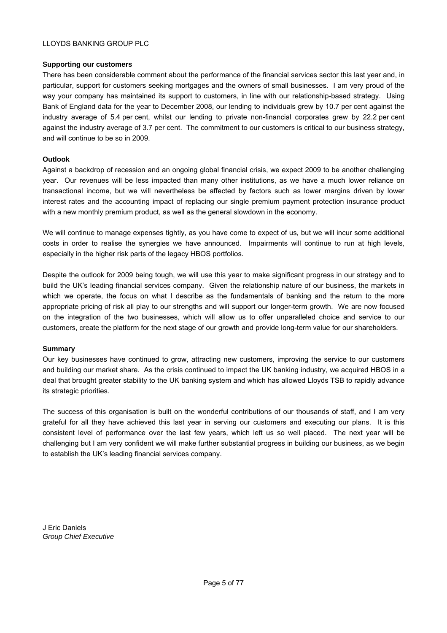## **Supporting our customers**

There has been considerable comment about the performance of the financial services sector this last year and, in particular, support for customers seeking mortgages and the owners of small businesses. I am very proud of the way your company has maintained its support to customers, in line with our relationship-based strategy. Using Bank of England data for the year to December 2008, our lending to individuals grew by 10.7 per cent against the industry average of 5.4 per cent, whilst our lending to private non-financial corporates grew by 22.2 per cent against the industry average of 3.7 per cent. The commitment to our customers is critical to our business strategy, and will continue to be so in 2009.

# **Outlook**

Against a backdrop of recession and an ongoing global financial crisis, we expect 2009 to be another challenging year. Our revenues will be less impacted than many other institutions, as we have a much lower reliance on transactional income, but we will nevertheless be affected by factors such as lower margins driven by lower interest rates and the accounting impact of replacing our single premium payment protection insurance product with a new monthly premium product, as well as the general slowdown in the economy.

We will continue to manage expenses tightly, as you have come to expect of us, but we will incur some additional costs in order to realise the synergies we have announced. Impairments will continue to run at high levels, especially in the higher risk parts of the legacy HBOS portfolios.

Despite the outlook for 2009 being tough, we will use this year to make significant progress in our strategy and to build the UK's leading financial services company. Given the relationship nature of our business, the markets in which we operate, the focus on what I describe as the fundamentals of banking and the return to the more appropriate pricing of risk all play to our strengths and will support our longer-term growth. We are now focused on the integration of the two businesses, which will allow us to offer unparalleled choice and service to our customers, create the platform for the next stage of our growth and provide long-term value for our shareholders.

#### **Summary**

Our key businesses have continued to grow, attracting new customers, improving the service to our customers and building our market share. As the crisis continued to impact the UK banking industry, we acquired HBOS in a deal that brought greater stability to the UK banking system and which has allowed Lloyds TSB to rapidly advance its strategic priorities.

The success of this organisation is built on the wonderful contributions of our thousands of staff, and I am very grateful for all they have achieved this last year in serving our customers and executing our plans. It is this consistent level of performance over the last few years, which left us so well placed. The next year will be challenging but I am very confident we will make further substantial progress in building our business, as we begin to establish the UK's leading financial services company.

J Eric Daniels *Group Chief Executive*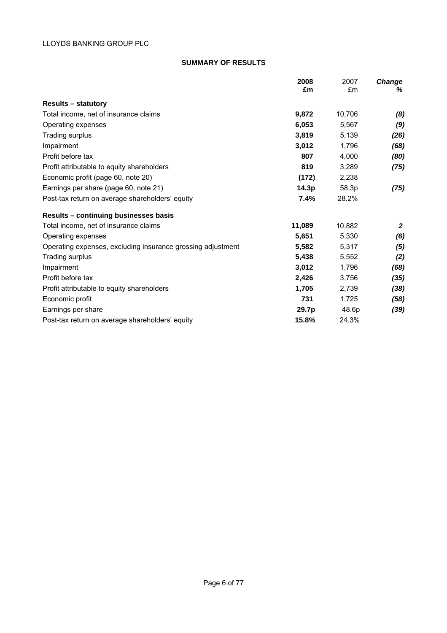# **SUMMARY OF RESULTS**

|                                                             | 2008<br>£m | 2007<br>£m | <b>Change</b><br>℅ |
|-------------------------------------------------------------|------------|------------|--------------------|
|                                                             |            |            |                    |
| <b>Results – statutory</b>                                  |            |            |                    |
| Total income, net of insurance claims                       | 9,872      | 10,706     | (8)                |
| Operating expenses                                          | 6,053      | 5,567      | (9)                |
| Trading surplus                                             | 3,819      | 5,139      | (26)               |
| Impairment                                                  | 3,012      | 1,796      | (68)               |
| Profit before tax                                           | 807        | 4,000      | (80)               |
| Profit attributable to equity shareholders                  | 819        | 3,289      | (75)               |
| Economic profit (page 60, note 20)                          | (172)      | 2,238      |                    |
| Earnings per share (page 60, note 21)                       | 14.3p      | 58.3p      | (75)               |
| Post-tax return on average shareholders' equity             | 7.4%       | 28.2%      |                    |
| Results - continuing businesses basis                       |            |            |                    |
| Total income, net of insurance claims                       | 11,089     | 10,882     | $\mathbf{2}$       |
| Operating expenses                                          | 5,651      | 5,330      | (6)                |
| Operating expenses, excluding insurance grossing adjustment | 5,582      | 5,317      | (5)                |
| Trading surplus                                             | 5.438      | 5,552      | (2)                |
| Impairment                                                  | 3,012      | 1,796      | (68)               |
| Profit before tax                                           | 2,426      | 3,756      | (35)               |
| Profit attributable to equity shareholders                  | 1,705      | 2,739      | (38)               |
| Economic profit                                             | 731        | 1,725      | (58)               |
| Earnings per share                                          | 29.7p      | 48.6p      | (39)               |
| Post-tax return on average shareholders' equity             | 15.8%      | 24.3%      |                    |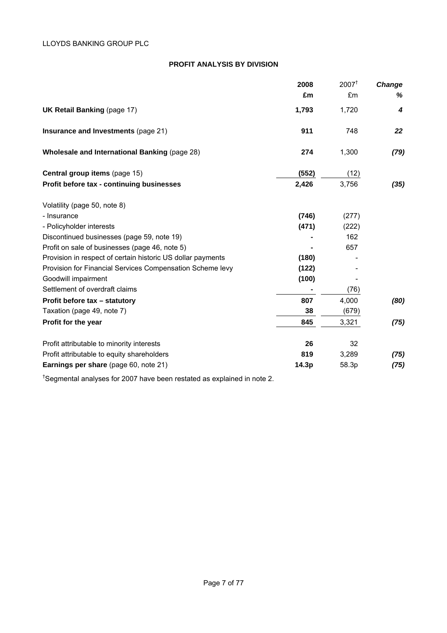# **PROFIT ANALYSIS BY DIVISION**

|                                                             | 2008  | $2007^{\dagger}$ | <b>Change</b> |
|-------------------------------------------------------------|-------|------------------|---------------|
|                                                             | £m    | £m               | ℅             |
| <b>UK Retail Banking (page 17)</b>                          | 1,793 | 1,720            | 4             |
| Insurance and Investments (page 21)                         | 911   | 748              | 22            |
| Wholesale and International Banking (page 28)               | 274   | 1,300            | (79)          |
| Central group items (page 15)                               | (552) | (12)             |               |
| Profit before tax - continuing businesses                   | 2,426 | 3,756            | (35)          |
| Volatility (page 50, note 8)                                |       |                  |               |
| - Insurance                                                 | (746) | (277)            |               |
| - Policyholder interests                                    | (471) | (222)            |               |
| Discontinued businesses (page 59, note 19)                  |       | 162              |               |
| Profit on sale of businesses (page 46, note 5)              |       | 657              |               |
| Provision in respect of certain historic US dollar payments | (180) |                  |               |
| Provision for Financial Services Compensation Scheme levy   | (122) |                  |               |
| Goodwill impairment                                         | (100) |                  |               |
| Settlement of overdraft claims                              |       | (76)             |               |
| Profit before tax - statutory                               | 807   | 4,000            | (80)          |
| Taxation (page 49, note 7)                                  | 38    | (679)            |               |
| Profit for the year                                         | 845   | 3,321            | (75)          |
| Profit attributable to minority interests                   | 26    | 32               |               |
| Profit attributable to equity shareholders                  | 819   | 3,289            | (75)          |
| Earnings per share (page 60, note 21)                       | 14.3p | 58.3p            | (75)          |

† Segmental analyses for 2007 have been restated as explained in note 2.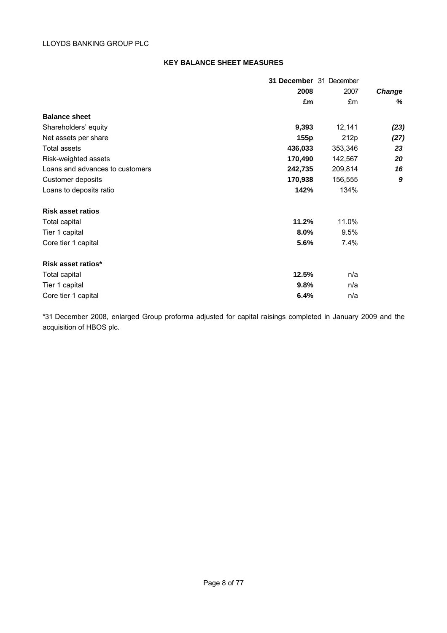# **KEY BALANCE SHEET MEASURES**

|                                 | 31 December 31 December |         |               |
|---------------------------------|-------------------------|---------|---------------|
|                                 | 2008                    | 2007    | <b>Change</b> |
|                                 | £m                      | £m      | %             |
| <b>Balance sheet</b>            |                         |         |               |
| Shareholders' equity            | 9,393                   | 12,141  | (23)          |
| Net assets per share            | 155p                    | 212p    | (27)          |
| Total assets                    | 436,033                 | 353,346 | 23            |
| Risk-weighted assets            | 170,490                 | 142,567 | 20            |
| Loans and advances to customers | 242,735                 | 209,814 | 16            |
| Customer deposits               | 170,938                 | 156,555 | 9             |
| Loans to deposits ratio         | 142%                    | 134%    |               |
| <b>Risk asset ratios</b>        |                         |         |               |
| Total capital                   | 11.2%                   | 11.0%   |               |
| Tier 1 capital                  | 8.0%                    | 9.5%    |               |
| Core tier 1 capital             | 5.6%                    | 7.4%    |               |
| Risk asset ratios*              |                         |         |               |
| Total capital                   | 12.5%                   | n/a     |               |
| Tier 1 capital                  | 9.8%                    | n/a     |               |
| Core tier 1 capital             | 6.4%                    | n/a     |               |

\*31 December 2008, enlarged Group proforma adjusted for capital raisings completed in January 2009 and the acquisition of HBOS plc.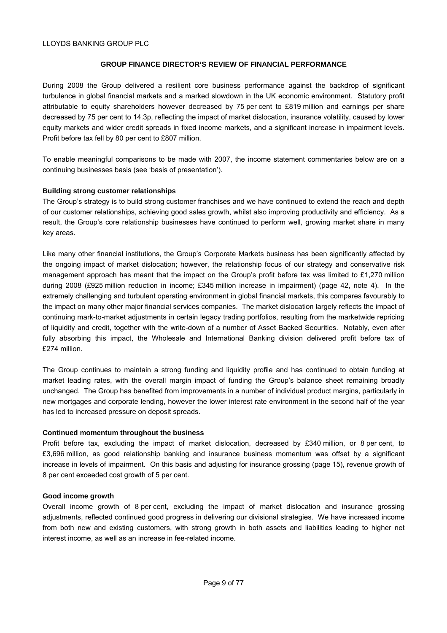# **GROUP FINANCE DIRECTOR'S REVIEW OF FINANCIAL PERFORMANCE**

During 2008 the Group delivered a resilient core business performance against the backdrop of significant turbulence in global financial markets and a marked slowdown in the UK economic environment. Statutory profit attributable to equity shareholders however decreased by 75 per cent to £819 million and earnings per share decreased by 75 per cent to 14.3p, reflecting the impact of market dislocation, insurance volatility, caused by lower equity markets and wider credit spreads in fixed income markets, and a significant increase in impairment levels. Profit before tax fell by 80 per cent to £807 million.

To enable meaningful comparisons to be made with 2007, the income statement commentaries below are on a continuing businesses basis (see 'basis of presentation').

## **Building strong customer relationships**

The Group's strategy is to build strong customer franchises and we have continued to extend the reach and depth of our customer relationships, achieving good sales growth, whilst also improving productivity and efficiency. As a result, the Group's core relationship businesses have continued to perform well, growing market share in many key areas.

Like many other financial institutions, the Group's Corporate Markets business has been significantly affected by the ongoing impact of market dislocation; however, the relationship focus of our strategy and conservative risk management approach has meant that the impact on the Group's profit before tax was limited to £1,270 million during 2008 (£925 million reduction in income; £345 million increase in impairment) (page 42, note 4). In the extremely challenging and turbulent operating environment in global financial markets, this compares favourably to the impact on many other major financial services companies. The market dislocation largely reflects the impact of continuing mark-to-market adjustments in certain legacy trading portfolios, resulting from the marketwide repricing of liquidity and credit, together with the write-down of a number of Asset Backed Securities. Notably, even after fully absorbing this impact, the Wholesale and International Banking division delivered profit before tax of £274 million.

The Group continues to maintain a strong funding and liquidity profile and has continued to obtain funding at market leading rates, with the overall margin impact of funding the Group's balance sheet remaining broadly unchanged. The Group has benefited from improvements in a number of individual product margins, particularly in new mortgages and corporate lending, however the lower interest rate environment in the second half of the year has led to increased pressure on deposit spreads.

#### **Continued momentum throughout the business**

Profit before tax, excluding the impact of market dislocation, decreased by £340 million, or 8 per cent, to £3,696 million, as good relationship banking and insurance business momentum was offset by a significant increase in levels of impairment. On this basis and adjusting for insurance grossing (page 15), revenue growth of 8 per cent exceeded cost growth of 5 per cent.

#### **Good income growth**

Overall income growth of 8 per cent, excluding the impact of market dislocation and insurance grossing adjustments, reflected continued good progress in delivering our divisional strategies. We have increased income from both new and existing customers, with strong growth in both assets and liabilities leading to higher net interest income, as well as an increase in fee-related income.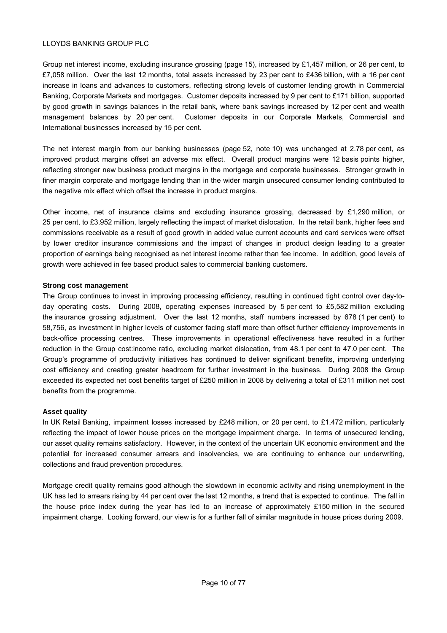Group net interest income, excluding insurance grossing (page 15), increased by £1,457 million, or 26 per cent, to £7,058 million. Over the last 12 months, total assets increased by 23 per cent to £436 billion, with a 16 per cent increase in loans and advances to customers, reflecting strong levels of customer lending growth in Commercial Banking, Corporate Markets and mortgages. Customer deposits increased by 9 per cent to £171 billion, supported by good growth in savings balances in the retail bank, where bank savings increased by 12 per cent and wealth management balances by 20 per cent. Customer deposits in our Corporate Markets, Commercial and International businesses increased by 15 per cent.

The net interest margin from our banking businesses (page 52, note 10) was unchanged at 2.78 per cent, as improved product margins offset an adverse mix effect. Overall product margins were 12 basis points higher, reflecting stronger new business product margins in the mortgage and corporate businesses. Stronger growth in finer margin corporate and mortgage lending than in the wider margin unsecured consumer lending contributed to the negative mix effect which offset the increase in product margins.

Other income, net of insurance claims and excluding insurance grossing, decreased by £1,290 million, or 25 per cent, to £3,952 million, largely reflecting the impact of market dislocation. In the retail bank, higher fees and commissions receivable as a result of good growth in added value current accounts and card services were offset by lower creditor insurance commissions and the impact of changes in product design leading to a greater proportion of earnings being recognised as net interest income rather than fee income. In addition, good levels of growth were achieved in fee based product sales to commercial banking customers.

## **Strong cost management**

The Group continues to invest in improving processing efficiency, resulting in continued tight control over day-today operating costs. During 2008, operating expenses increased by 5 per cent to £5,582 million excluding the insurance grossing adjustment. Over the last 12 months, staff numbers increased by 678 (1 per cent) to 58,756, as investment in higher levels of customer facing staff more than offset further efficiency improvements in back-office processing centres. These improvements in operational effectiveness have resulted in a further reduction in the Group cost:income ratio, excluding market dislocation, from 48.1 per cent to 47.0 per cent. The Group's programme of productivity initiatives has continued to deliver significant benefits, improving underlying cost efficiency and creating greater headroom for further investment in the business. During 2008 the Group exceeded its expected net cost benefits target of £250 million in 2008 by delivering a total of £311 million net cost benefits from the programme.

# **Asset quality**

In UK Retail Banking, impairment losses increased by £248 million, or 20 per cent, to £1,472 million, particularly reflecting the impact of lower house prices on the mortgage impairment charge. In terms of unsecured lending, our asset quality remains satisfactory. However, in the context of the uncertain UK economic environment and the potential for increased consumer arrears and insolvencies, we are continuing to enhance our underwriting, collections and fraud prevention procedures.

Mortgage credit quality remains good although the slowdown in economic activity and rising unemployment in the UK has led to arrears rising by 44 per cent over the last 12 months, a trend that is expected to continue. The fall in the house price index during the year has led to an increase of approximately £150 million in the secured impairment charge. Looking forward, our view is for a further fall of similar magnitude in house prices during 2009.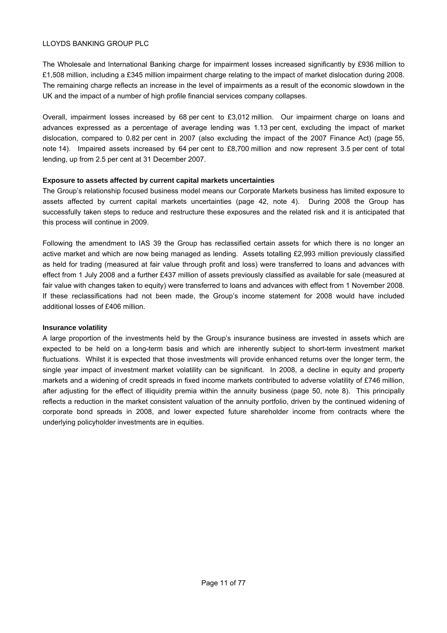The Wholesale and International Banking charge for impairment losses increased significantly by £936 million to £1,508 million, including a £345 million impairment charge relating to the impact of market dislocation during 2008. The remaining charge reflects an increase in the level of impairments as a result of the economic slowdown in the UK and the impact of a number of high profile financial services company collapses.

Overall, impairment losses increased by 68 per cent to £3,012 million. Our impairment charge on loans and advances expressed as a percentage of average lending was 1.13 per cent, excluding the impact of market dislocation, compared to 0.82 per cent in 2007 (also excluding the impact of the 2007 Finance Act) (page 55, note 14). Impaired assets increased by 64 per cent to £8,700 million and now represent 3.5 per cent of total lending, up from 2.5 per cent at 31 December 2007.

## **Exposure to assets affected by current capital markets uncertainties**

The Group's relationship focused business model means our Corporate Markets business has limited exposure to assets affected by current capital markets uncertainties (page 42, note 4). During 2008 the Group has successfully taken steps to reduce and restructure these exposures and the related risk and it is anticipated that this process will continue in 2009.

Following the amendment to IAS 39 the Group has reclassified certain assets for which there is no longer an active market and which are now being managed as lending. Assets totalling £2,993 million previously classified as held for trading (measured at fair value through profit and loss) were transferred to loans and advances with effect from 1 July 2008 and a further £437 million of assets previously classified as available for sale (measured at fair value with changes taken to equity) were transferred to loans and advances with effect from 1 November 2008. If these reclassifications had not been made, the Group's income statement for 2008 would have included additional losses of £406 million.

# **Insurance volatility**

A large proportion of the investments held by the Group's insurance business are invested in assets which are expected to be held on a long-term basis and which are inherently subject to short-term investment market fluctuations. Whilst it is expected that those investments will provide enhanced returns over the longer term, the single year impact of investment market volatility can be significant. In 2008, a decline in equity and property markets and a widening of credit spreads in fixed income markets contributed to adverse volatility of £746 million, after adjusting for the effect of illiquidity premia within the annuity business (page 50, note 8). This principally reflects a reduction in the market consistent valuation of the annuity portfolio, driven by the continued widening of corporate bond spreads in 2008, and lower expected future shareholder income from contracts where the underlying policyholder investments are in equities.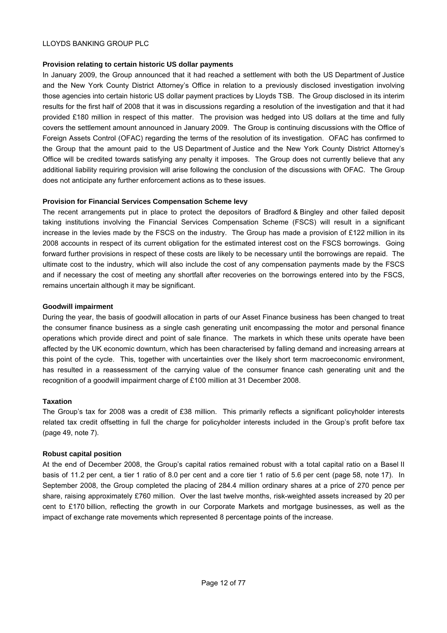#### **Provision relating to certain historic US dollar payments**

In January 2009, the Group announced that it had reached a settlement with both the US Department of Justice and the New York County District Attorney's Office in relation to a previously disclosed investigation involving those agencies into certain historic US dollar payment practices by Lloyds TSB. The Group disclosed in its interim results for the first half of 2008 that it was in discussions regarding a resolution of the investigation and that it had provided £180 million in respect of this matter. The provision was hedged into US dollars at the time and fully covers the settlement amount announced in January 2009. The Group is continuing discussions with the Office of Foreign Assets Control (OFAC) regarding the terms of the resolution of its investigation. OFAC has confirmed to the Group that the amount paid to the US Department of Justice and the New York County District Attorney's Office will be credited towards satisfying any penalty it imposes. The Group does not currently believe that any additional liability requiring provision will arise following the conclusion of the discussions with OFAC. The Group does not anticipate any further enforcement actions as to these issues.

## **Provision for Financial Services Compensation Scheme levy**

The recent arrangements put in place to protect the depositors of Bradford & Bingley and other failed deposit taking institutions involving the Financial Services Compensation Scheme (FSCS) will result in a significant increase in the levies made by the FSCS on the industry. The Group has made a provision of £122 million in its 2008 accounts in respect of its current obligation for the estimated interest cost on the FSCS borrowings. Going forward further provisions in respect of these costs are likely to be necessary until the borrowings are repaid. The ultimate cost to the industry, which will also include the cost of any compensation payments made by the FSCS and if necessary the cost of meeting any shortfall after recoveries on the borrowings entered into by the FSCS, remains uncertain although it may be significant.

#### **Goodwill impairment**

During the year, the basis of goodwill allocation in parts of our Asset Finance business has been changed to treat the consumer finance business as a single cash generating unit encompassing the motor and personal finance operations which provide direct and point of sale finance. The markets in which these units operate have been affected by the UK economic downturn, which has been characterised by falling demand and increasing arrears at this point of the cycle. This, together with uncertainties over the likely short term macroeconomic environment, has resulted in a reassessment of the carrying value of the consumer finance cash generating unit and the recognition of a goodwill impairment charge of £100 million at 31 December 2008.

#### **Taxation**

The Group's tax for 2008 was a credit of £38 million. This primarily reflects a significant policyholder interests related tax credit offsetting in full the charge for policyholder interests included in the Group's profit before tax (page 49, note 7).

# **Robust capital position**

At the end of December 2008, the Group's capital ratios remained robust with a total capital ratio on a Basel II basis of 11.2 per cent, a tier 1 ratio of 8.0 per cent and a core tier 1 ratio of 5.6 per cent (page 58, note 17). In September 2008, the Group completed the placing of 284.4 million ordinary shares at a price of 270 pence per share, raising approximately £760 million. Over the last twelve months, risk-weighted assets increased by 20 per cent to £170 billion, reflecting the growth in our Corporate Markets and mortgage businesses, as well as the impact of exchange rate movements which represented 8 percentage points of the increase.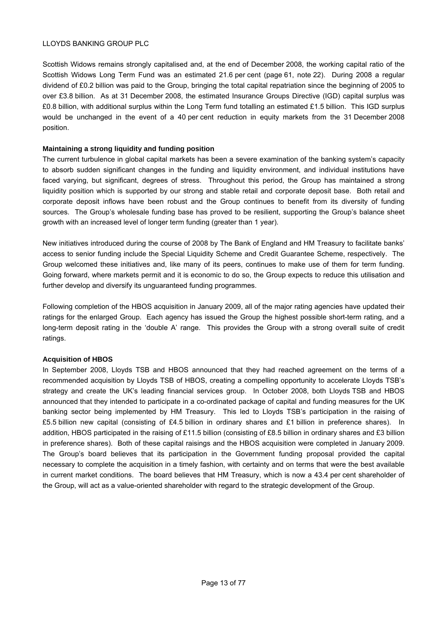Scottish Widows remains strongly capitalised and, at the end of December 2008, the working capital ratio of the Scottish Widows Long Term Fund was an estimated 21.6 per cent (page 61, note 22). During 2008 a regular dividend of £0.2 billion was paid to the Group, bringing the total capital repatriation since the beginning of 2005 to over £3.8 billion. As at 31 December 2008, the estimated Insurance Groups Directive (IGD) capital surplus was £0.8 billion, with additional surplus within the Long Term fund totalling an estimated £1.5 billion. This IGD surplus would be unchanged in the event of a 40 per cent reduction in equity markets from the 31 December 2008 position.

# **Maintaining a strong liquidity and funding position**

The current turbulence in global capital markets has been a severe examination of the banking system's capacity to absorb sudden significant changes in the funding and liquidity environment, and individual institutions have faced varying, but significant, degrees of stress. Throughout this period, the Group has maintained a strong liquidity position which is supported by our strong and stable retail and corporate deposit base. Both retail and corporate deposit inflows have been robust and the Group continues to benefit from its diversity of funding sources. The Group's wholesale funding base has proved to be resilient, supporting the Group's balance sheet growth with an increased level of longer term funding (greater than 1 year).

New initiatives introduced during the course of 2008 by The Bank of England and HM Treasury to facilitate banks' access to senior funding include the Special Liquidity Scheme and Credit Guarantee Scheme, respectively. The Group welcomed these initiatives and, like many of its peers, continues to make use of them for term funding. Going forward, where markets permit and it is economic to do so, the Group expects to reduce this utilisation and further develop and diversify its unguaranteed funding programmes.

Following completion of the HBOS acquisition in January 2009, all of the major rating agencies have updated their ratings for the enlarged Group. Each agency has issued the Group the highest possible short-term rating, and a long-term deposit rating in the 'double A' range. This provides the Group with a strong overall suite of credit ratings.

# **Acquisition of HBOS**

In September 2008, Lloyds TSB and HBOS announced that they had reached agreement on the terms of a recommended acquisition by Lloyds TSB of HBOS, creating a compelling opportunity to accelerate Lloyds TSB's strategy and create the UK's leading financial services group. In October 2008, both Lloyds TSB and HBOS announced that they intended to participate in a co-ordinated package of capital and funding measures for the UK banking sector being implemented by HM Treasury. This led to Lloyds TSB's participation in the raising of £5.5 billion new capital (consisting of £4.5 billion in ordinary shares and £1 billion in preference shares). In addition, HBOS participated in the raising of £11.5 billion (consisting of £8.5 billion in ordinary shares and £3 billion in preference shares). Both of these capital raisings and the HBOS acquisition were completed in January 2009. The Group's board believes that its participation in the Government funding proposal provided the capital necessary to complete the acquisition in a timely fashion, with certainty and on terms that were the best available in current market conditions. The board believes that HM Treasury, which is now a 43.4 per cent shareholder of the Group, will act as a value-oriented shareholder with regard to the strategic development of the Group.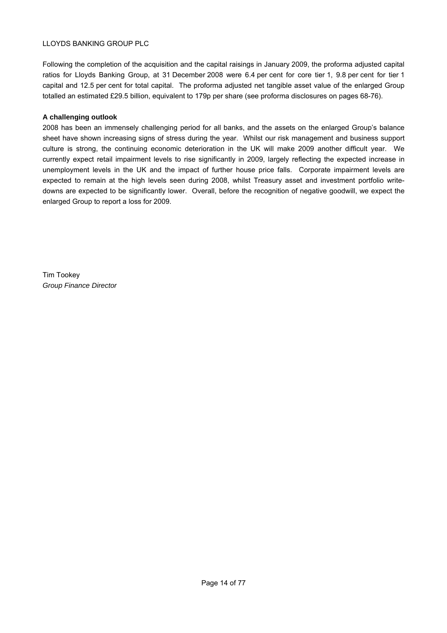Following the completion of the acquisition and the capital raisings in January 2009, the proforma adjusted capital ratios for Lloyds Banking Group, at 31 December 2008 were 6.4 per cent for core tier 1, 9.8 per cent for tier 1 capital and 12.5 per cent for total capital. The proforma adjusted net tangible asset value of the enlarged Group totalled an estimated £29.5 billion, equivalent to 179p per share (see proforma disclosures on pages 68-76).

# **A challenging outlook**

2008 has been an immensely challenging period for all banks, and the assets on the enlarged Group's balance sheet have shown increasing signs of stress during the year. Whilst our risk management and business support culture is strong, the continuing economic deterioration in the UK will make 2009 another difficult year. We currently expect retail impairment levels to rise significantly in 2009, largely reflecting the expected increase in unemployment levels in the UK and the impact of further house price falls. Corporate impairment levels are expected to remain at the high levels seen during 2008, whilst Treasury asset and investment portfolio writedowns are expected to be significantly lower. Overall, before the recognition of negative goodwill, we expect the enlarged Group to report a loss for 2009.

Tim Tookey *Group Finance Director*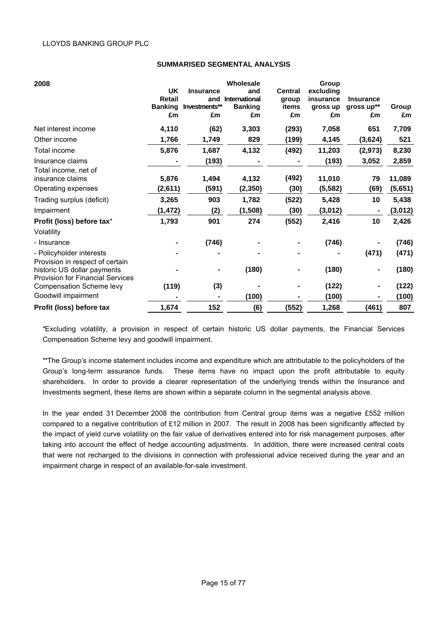#### **SUMMARISED SEGMENTAL ANALYSIS**

| 2008                                    |                                 |                      | Wholesale                              |                | Group                 |                                |         |
|-----------------------------------------|---------------------------------|----------------------|----------------------------------------|----------------|-----------------------|--------------------------------|---------|
|                                         | <b>UK</b>                       | <b>Insurance</b>     | and                                    | <b>Central</b> | excluding             |                                |         |
|                                         | <b>Retail</b><br><b>Banking</b> | and<br>Investments** | <b>International</b><br><b>Banking</b> | group<br>items | insurance<br>gross up | <b>Insurance</b><br>gross up** | Group   |
|                                         | £m                              | £m                   | £m                                     | £m             | £m                    | £m                             | £m      |
| Net interest income                     | 4,110                           |                      | 3,303                                  |                | 7,058                 | 651                            | 7,709   |
|                                         |                                 | (62)                 |                                        | (293)          |                       |                                |         |
| Other income                            | 1,766                           | 1,749                | 829                                    | (199)          | 4,145                 | (3,624)                        | 521     |
| Total income                            | 5,876                           | 1,687                | 4,132                                  | (492)          | 11,203                | (2, 973)                       | 8,230   |
| Insurance claims                        |                                 | (193)                |                                        |                | (193)                 | 3,052                          | 2,859   |
| Total income, net of                    |                                 |                      |                                        |                |                       |                                |         |
| insurance claims                        | 5,876                           | 1,494                | 4,132                                  | (492)          | 11,010                | 79                             | 11,089  |
| Operating expenses                      | (2,611)                         | (591)                | (2, 350)                               | (30)           | (5, 582)              | (69)                           | (5,651) |
| Trading surplus (deficit)               | 3,265                           | 903                  | 1,782                                  | (522)          | 5,428                 | 10                             | 5,438   |
| Impairment                              | (1,472)                         | (2)                  | (1,508)                                | (30)           | (3,012)               |                                | (3,012) |
| Profit (loss) before tax*               | 1,793                           | 901                  | 274                                    | (552)          | 2,416                 | 10                             | 2,426   |
| Volatility                              |                                 |                      |                                        |                |                       |                                |         |
| - Insurance                             |                                 | (746)                |                                        |                | (746)                 |                                | (746)   |
| - Policyholder interests                |                                 |                      |                                        |                |                       | (471)                          | (471)   |
| Provision in respect of certain         |                                 |                      |                                        |                |                       |                                |         |
| historic US dollar payments             |                                 | ۰                    | (180)                                  |                | (180)                 |                                | (180)   |
| <b>Provision for Financial Services</b> |                                 |                      |                                        |                |                       |                                |         |
| <b>Compensation Scheme levy</b>         | (119)                           | (3)                  |                                        |                | (122)                 |                                | (122)   |
| Goodwill impairment                     |                                 |                      | (100)                                  |                | (100)                 |                                | (100)   |
| Profit (loss) before tax                | 1,674                           | 152                  | (6)                                    | (552)          | 1,268                 | (461)                          | 807     |

\*Excluding volatility, a provision in respect of certain historic US dollar payments, the Financial Services Compensation Scheme levy and goodwill impairment.

\*\*The Group's income statement includes income and expenditure which are attributable to the policyholders of the Group's long-term assurance funds. These items have no impact upon the profit attributable to equity shareholders. In order to provide a clearer representation of the underlying trends within the Insurance and Investments segment, these items are shown within a separate column in the segmental analysis above.

In the year ended 31 December 2008 the contribution from Central group items was a negative £552 million compared to a negative contribution of £12 million in 2007. The result in 2008 has been significantly affected by the impact of yield curve volatility on the fair value of derivatives entered into for risk management purposes, after taking into account the effect of hedge accounting adjustments. In addition, there were increased central costs that were not recharged to the divisions in connection with professional advice received during the year and an impairment charge in respect of an available-for-sale investment.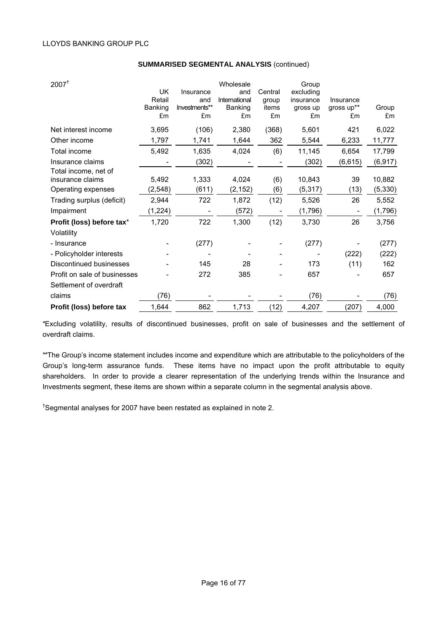| 2007 <sup>†</sup>                        | UK<br>Retail<br>Banking<br>£m | Insurance<br>and<br>Investments**<br>£m | Wholesale<br>and<br>International<br>Banking<br>£m | Central<br>group<br>items<br>£m | Group<br>excluding<br>insurance<br>gross up<br>£m | Insurance<br>gross up**<br>£m | Group<br>£m |
|------------------------------------------|-------------------------------|-----------------------------------------|----------------------------------------------------|---------------------------------|---------------------------------------------------|-------------------------------|-------------|
| Net interest income                      | 3,695                         | (106)                                   | 2,380                                              | (368)                           | 5,601                                             | 421                           | 6,022       |
| Other income                             | 1,797                         | 1,741                                   | 1,644                                              | 362                             | 5,544                                             | 6,233                         | 11,777      |
| Total income                             | 5,492                         | 1,635                                   | 4,024                                              | (6)                             | 11,145                                            | 6,654                         | 17,799      |
| Insurance claims                         |                               | (302)                                   |                                                    |                                 | (302)                                             | (6, 615)                      | (6, 917)    |
| Total income, net of<br>insurance claims | 5,492                         | 1,333                                   | 4,024                                              | (6)                             | 10,843                                            | 39                            | 10,882      |
| Operating expenses                       | (2, 548)                      | (611)                                   | (2, 152)                                           | (6)                             | (5,317)                                           | (13)                          | (5, 330)    |
| Trading surplus (deficit)                | 2,944                         | 722                                     | 1,872                                              | (12)                            | 5,526                                             | 26                            | 5,552       |
| Impairment                               | (1, 224)                      |                                         | (572)                                              |                                 | (1,796)                                           |                               | (1,796)     |
| Profit (loss) before tax*                | 1,720                         | 722                                     | 1,300                                              | (12)                            | 3,730                                             | 26                            | 3,756       |
| Volatility                               |                               |                                         |                                                    |                                 |                                                   |                               |             |
| - Insurance                              |                               | (277)                                   |                                                    |                                 | (277)                                             |                               | (277)       |
| - Policyholder interests                 |                               |                                         |                                                    |                                 |                                                   | (222)                         | (222)       |
| Discontinued businesses                  |                               | 145                                     | 28                                                 |                                 | 173                                               | (11)                          | 162         |
| Profit on sale of businesses             |                               | 272                                     | 385                                                |                                 | 657                                               |                               | 657         |
| Settlement of overdraft                  |                               |                                         |                                                    |                                 |                                                   |                               |             |
| claims                                   | (76)                          |                                         |                                                    |                                 | (76)                                              |                               | (76)        |
| Profit (loss) before tax                 | 1,644                         | 862                                     | 1,713                                              | (12)                            | 4,207                                             | (207)                         | 4,000       |

#### **SUMMARISED SEGMENTAL ANALYSIS** (continued)

\*Excluding volatility, results of discontinued businesses, profit on sale of businesses and the settlement of overdraft claims.

\*\*The Group's income statement includes income and expenditure which are attributable to the policyholders of the Group's long-term assurance funds. These items have no impact upon the profit attributable to equity shareholders. In order to provide a clearer representation of the underlying trends within the Insurance and Investments segment, these items are shown within a separate column in the segmental analysis above.

† Segmental analyses for 2007 have been restated as explained in note 2.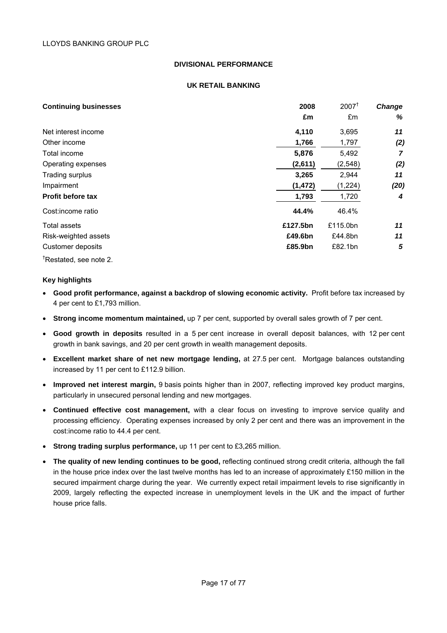## **DIVISIONAL PERFORMANCE**

#### **UK RETAIL BANKING**

| <b>Continuing businesses</b>       | 2008     | $2007^{\dagger}$ | Change |
|------------------------------------|----------|------------------|--------|
|                                    | £m       | £m               | %      |
| Net interest income                | 4,110    | 3,695            | 11     |
| Other income                       | 1,766    | 1,797            | (2)    |
| Total income                       | 5,876    | 5,492            | 7      |
| Operating expenses                 | (2,611)  | (2, 548)         | (2)    |
| Trading surplus                    | 3,265    | 2,944            | 11     |
| Impairment                         | (1, 472) | (1,224)          | (20)   |
| Profit before tax                  | 1,793    | 1,720            | 4      |
| Cost: income ratio                 | 44.4%    | 46.4%            |        |
| Total assets                       | £127.5bn | £115.0bn         | 11     |
| Risk-weighted assets               | £49.6bn  | £44.8bn          | 11     |
| Customer deposits                  | £85.9bn  | £82.1bn          | 5      |
| <sup>†</sup> Restated, see note 2. |          |                  |        |

# **Key highlights**

- **Good profit performance, against a backdrop of slowing economic activity.** Profit before tax increased by 4 per cent to £1,793 million.
- **Strong income momentum maintained,** up 7 per cent, supported by overall sales growth of 7 per cent.
- **Good growth in deposits** resulted in a 5 per cent increase in overall deposit balances, with 12 per cent growth in bank savings, and 20 per cent growth in wealth management deposits.
- **Excellent market share of net new mortgage lending,** at 27.5 per cent. Mortgage balances outstanding increased by 11 per cent to £112.9 billion.
- **Improved net interest margin,** 9 basis points higher than in 2007, reflecting improved key product margins, particularly in unsecured personal lending and new mortgages.
- **Continued effective cost management,** with a clear focus on investing to improve service quality and processing efficiency. Operating expenses increased by only 2 per cent and there was an improvement in the cost:income ratio to 44.4 per cent.
- **Strong trading surplus performance,** up 11 per cent to £3,265 million.
- **The quality of new lending continues to be good,** reflecting continued strong credit criteria, although the fall in the house price index over the last twelve months has led to an increase of approximately £150 million in the secured impairment charge during the year. We currently expect retail impairment levels to rise significantly in 2009, largely reflecting the expected increase in unemployment levels in the UK and the impact of further house price falls.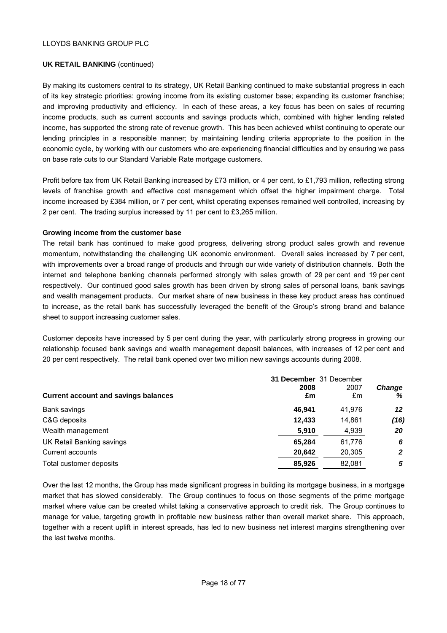#### **UK RETAIL BANKING** (continued)

By making its customers central to its strategy, UK Retail Banking continued to make substantial progress in each of its key strategic priorities: growing income from its existing customer base; expanding its customer franchise; and improving productivity and efficiency. In each of these areas, a key focus has been on sales of recurring income products, such as current accounts and savings products which, combined with higher lending related income, has supported the strong rate of revenue growth. This has been achieved whilst continuing to operate our lending principles in a responsible manner; by maintaining lending criteria appropriate to the position in the economic cycle, by working with our customers who are experiencing financial difficulties and by ensuring we pass on base rate cuts to our Standard Variable Rate mortgage customers.

Profit before tax from UK Retail Banking increased by £73 million, or 4 per cent, to £1,793 million, reflecting strong levels of franchise growth and effective cost management which offset the higher impairment charge. Total income increased by £384 million, or 7 per cent, whilst operating expenses remained well controlled, increasing by 2 per cent. The trading surplus increased by 11 per cent to £3,265 million.

#### **Growing income from the customer base**

The retail bank has continued to make good progress, delivering strong product sales growth and revenue momentum, notwithstanding the challenging UK economic environment. Overall sales increased by 7 per cent, with improvements over a broad range of products and through our wide variety of distribution channels. Both the internet and telephone banking channels performed strongly with sales growth of 29 per cent and 19 per cent respectively. Our continued good sales growth has been driven by strong sales of personal loans, bank savings and wealth management products. Our market share of new business in these key product areas has continued to increase, as the retail bank has successfully leveraged the benefit of the Group's strong brand and balance sheet to support increasing customer sales.

Customer deposits have increased by 5 per cent during the year, with particularly strong progress in growing our relationship focused bank savings and wealth management deposit balances, with increases of 12 per cent and 20 per cent respectively. The retail bank opened over two million new savings accounts during 2008.

|                                             | 2008   | 31 December 31 December<br>2007 | <b>Change</b> |
|---------------------------------------------|--------|---------------------------------|---------------|
| <b>Current account and savings balances</b> | £m     | £m                              | ℅             |
| Bank savings                                | 46.941 | 41.976                          | 12            |
| C&G deposits                                | 12.433 | 14.861                          | (16)          |
| Wealth management                           | 5,910  | 4,939                           | 20            |
| UK Retail Banking savings                   | 65.284 | 61.776                          | 6             |
| Current accounts                            | 20,642 | 20,305                          | 2             |
| Total customer deposits                     | 85.926 | 82,081                          | 5             |

Over the last 12 months, the Group has made significant progress in building its mortgage business, in a mortgage market that has slowed considerably. The Group continues to focus on those segments of the prime mortgage market where value can be created whilst taking a conservative approach to credit risk. The Group continues to manage for value, targeting growth in profitable new business rather than overall market share. This approach, together with a recent uplift in interest spreads, has led to new business net interest margins strengthening over the last twelve months.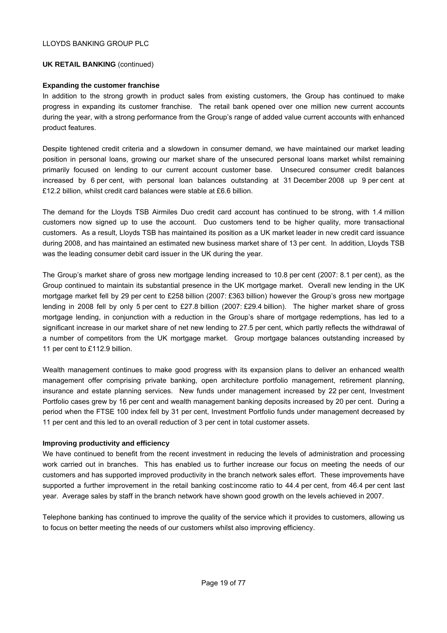#### **UK RETAIL BANKING** (continued)

## **Expanding the customer franchise**

In addition to the strong growth in product sales from existing customers, the Group has continued to make progress in expanding its customer franchise. The retail bank opened over one million new current accounts during the year, with a strong performance from the Group's range of added value current accounts with enhanced product features.

Despite tightened credit criteria and a slowdown in consumer demand, we have maintained our market leading position in personal loans, growing our market share of the unsecured personal loans market whilst remaining primarily focused on lending to our current account customer base. Unsecured consumer credit balances increased by 6 per cent, with personal loan balances outstanding at 31 December 2008 up 9 per cent at £12.2 billion, whilst credit card balances were stable at £6.6 billion.

The demand for the Lloyds TSB Airmiles Duo credit card account has continued to be strong, with 1.4 million customers now signed up to use the account. Duo customers tend to be higher quality, more transactional customers. As a result, Lloyds TSB has maintained its position as a UK market leader in new credit card issuance during 2008, and has maintained an estimated new business market share of 13 per cent. In addition, Lloyds TSB was the leading consumer debit card issuer in the UK during the year.

The Group's market share of gross new mortgage lending increased to 10.8 per cent (2007: 8.1 per cent), as the Group continued to maintain its substantial presence in the UK mortgage market. Overall new lending in the UK mortgage market fell by 29 per cent to £258 billion (2007: £363 billion) however the Group's gross new mortgage lending in 2008 fell by only 5 per cent to £27.8 billion (2007: £29.4 billion). The higher market share of gross mortgage lending, in conjunction with a reduction in the Group's share of mortgage redemptions, has led to a significant increase in our market share of net new lending to 27.5 per cent, which partly reflects the withdrawal of a number of competitors from the UK mortgage market. Group mortgage balances outstanding increased by 11 per cent to £112.9 billion.

Wealth management continues to make good progress with its expansion plans to deliver an enhanced wealth management offer comprising private banking, open architecture portfolio management, retirement planning, insurance and estate planning services. New funds under management increased by 22 per cent, Investment Portfolio cases grew by 16 per cent and wealth management banking deposits increased by 20 per cent. During a period when the FTSE 100 index fell by 31 per cent, Investment Portfolio funds under management decreased by 11 per cent and this led to an overall reduction of 3 per cent in total customer assets.

# **Improving productivity and efficiency**

We have continued to benefit from the recent investment in reducing the levels of administration and processing work carried out in branches. This has enabled us to further increase our focus on meeting the needs of our customers and has supported improved productivity in the branch network sales effort. These improvements have supported a further improvement in the retail banking cost:income ratio to 44.4 per cent, from 46.4 per cent last year. Average sales by staff in the branch network have shown good growth on the levels achieved in 2007.

Telephone banking has continued to improve the quality of the service which it provides to customers, allowing us to focus on better meeting the needs of our customers whilst also improving efficiency.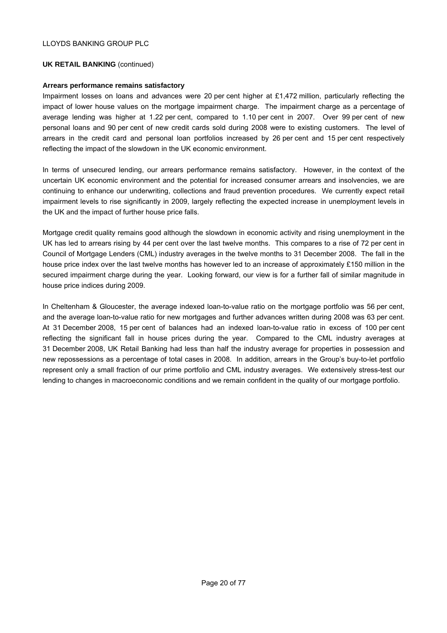#### **UK RETAIL BANKING** (continued)

#### **Arrears performance remains satisfactory**

Impairment losses on loans and advances were 20 per cent higher at £1,472 million, particularly reflecting the impact of lower house values on the mortgage impairment charge. The impairment charge as a percentage of average lending was higher at 1.22 per cent, compared to 1.10 per cent in 2007. Over 99 per cent of new personal loans and 90 per cent of new credit cards sold during 2008 were to existing customers. The level of arrears in the credit card and personal loan portfolios increased by 26 per cent and 15 per cent respectively reflecting the impact of the slowdown in the UK economic environment.

In terms of unsecured lending, our arrears performance remains satisfactory. However, in the context of the uncertain UK economic environment and the potential for increased consumer arrears and insolvencies, we are continuing to enhance our underwriting, collections and fraud prevention procedures. We currently expect retail impairment levels to rise significantly in 2009, largely reflecting the expected increase in unemployment levels in the UK and the impact of further house price falls.

Mortgage credit quality remains good although the slowdown in economic activity and rising unemployment in the UK has led to arrears rising by 44 per cent over the last twelve months. This compares to a rise of 72 per cent in Council of Mortgage Lenders (CML) industry averages in the twelve months to 31 December 2008. The fall in the house price index over the last twelve months has however led to an increase of approximately £150 million in the secured impairment charge during the year. Looking forward, our view is for a further fall of similar magnitude in house price indices during 2009.

In Cheltenham & Gloucester, the average indexed loan-to-value ratio on the mortgage portfolio was 56 per cent, and the average loan-to-value ratio for new mortgages and further advances written during 2008 was 63 per cent. At 31 December 2008, 15 per cent of balances had an indexed loan-to-value ratio in excess of 100 per cent reflecting the significant fall in house prices during the year. Compared to the CML industry averages at 31 December 2008, UK Retail Banking had less than half the industry average for properties in possession and new repossessions as a percentage of total cases in 2008. In addition, arrears in the Group's buy-to-let portfolio represent only a small fraction of our prime portfolio and CML industry averages. We extensively stress-test our lending to changes in macroeconomic conditions and we remain confident in the quality of our mortgage portfolio.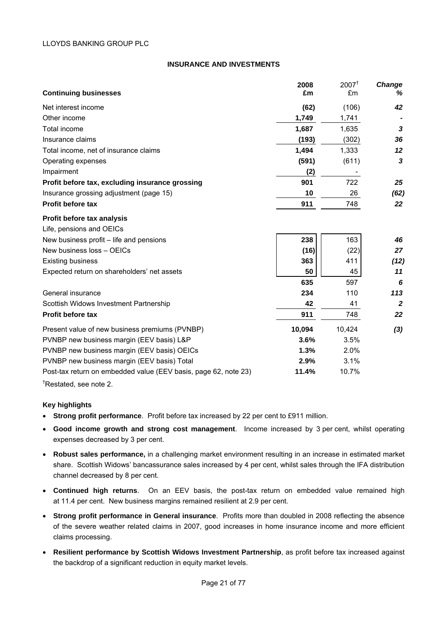#### **INSURANCE AND INVESTMENTS**

|                                                                 | 2008   | $2007^{\dagger}$ | Change         |
|-----------------------------------------------------------------|--------|------------------|----------------|
| <b>Continuing businesses</b>                                    | £m     | £m               | ℅              |
| Net interest income                                             | (62)   | (106)            | 42             |
| Other income                                                    | 1,749  | 1,741            |                |
| Total income                                                    | 1,687  | 1,635            | 3              |
| Insurance claims                                                | (193)  | (302)            | 36             |
| Total income, net of insurance claims                           | 1,494  | 1,333            | 12             |
| Operating expenses                                              | (591)  | (611)            | 3              |
| Impairment                                                      | (2)    |                  |                |
| Profit before tax, excluding insurance grossing                 | 901    | 722              | 25             |
| Insurance grossing adjustment (page 15)                         | 10     | 26               | (62)           |
| <b>Profit before tax</b>                                        | 911    | 748              | 22             |
| Profit before tax analysis                                      |        |                  |                |
| Life, pensions and OEICs                                        |        |                  |                |
| New business profit – life and pensions                         | 238    | 163              | 46             |
| New business loss - OEICs                                       | (16)   | (22)             | 27             |
| <b>Existing business</b>                                        | 363    | 411              | (12)           |
| Expected return on shareholders' net assets                     | 50     | 45               | 11             |
|                                                                 | 635    | 597              | 6              |
| General insurance                                               | 234    | 110              | 113            |
| Scottish Widows Investment Partnership                          | 42     | 41               | $\overline{2}$ |
| <b>Profit before tax</b>                                        | 911    | 748              | 22             |
| Present value of new business premiums (PVNBP)                  | 10,094 | 10,424           | $(3)$          |
| PVNBP new business margin (EEV basis) L&P                       | 3.6%   | 3.5%             |                |
| PVNBP new business margin (EEV basis) OEICs                     | 1.3%   | 2.0%             |                |
| PVNBP new business margin (EEV basis) Total                     | 2.9%   | 3.1%             |                |
| Post-tax return on embedded value (EEV basis, page 62, note 23) | 11.4%  | 10.7%            |                |
| <sup>†</sup> Restated, see note 2.                              |        |                  |                |

#### **Key highlights**

- **Strong profit performance**. Profit before tax increased by 22 per cent to £911 million.
- **Good income growth and strong cost management**. Income increased by 3 per cent, whilst operating expenses decreased by 3 per cent.
- **Robust sales performance,** in a challenging market environment resulting in an increase in estimated market share. Scottish Widows' bancassurance sales increased by 4 per cent, whilst sales through the IFA distribution channel decreased by 8 per cent.
- **Continued high returns**. On an EEV basis, the post-tax return on embedded value remained high at 11.4 per cent. New business margins remained resilient at 2.9 per cent.
- **Strong profit performance in General insurance**. Profits more than doubled in 2008 reflecting the absence of the severe weather related claims in 2007, good increases in home insurance income and more efficient claims processing.
- **Resilient performance by Scottish Widows Investment Partnership**, as profit before tax increased against the backdrop of a significant reduction in equity market levels.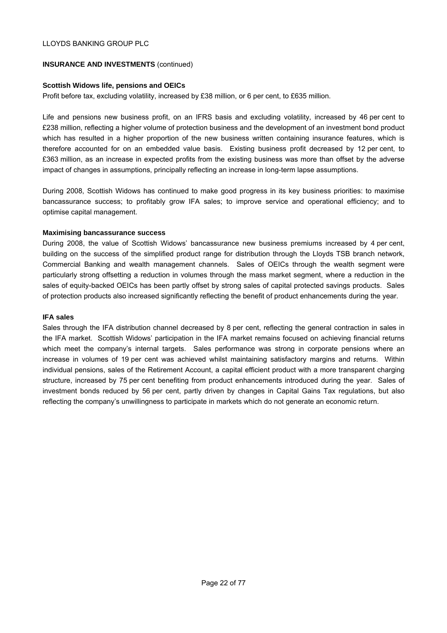# **INSURANCE AND INVESTMENTS** (continued)

## **Scottish Widows life, pensions and OEICs**

Profit before tax, excluding volatility, increased by £38 million, or 6 per cent, to £635 million.

Life and pensions new business profit, on an IFRS basis and excluding volatility, increased by 46 per cent to £238 million, reflecting a higher volume of protection business and the development of an investment bond product which has resulted in a higher proportion of the new business written containing insurance features, which is therefore accounted for on an embedded value basis. Existing business profit decreased by 12 per cent, to £363 million, as an increase in expected profits from the existing business was more than offset by the adverse impact of changes in assumptions, principally reflecting an increase in long-term lapse assumptions.

During 2008, Scottish Widows has continued to make good progress in its key business priorities: to maximise bancassurance success; to profitably grow IFA sales; to improve service and operational efficiency; and to optimise capital management.

## **Maximising bancassurance success**

During 2008, the value of Scottish Widows' bancassurance new business premiums increased by 4 per cent, building on the success of the simplified product range for distribution through the Lloyds TSB branch network, Commercial Banking and wealth management channels. Sales of OEICs through the wealth segment were particularly strong offsetting a reduction in volumes through the mass market segment, where a reduction in the sales of equity-backed OEICs has been partly offset by strong sales of capital protected savings products. Sales of protection products also increased significantly reflecting the benefit of product enhancements during the year.

#### **IFA sales**

Sales through the IFA distribution channel decreased by 8 per cent, reflecting the general contraction in sales in the IFA market. Scottish Widows' participation in the IFA market remains focused on achieving financial returns which meet the company's internal targets. Sales performance was strong in corporate pensions where an increase in volumes of 19 per cent was achieved whilst maintaining satisfactory margins and returns. Within individual pensions, sales of the Retirement Account, a capital efficient product with a more transparent charging structure, increased by 75 per cent benefiting from product enhancements introduced during the year. Sales of investment bonds reduced by 56 per cent, partly driven by changes in Capital Gains Tax regulations, but also reflecting the company's unwillingness to participate in markets which do not generate an economic return.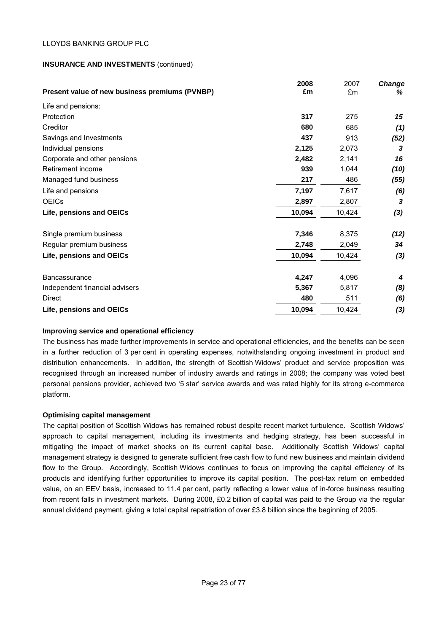# **INSURANCE AND INVESTMENTS** (continued)

|                                                | 2008<br>£m | 2007   | Change<br>℅ |
|------------------------------------------------|------------|--------|-------------|
| Present value of new business premiums (PVNBP) |            | £m     |             |
| Life and pensions:                             |            |        |             |
| Protection                                     | 317        | 275    | 15          |
| Creditor                                       | 680        | 685    | (1)         |
| Savings and Investments                        | 437        | 913    | (52)        |
| Individual pensions                            | 2,125      | 2,073  | 3           |
| Corporate and other pensions                   | 2,482      | 2,141  | 16          |
| Retirement income                              | 939        | 1,044  | (10)        |
| Managed fund business                          | 217        | 486    | (55)        |
| Life and pensions                              | 7,197      | 7,617  | (6)         |
| <b>OEICs</b>                                   | 2,897      | 2,807  | 3           |
| Life, pensions and OEICs                       | 10,094     | 10,424 | (3)         |
| Single premium business                        | 7,346      | 8,375  | (12)        |
| Regular premium business                       | 2,748      | 2,049  | 34          |
| Life, pensions and OEICs                       | 10,094     | 10,424 | (3)         |
| <b>Bancassurance</b>                           | 4,247      | 4,096  | 4           |
| Independent financial advisers                 | 5,367      | 5,817  | (8)         |
| <b>Direct</b>                                  | 480        | 511    | (6)         |
| Life, pensions and OEICs                       | 10,094     | 10,424 | (3)         |

#### **Improving service and operational efficiency**

The business has made further improvements in service and operational efficiencies, and the benefits can be seen in a further reduction of 3 per cent in operating expenses, notwithstanding ongoing investment in product and distribution enhancements. In addition, the strength of Scottish Widows' product and service proposition was recognised through an increased number of industry awards and ratings in 2008; the company was voted best personal pensions provider, achieved two '5 star' service awards and was rated highly for its strong e-commerce platform.

# **Optimising capital management**

The capital position of Scottish Widows has remained robust despite recent market turbulence. Scottish Widows' approach to capital management, including its investments and hedging strategy, has been successful in mitigating the impact of market shocks on its current capital base. Additionally Scottish Widows' capital management strategy is designed to generate sufficient free cash flow to fund new business and maintain dividend flow to the Group. Accordingly, Scottish Widows continues to focus on improving the capital efficiency of its products and identifying further opportunities to improve its capital position. The post-tax return on embedded value, on an EEV basis, increased to 11.4 per cent, partly reflecting a lower value of in-force business resulting from recent falls in investment markets. During 2008, £0.2 billion of capital was paid to the Group via the regular annual dividend payment, giving a total capital repatriation of over £3.8 billion since the beginning of 2005.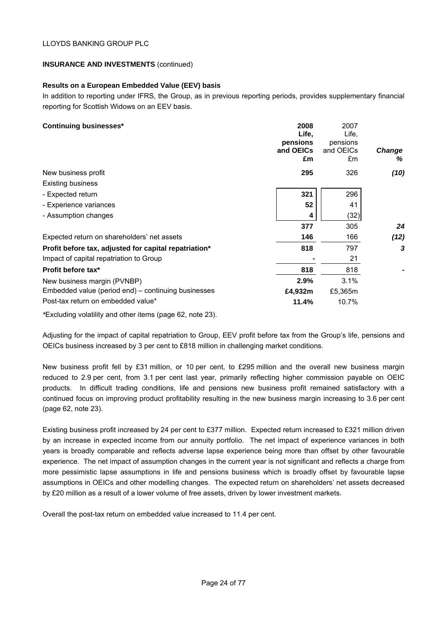# **INSURANCE AND INVESTMENTS** (continued)

# **Results on a European Embedded Value (EEV) basis**

In addition to reporting under IFRS, the Group, as in previous reporting periods, provides supplementary financial reporting for Scottish Widows on an EEV basis.

| <b>Continuing businesses*</b>                         | 2008<br>Life,<br>pensions<br>and OEICs<br>£m | 2007<br>Life,<br>pensions<br>and OEICs<br>£m | <b>Change</b><br>% |
|-------------------------------------------------------|----------------------------------------------|----------------------------------------------|--------------------|
| New business profit                                   | 295                                          | 326                                          | (10)               |
| <b>Existing business</b>                              |                                              |                                              |                    |
| - Expected return                                     | 321                                          | 296                                          |                    |
| - Experience variances                                | 52                                           | 41                                           |                    |
| - Assumption changes                                  | 4                                            | (32)                                         |                    |
|                                                       | 377                                          | 305                                          | 24                 |
| Expected return on shareholders' net assets           | 146                                          | 166                                          | (12)               |
| Profit before tax, adjusted for capital repatriation* | 818                                          | 797                                          | 3                  |
| Impact of capital repatriation to Group               |                                              | 21                                           |                    |
| Profit before tax*                                    | 818                                          | 818                                          |                    |
| New business margin (PVNBP)                           | 2.9%                                         | 3.1%                                         |                    |
| Embedded value (period end) – continuing businesses   | £4,932m                                      | £5,365m                                      |                    |
| Post-tax return on embedded value*                    | 11.4%                                        | 10.7%                                        |                    |

*\**Excluding volatility and other items (page 62, note 23).

Adjusting for the impact of capital repatriation to Group, EEV profit before tax from the Group's life, pensions and OEICs business increased by 3 per cent to £818 million in challenging market conditions.

New business profit fell by £31 million, or 10 per cent, to £295 million and the overall new business margin reduced to 2.9 per cent, from 3.1 per cent last year, primarily reflecting higher commission payable on OEIC products. In difficult trading conditions, life and pensions new business profit remained satisfactory with a continued focus on improving product profitability resulting in the new business margin increasing to 3.6 per cent (page 62, note 23).

Existing business profit increased by 24 per cent to £377 million. Expected return increased to £321 million driven by an increase in expected income from our annuity portfolio. The net impact of experience variances in both years is broadly comparable and reflects adverse lapse experience being more than offset by other favourable experience. The net impact of assumption changes in the current year is not significant and reflects a charge from more pessimistic lapse assumptions in life and pensions business which is broadly offset by favourable lapse assumptions in OEICs and other modelling changes. The expected return on shareholders' net assets decreased by £20 million as a result of a lower volume of free assets, driven by lower investment markets.

Overall the post-tax return on embedded value increased to 11.4 per cent.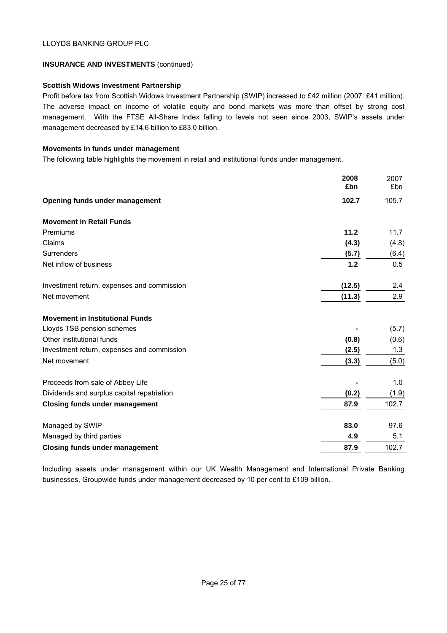# **INSURANCE AND INVESTMENTS** (continued)

# **Scottish Widows Investment Partnership**

Profit before tax from Scottish Widows Investment Partnership (SWIP) increased to £42 million (2007: £41 million). The adverse impact on income of volatile equity and bond markets was more than offset by strong cost management. With the FTSE All-Share Index falling to levels not seen since 2003, SWIP's assets under management decreased by £14.6 billion to £83.0 billion.

## **Movements in funds under management**

The following table highlights the movement in retail and institutional funds under management.

|                                            | 2008<br>£bn | 2007<br>£bn |
|--------------------------------------------|-------------|-------------|
| Opening funds under management             | 102.7       | 105.7       |
| <b>Movement in Retail Funds</b>            |             |             |
| Premiums                                   | 11.2        | 11.7        |
| Claims                                     | (4.3)       | (4.8)       |
| Surrenders                                 | (5.7)       | (6.4)       |
| Net inflow of business                     | 1.2         | 0.5         |
| Investment return, expenses and commission | (12.5)      | 2.4         |
| Net movement                               | (11.3)      | 2.9         |
| <b>Movement in Institutional Funds</b>     |             |             |
| Lloyds TSB pension schemes                 |             | (5.7)       |
| Other institutional funds                  | (0.8)       | (0.6)       |
| Investment return, expenses and commission | (2.5)       | 1.3         |
| Net movement                               | (3.3)       | (5.0)       |
| Proceeds from sale of Abbey Life           |             | 1.0         |
| Dividends and surplus capital repatriation | (0.2)       | (1.9)       |
| <b>Closing funds under management</b>      | 87.9        | 102.7       |
| Managed by SWIP                            | 83.0        | 97.6        |
| Managed by third parties                   | 4.9         | 5.1         |
| <b>Closing funds under management</b>      | 87.9        | 102.7       |

Including assets under management within our UK Wealth Management and International Private Banking businesses, Groupwide funds under management decreased by 10 per cent to £109 billion.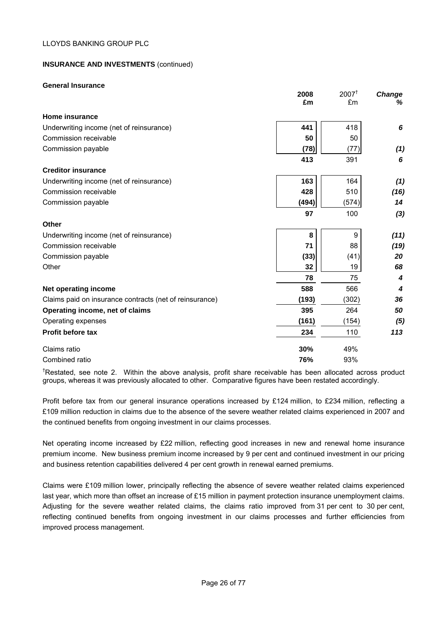# **INSURANCE AND INVESTMENTS** (continued)

#### **General Insurance**

|                                                         | 2008  | $2007^{\dagger}$ | Change |
|---------------------------------------------------------|-------|------------------|--------|
|                                                         | £m    | £m               | %      |
| <b>Home insurance</b>                                   |       |                  |        |
| Underwriting income (net of reinsurance)                | 441   | 418              | 6      |
| Commission receivable                                   | 50    | 50               |        |
| Commission payable                                      | (78)  | (77)             | (1)    |
|                                                         | 413   | 391              | 6      |
| <b>Creditor insurance</b>                               |       |                  |        |
| Underwriting income (net of reinsurance)                | 163   | 164              | (1)    |
| Commission receivable                                   | 428   | 510              | (16)   |
| Commission payable                                      | (494) | (574)            | 14     |
|                                                         | 97    | 100              | (3)    |
| Other                                                   |       |                  |        |
| Underwriting income (net of reinsurance)                | 8     | $9\,$            | (11)   |
| Commission receivable                                   | 71    | 88               | (19)   |
| Commission payable                                      | (33)  | (41)             | 20     |
| Other                                                   | 32    | 19               | 68     |
|                                                         | 78    | 75               | 4      |
| Net operating income                                    | 588   | 566              | 4      |
| Claims paid on insurance contracts (net of reinsurance) | (193) | (302)            | 36     |
| Operating income, net of claims                         | 395   | 264              | 50     |
| Operating expenses                                      | (161) | (154)            | (5)    |
| <b>Profit before tax</b>                                | 234   | 110              | 113    |
| Claims ratio                                            | 30%   | 49%              |        |
| Combined ratio                                          | 76%   | 93%              |        |

<sup>†</sup>Restated, see note 2. Within the above analysis, profit share receivable has been allocated across product groups, whereas it was previously allocated to other. Comparative figures have been restated accordingly.

Profit before tax from our general insurance operations increased by £124 million, to £234 million, reflecting a £109 million reduction in claims due to the absence of the severe weather related claims experienced in 2007 and the continued benefits from ongoing investment in our claims processes.

Net operating income increased by £22 million, reflecting good increases in new and renewal home insurance premium income. New business premium income increased by 9 per cent and continued investment in our pricing and business retention capabilities delivered 4 per cent growth in renewal earned premiums.

Claims were £109 million lower, principally reflecting the absence of severe weather related claims experienced last year, which more than offset an increase of £15 million in payment protection insurance unemployment claims. Adjusting for the severe weather related claims, the claims ratio improved from 31 per cent to 30 per cent, reflecting continued benefits from ongoing investment in our claims processes and further efficiencies from improved process management.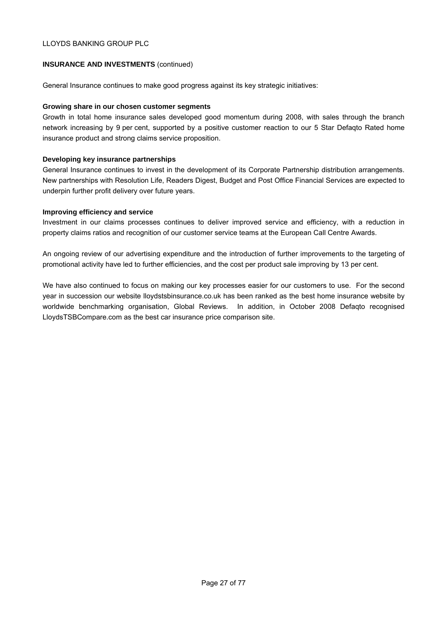# **INSURANCE AND INVESTMENTS** (continued)

General Insurance continues to make good progress against its key strategic initiatives:

## **Growing share in our chosen customer segments**

Growth in total home insurance sales developed good momentum during 2008, with sales through the branch network increasing by 9 per cent, supported by a positive customer reaction to our 5 Star Defaqto Rated home insurance product and strong claims service proposition.

#### **Developing key insurance partnerships**

General Insurance continues to invest in the development of its Corporate Partnership distribution arrangements. New partnerships with Resolution Life, Readers Digest, Budget and Post Office Financial Services are expected to underpin further profit delivery over future years.

## **Improving efficiency and service**

Investment in our claims processes continues to deliver improved service and efficiency, with a reduction in property claims ratios and recognition of our customer service teams at the European Call Centre Awards.

An ongoing review of our advertising expenditure and the introduction of further improvements to the targeting of promotional activity have led to further efficiencies, and the cost per product sale improving by 13 per cent.

We have also continued to focus on making our key processes easier for our customers to use. For the second year in succession our website lloydstsbinsurance.co.uk has been ranked as the best home insurance website by worldwide benchmarking organisation, Global Reviews. In addition, in October 2008 Defaqto recognised LloydsTSBCompare.com as the best car insurance price comparison site.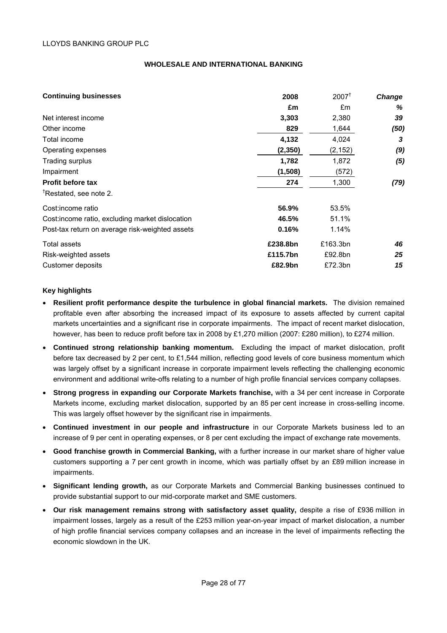#### **WHOLESALE AND INTERNATIONAL BANKING**

| <b>Continuing businesses</b>                     | 2008     | $2007^+$ | <b>Change</b> |
|--------------------------------------------------|----------|----------|---------------|
|                                                  | £m       | £m       | %             |
| Net interest income                              | 3,303    | 2,380    | 39            |
| Other income                                     | 829      | 1,644    | (50)          |
| Total income                                     | 4,132    | 4,024    | 3             |
| Operating expenses                               | (2, 350) | (2, 152) | (9)           |
| Trading surplus                                  | 1,782    | 1,872    | (5)           |
| Impairment                                       | (1,508)  | (572)    |               |
| <b>Profit before tax</b>                         | 274      | 1,300    | (79)          |
| <sup>T</sup> Restated, see note 2.               |          |          |               |
| Cost: income ratio                               | 56.9%    | 53.5%    |               |
| Cost: income ratio, excluding market dislocation | 46.5%    | 51.1%    |               |
| Post-tax return on average risk-weighted assets  | 0.16%    | 1.14%    |               |
| Total assets                                     | £238.8bn | £163.3bn | 46            |
| Risk-weighted assets                             | £115.7bn | £92.8bn  | 25            |
| Customer deposits                                | £82.9bn  | £72.3bn  | 15            |

#### **Key highlights**

- **Resilient profit performance despite the turbulence in global financial markets.** The division remained profitable even after absorbing the increased impact of its exposure to assets affected by current capital markets uncertainties and a significant rise in corporate impairments. The impact of recent market dislocation, however, has been to reduce profit before tax in 2008 by £1,270 million (2007: £280 million), to £274 million.
- **Continued strong relationship banking momentum.** Excluding the impact of market dislocation, profit before tax decreased by 2 per cent, to £1,544 million, reflecting good levels of core business momentum which was largely offset by a significant increase in corporate impairment levels reflecting the challenging economic environment and additional write-offs relating to a number of high profile financial services company collapses.
- **Strong progress in expanding our Corporate Markets franchise,** with a 34 per cent increase in Corporate Markets income, excluding market dislocation, supported by an 85 per cent increase in cross-selling income. This was largely offset however by the significant rise in impairments.
- **Continued investment in our people and infrastructure** in our Corporate Markets business led to an increase of 9 per cent in operating expenses, or 8 per cent excluding the impact of exchange rate movements.
- **Good franchise growth in Commercial Banking,** with a further increase in our market share of higher value customers supporting a 7 per cent growth in income, which was partially offset by an £89 million increase in impairments.
- **Significant lending growth,** as our Corporate Markets and Commercial Banking businesses continued to provide substantial support to our mid-corporate market and SME customers.
- **Our risk management remains strong with satisfactory asset quality,** despite a rise of £936 million in impairment losses, largely as a result of the £253 million year-on-year impact of market dislocation, a number of high profile financial services company collapses and an increase in the level of impairments reflecting the economic slowdown in the UK.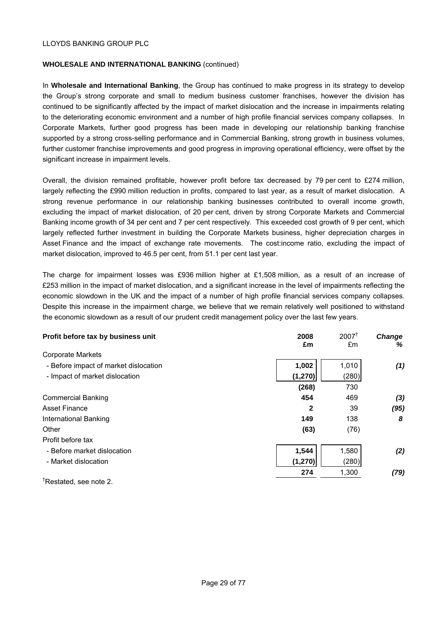#### **WHOLESALE AND INTERNATIONAL BANKING** (continued)

In **Wholesale and International Banking**, the Group has continued to make progress in its strategy to develop the Group's strong corporate and small to medium business customer franchises, however the division has continued to be significantly affected by the impact of market dislocation and the increase in impairments relating to the deteriorating economic environment and a number of high profile financial services company collapses. In Corporate Markets, further good progress has been made in developing our relationship banking franchise supported by a strong cross-selling performance and in Commercial Banking, strong growth in business volumes, further customer franchise improvements and good progress in improving operational efficiency, were offset by the significant increase in impairment levels.

Overall, the division remained profitable, however profit before tax decreased by 79 per cent to £274 million, largely reflecting the £990 million reduction in profits, compared to last year, as a result of market dislocation. A strong revenue performance in our relationship banking businesses contributed to overall income growth, excluding the impact of market dislocation, of 20 per cent, driven by strong Corporate Markets and Commercial Banking income growth of 34 per cent and 7 per cent respectively. This exceeded cost growth of 9 per cent, which largely reflected further investment in building the Corporate Markets business, higher depreciation charges in Asset Finance and the impact of exchange rate movements. The cost:income ratio, excluding the impact of market dislocation, improved to 46.5 per cent, from 51.1 per cent last year.

The charge for impairment losses was £936 million higher at £1,508 million, as a result of an increase of £253 million in the impact of market dislocation, and a significant increase in the level of impairments reflecting the economic slowdown in the UK and the impact of a number of high profile financial services company collapses. Despite this increase in the impairment charge, we believe that we remain relatively well positioned to withstand the economic slowdown as a result of our prudent credit management policy over the last few years.

| Profit before tax by business unit    | 2008<br>£m   | $2007^{\dagger}$<br>£m | <b>Change</b><br>% |
|---------------------------------------|--------------|------------------------|--------------------|
| <b>Corporate Markets</b>              |              |                        |                    |
| - Before impact of market dislocation | 1,002        | 1,010                  | (1)                |
| - Impact of market dislocation        | (1, 270)     | (280)                  |                    |
|                                       | (268)        | 730                    |                    |
| <b>Commercial Banking</b>             | 454          | 469                    | (3)                |
| Asset Finance                         | $\mathbf{2}$ | 39                     | (95)               |
| International Banking                 | 149          | 138                    | 8                  |
| Other                                 | (63)         | (76)                   |                    |
| Profit before tax                     |              |                        |                    |
| - Before market dislocation           | 1,544        | 1,580                  | (2)                |
| - Market dislocation                  | (1, 270)     | (280)                  |                    |
|                                       | 274          | 1,300                  | (79)               |
| <sup>†</sup> Restated, see note 2.    |              |                        |                    |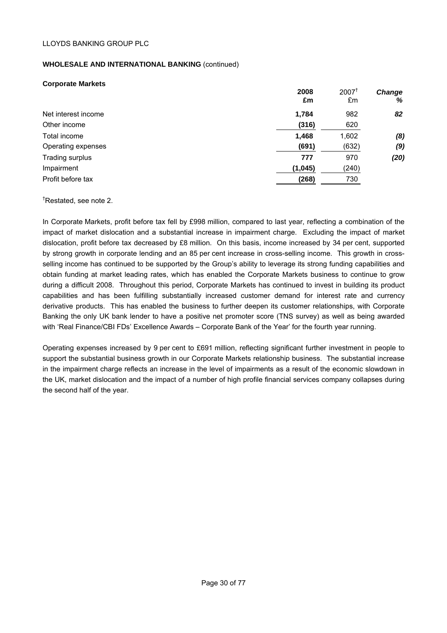# **WHOLESALE AND INTERNATIONAL BANKING** (continued)

# **Corporate Markets**

| Net interest income<br>1,784<br>982<br>(316)<br>620<br>Other income<br>1,468<br>1,602<br>Total income<br>(691)<br>(632)<br>Operating expenses<br>970<br>Trading surplus<br>777<br>Impairment<br>(240)<br>(1,045)<br>Profit before tax<br>(268)<br>730 | 2008<br>£m | $2007^{\mathrm{T}}$<br>£m | Change<br>% |
|-------------------------------------------------------------------------------------------------------------------------------------------------------------------------------------------------------------------------------------------------------|------------|---------------------------|-------------|
|                                                                                                                                                                                                                                                       |            |                           | 82          |
|                                                                                                                                                                                                                                                       |            |                           |             |
|                                                                                                                                                                                                                                                       |            |                           | (8)         |
|                                                                                                                                                                                                                                                       |            |                           | (9)         |
|                                                                                                                                                                                                                                                       |            |                           | (20)        |
|                                                                                                                                                                                                                                                       |            |                           |             |
|                                                                                                                                                                                                                                                       |            |                           |             |

**2008** 2007†

† Restated, see note 2.

In Corporate Markets, profit before tax fell by £998 million, compared to last year, reflecting a combination of the impact of market dislocation and a substantial increase in impairment charge. Excluding the impact of market dislocation, profit before tax decreased by £8 million. On this basis, income increased by 34 per cent, supported by strong growth in corporate lending and an 85 per cent increase in cross-selling income. This growth in crossselling income has continued to be supported by the Group's ability to leverage its strong funding capabilities and obtain funding at market leading rates, which has enabled the Corporate Markets business to continue to grow during a difficult 2008. Throughout this period, Corporate Markets has continued to invest in building its product capabilities and has been fulfilling substantially increased customer demand for interest rate and currency derivative products. This has enabled the business to further deepen its customer relationships, with Corporate Banking the only UK bank lender to have a positive net promoter score (TNS survey) as well as being awarded with 'Real Finance/CBI FDs' Excellence Awards – Corporate Bank of the Year' for the fourth year running.

Operating expenses increased by 9 per cent to £691 million, reflecting significant further investment in people to support the substantial business growth in our Corporate Markets relationship business. The substantial increase in the impairment charge reflects an increase in the level of impairments as a result of the economic slowdown in the UK, market dislocation and the impact of a number of high profile financial services company collapses during the second half of the year.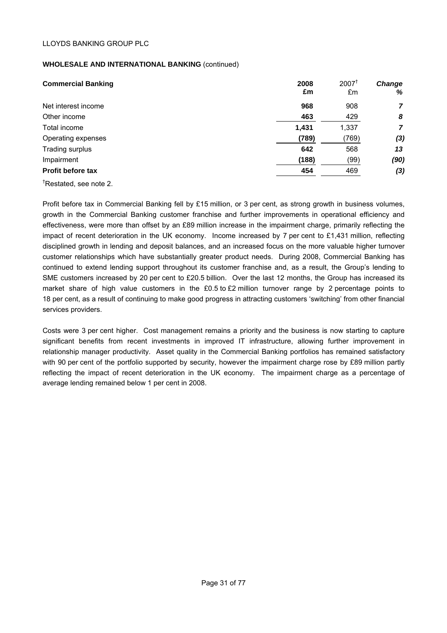# **WHOLESALE AND INTERNATIONAL BANKING** (continued)

| <b>Commercial Banking</b> | 2008<br>£m | $2007^{\dagger}$<br>£m | <b>Change</b><br>% |
|---------------------------|------------|------------------------|--------------------|
| Net interest income       | 968        | 908                    | 7                  |
| Other income              | 463        | 429                    | 8                  |
| Total income              | 1,431      | 1,337                  | 7                  |
| Operating expenses        | (789)      | (769)                  | (3)                |
| Trading surplus           | 642        | 568                    | 13                 |
| Impairment                | (188)      | (99)                   | (90)               |
| <b>Profit before tax</b>  | 454        | 469                    | (3)                |

† Restated, see note 2.

Profit before tax in Commercial Banking fell by £15 million, or 3 per cent, as strong growth in business volumes, growth in the Commercial Banking customer franchise and further improvements in operational efficiency and effectiveness, were more than offset by an £89 million increase in the impairment charge, primarily reflecting the impact of recent deterioration in the UK economy. Income increased by 7 per cent to £1,431 million, reflecting disciplined growth in lending and deposit balances, and an increased focus on the more valuable higher turnover customer relationships which have substantially greater product needs. During 2008, Commercial Banking has continued to extend lending support throughout its customer franchise and, as a result, the Group's lending to SME customers increased by 20 per cent to £20.5 billion. Over the last 12 months, the Group has increased its market share of high value customers in the £0.5 to £2 million turnover range by 2 percentage points to 18 per cent, as a result of continuing to make good progress in attracting customers 'switching' from other financial services providers.

Costs were 3 per cent higher. Cost management remains a priority and the business is now starting to capture significant benefits from recent investments in improved IT infrastructure, allowing further improvement in relationship manager productivity. Asset quality in the Commercial Banking portfolios has remained satisfactory with 90 per cent of the portfolio supported by security, however the impairment charge rose by £89 million partly reflecting the impact of recent deterioration in the UK economy. The impairment charge as a percentage of average lending remained below 1 per cent in 2008.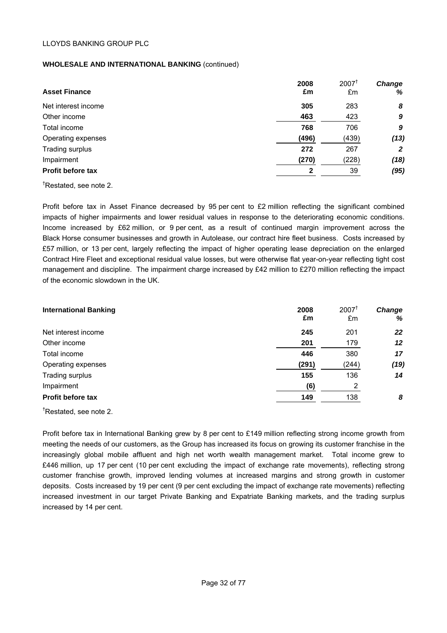# **WHOLESALE AND INTERNATIONAL BANKING** (continued)

| <b>Asset Finance</b>     | 2008<br>£m | $2007^{\dagger}$<br>£m | <b>Change</b><br>% |
|--------------------------|------------|------------------------|--------------------|
| Net interest income      | 305        | 283                    | 8                  |
| Other income             | 463        | 423                    | 9                  |
| Total income             | 768        | 706                    | 9                  |
| Operating expenses       | (496)      | (439)                  | (13)               |
| Trading surplus          | 272        | 267                    | $\overline{2}$     |
| Impairment               | (270)      | (228)                  | (18)               |
| <b>Profit before tax</b> | 2          | 39                     | (95)               |

† Restated, see note 2.

Profit before tax in Asset Finance decreased by 95 per cent to £2 million reflecting the significant combined impacts of higher impairments and lower residual values in response to the deteriorating economic conditions. Income increased by £62 million, or 9 per cent, as a result of continued margin improvement across the Black Horse consumer businesses and growth in Autolease, our contract hire fleet business. Costs increased by £57 million, or 13 per cent, largely reflecting the impact of higher operating lease depreciation on the enlarged Contract Hire Fleet and exceptional residual value losses, but were otherwise flat year-on-year reflecting tight cost management and discipline. The impairment charge increased by £42 million to £270 million reflecting the impact of the economic slowdown in the UK.

| <b>International Banking</b> | 2008<br>£m | $2007^{\dagger}$<br>£m | <b>Change</b><br>% |
|------------------------------|------------|------------------------|--------------------|
| Net interest income          | 245        | 201                    | 22                 |
| Other income                 | 201        | 179                    | 12                 |
| Total income                 | 446        | 380                    | 17                 |
| Operating expenses           | (291)      | (244)                  | (19)               |
| Trading surplus              | 155        | 136                    | 14                 |
| Impairment                   | (6)        | 2                      |                    |
| <b>Profit before tax</b>     | 149        | 138                    | 8                  |

**†** Restated, see note 2.

Profit before tax in International Banking grew by 8 per cent to £149 million reflecting strong income growth from meeting the needs of our customers, as the Group has increased its focus on growing its customer franchise in the increasingly global mobile affluent and high net worth wealth management market. Total income grew to £446 million, up 17 per cent (10 per cent excluding the impact of exchange rate movements), reflecting strong customer franchise growth, improved lending volumes at increased margins and strong growth in customer deposits. Costs increased by 19 per cent (9 per cent excluding the impact of exchange rate movements) reflecting increased investment in our target Private Banking and Expatriate Banking markets, and the trading surplus increased by 14 per cent.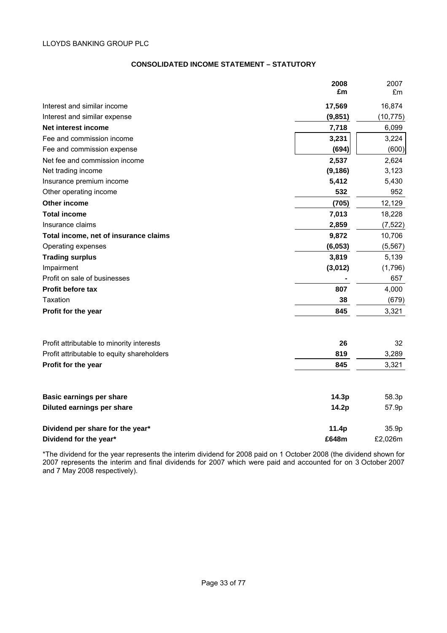# **CONSOLIDATED INCOME STATEMENT – STATUTORY**

|                                            | 2008     | 2007      |
|--------------------------------------------|----------|-----------|
|                                            | £m       | £m        |
| Interest and similar income                | 17,569   | 16,874    |
| Interest and similar expense               | (9, 851) | (10, 775) |
| Net interest income                        | 7,718    | 6,099     |
| Fee and commission income                  | 3,231    | 3,224     |
| Fee and commission expense                 | (694)    | (600)     |
| Net fee and commission income              | 2,537    | 2,624     |
| Net trading income                         | (9, 186) | 3,123     |
| Insurance premium income                   | 5,412    | 5,430     |
| Other operating income                     | 532      | 952       |
| Other income                               | (705)    | 12,129    |
| <b>Total income</b>                        | 7,013    | 18,228    |
| Insurance claims                           | 2,859    | (7, 522)  |
| Total income, net of insurance claims      | 9,872    | 10,706    |
| Operating expenses                         | (6,053)  | (5, 567)  |
| <b>Trading surplus</b>                     | 3,819    | 5,139     |
| Impairment                                 | (3,012)  | (1,796)   |
| Profit on sale of businesses               |          | 657       |
| <b>Profit before tax</b>                   | 807      | 4,000     |
| Taxation                                   | 38       | (679)     |
| Profit for the year                        | 845      | 3,321     |
| Profit attributable to minority interests  | 26       | 32        |
| Profit attributable to equity shareholders | 819      | 3,289     |
| Profit for the year                        | 845      | 3,321     |
|                                            |          |           |
| <b>Basic earnings per share</b>            | 14.3p    | 58.3p     |
| Diluted earnings per share                 | 14.2p    | 57.9p     |
| Dividend per share for the year*           | 11.4p    | 35.9p     |
| Dividend for the year*                     | £648m    | £2,026m   |

\*The dividend for the year represents the interim dividend for 2008 paid on 1 October 2008 (the dividend shown for 2007 represents the interim and final dividends for 2007 which were paid and accounted for on 3 October 2007 and 7 May 2008 respectively).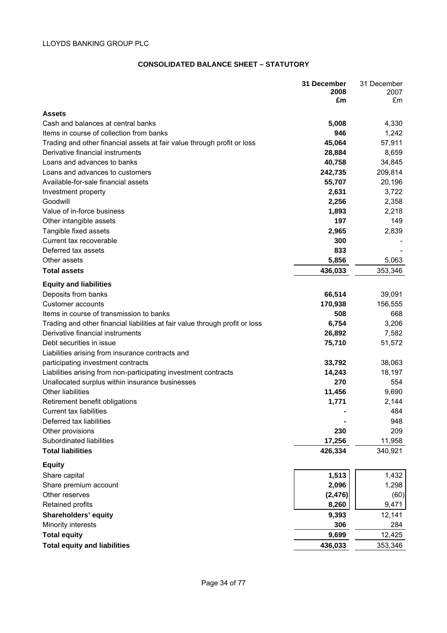## **CONSOLIDATED BALANCE SHEET – STATUTORY**

|                                                                              | 31 December<br>2008 | 31 December<br>2007 |
|------------------------------------------------------------------------------|---------------------|---------------------|
|                                                                              | £m                  | £m                  |
| <b>Assets</b>                                                                |                     |                     |
| Cash and balances at central banks                                           | 5,008               | 4,330               |
| Items in course of collection from banks                                     | 946                 | 1,242               |
| Trading and other financial assets at fair value through profit or loss      | 45,064              | 57,911              |
| Derivative financial instruments                                             | 28,884              | 8,659               |
| Loans and advances to banks                                                  | 40,758              | 34,845              |
| Loans and advances to customers                                              | 242,735             | 209,814             |
| Available-for-sale financial assets                                          | 55,707              | 20,196              |
| Investment property                                                          | 2,631               | 3,722               |
| Goodwill                                                                     | 2,256               | 2,358               |
| Value of in-force business                                                   | 1,893               | 2,218               |
| Other intangible assets                                                      | 197                 | 149                 |
| Tangible fixed assets                                                        | 2,965               | 2,839               |
| Current tax recoverable                                                      | 300                 |                     |
| Deferred tax assets                                                          | 833                 |                     |
| Other assets                                                                 | 5,856               | 5,063               |
| <b>Total assets</b>                                                          | 436,033             | 353,346             |
| <b>Equity and liabilities</b>                                                |                     |                     |
| Deposits from banks                                                          | 66,514              | 39,091              |
| <b>Customer accounts</b>                                                     | 170,938             | 156,555             |
| Items in course of transmission to banks                                     | 508                 | 668                 |
| Trading and other financial liabilities at fair value through profit or loss | 6,754               | 3,206               |
| Derivative financial instruments                                             | 26,892              | 7,582               |
| Debt securities in issue                                                     | 75,710              | 51,572              |
| Liabilities arising from insurance contracts and                             |                     |                     |
| participating investment contracts                                           | 33,792              | 38,063              |
| Liabilities arising from non-participating investment contracts              | 14,243              | 18,197              |
| Unallocated surplus within insurance businesses                              | 270                 | 554                 |
| <b>Other liabilities</b>                                                     | 11,456              | 9,690               |
| Retirement benefit obligations                                               | 1,771               | 2,144               |
| <b>Current tax liabilities</b>                                               |                     | 484                 |
| Deferred tax liabilities                                                     |                     | 948                 |
| Other provisions<br>Subordinated liabilities                                 | 230<br>17,256       | 209<br>11,958       |
| <b>Total liabilities</b>                                                     | 426,334             | 340,921             |
|                                                                              |                     |                     |
| <b>Equity</b>                                                                |                     |                     |
| Share capital                                                                | 1,513               | 1,432               |
| Share premium account<br>Other reserves                                      | 2,096               | 1,298               |
| Retained profits                                                             | (2, 476)<br>8,260   | (60)<br>9,471       |
| Shareholders' equity                                                         | 9,393               | 12,141              |
| Minority interests                                                           | 306                 | 284                 |
| <b>Total equity</b>                                                          | 9,699               | 12,425              |
| <b>Total equity and liabilities</b>                                          | 436,033             | 353,346             |
|                                                                              |                     |                     |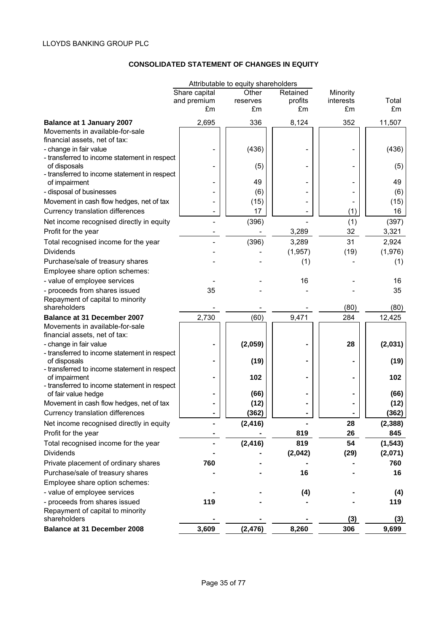# **CONSOLIDATED STATEMENT OF CHANGES IN EQUITY**

|                                                               |               | Attributable to equity shareholders |          |           |          |
|---------------------------------------------------------------|---------------|-------------------------------------|----------|-----------|----------|
|                                                               | Share capital | Other                               | Retained | Minority  |          |
|                                                               | and premium   | reserves                            | profits  | interests | Total    |
|                                                               | £m            | £m                                  | £m       | £m        | £m       |
| <b>Balance at 1 January 2007</b>                              | 2,695         | 336                                 | 8,124    | 352       | 11,507   |
| Movements in available-for-sale                               |               |                                     |          |           |          |
| financial assets, net of tax:                                 |               |                                     |          |           |          |
| - change in fair value                                        |               | (436)                               |          |           | (436)    |
| - transferred to income statement in respect                  |               |                                     |          |           |          |
| of disposals                                                  |               | (5)                                 |          |           | (5)      |
| - transferred to income statement in respect<br>of impairment |               | 49                                  |          |           | 49       |
| - disposal of businesses                                      |               | (6)                                 |          |           | (6)      |
|                                                               |               |                                     |          |           |          |
| Movement in cash flow hedges, net of tax                      |               | (15)                                |          |           | (15)     |
| Currency translation differences                              |               | 17                                  |          | (1)       | 16       |
| Net income recognised directly in equity                      |               | (396)                               |          | (1)       | (397)    |
| Profit for the year                                           |               |                                     | 3,289    | 32        | 3,321    |
| Total recognised income for the year                          |               | (396)                               | 3,289    | 31        | 2,924    |
| <b>Dividends</b>                                              |               |                                     | (1,957)  | (19)      | (1,976)  |
| Purchase/sale of treasury shares                              |               |                                     | (1)      |           | (1)      |
| Employee share option schemes:                                |               |                                     |          |           |          |
| - value of employee services                                  |               |                                     | 16       |           | 16       |
| - proceeds from shares issued                                 | 35            |                                     |          |           | 35       |
| Repayment of capital to minority                              |               |                                     |          |           |          |
| shareholders                                                  |               |                                     |          | (80)      | (80)     |
| <b>Balance at 31 December 2007</b>                            | 2,730         | (60)                                | 9,471    | 284       | 12,425   |
| Movements in available-for-sale                               |               |                                     |          |           |          |
| financial assets, net of tax:                                 |               |                                     |          |           |          |
| - change in fair value                                        |               | (2,059)                             |          | 28        | (2,031)  |
| - transferred to income statement in respect<br>of disposals  |               | (19)                                |          |           | (19)     |
| - transferred to income statement in respect                  |               |                                     |          |           |          |
| of impairment                                                 |               | 102                                 |          |           | 102      |
| - transferred to income statement in respect                  |               |                                     |          |           |          |
| of fair value hedge                                           |               | (66)                                |          |           | (66)     |
| Movement in cash flow hedges, net of tax                      |               | (12)                                |          |           | (12)     |
| <b>Currency translation differences</b>                       |               | (362)                               |          |           | (362)    |
| Net income recognised directly in equity                      |               | (2, 416)                            |          | 28        | (2, 388) |
| Profit for the year                                           |               |                                     | 819      | 26        | 845      |
| Total recognised income for the year                          |               | (2, 416)                            | 819      | 54        | (1, 543) |
| <b>Dividends</b>                                              |               |                                     | (2,042)  | (29)      | (2,071)  |
| Private placement of ordinary shares                          | 760           |                                     |          |           | 760      |
| Purchase/sale of treasury shares                              |               |                                     | 16       |           | 16       |
| Employee share option schemes:                                |               |                                     |          |           |          |
| - value of employee services                                  |               |                                     | (4)      |           | (4)      |
| - proceeds from shares issued                                 | 119           |                                     |          |           | 119      |
| Repayment of capital to minority                              |               |                                     |          |           |          |
| shareholders                                                  |               |                                     |          | (3)       | (3)      |
| Balance at 31 December 2008                                   | 3,609         | (2, 476)                            | 8,260    | 306       | 9,699    |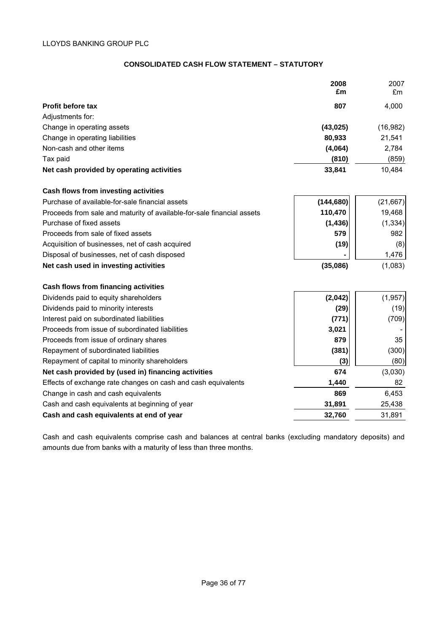## **CONSOLIDATED CASH FLOW STATEMENT – STATUTORY**

|                                           | 2008<br>£m | 2007<br>£m |
|-------------------------------------------|------------|------------|
| <b>Profit before tax</b>                  | 807        | 4,000      |
| Adjustments for:                          |            |            |
| Change in operating assets                | (43, 025)  | (16, 982)  |
| Change in operating liabilities           | 80,933     | 21,541     |
| Non-cash and other items                  | (4,064)    | 2,784      |
| Tax paid                                  | (810)      | (859)      |
| Net cash provided by operating activities | 33,841     | 10,484     |

## **Cash flows from investing activities**

| Cash flows from investing activities                                   |            |          |
|------------------------------------------------------------------------|------------|----------|
| Purchase of available-for-sale financial assets                        | (144, 680) | (21,667) |
| Proceeds from sale and maturity of available-for-sale financial assets | 110,470    | 19,468   |
| Purchase of fixed assets                                               | (1, 436)   | (1, 334) |
| Proceeds from sale of fixed assets                                     | 579        | 982      |
| Acquisition of businesses, net of cash acquired                        | (19)       | (8)      |
| Disposal of businesses, net of cash disposed                           |            | 1,476    |
| Net cash used in investing activities                                  | (35,086)   | (1,083)  |
| Cash flows from financing activities                                   |            |          |
| Dividends paid to equity shareholders                                  | (2,042)    | (1, 957) |
| Dividends paid to minority interests                                   | (29)       | (19)     |
|                                                                        |            |          |

| Dividends paid to minority interests                          | (2J)   | ונייו   |
|---------------------------------------------------------------|--------|---------|
| Interest paid on subordinated liabilities                     | (771)  | (709)   |
| Proceeds from issue of subordinated liabilities               | 3,021  |         |
| Proceeds from issue of ordinary shares                        | 879    | 35      |
| Repayment of subordinated liabilities                         | (381)  | (300)   |
| Repayment of capital to minority shareholders                 | (3)    | (80)    |
| Net cash provided by (used in) financing activities           | 674    | (3,030) |
| Effects of exchange rate changes on cash and cash equivalents | 1,440  | 82      |
| Change in cash and cash equivalents                           | 869    | 6,453   |
| Cash and cash equivalents at beginning of year                | 31,891 | 25,438  |
| Cash and cash equivalents at end of year                      | 32,760 | 31,891  |
|                                                               |        |         |

Cash and cash equivalents comprise cash and balances at central banks (excluding mandatory deposits) and amounts due from banks with a maturity of less than three months.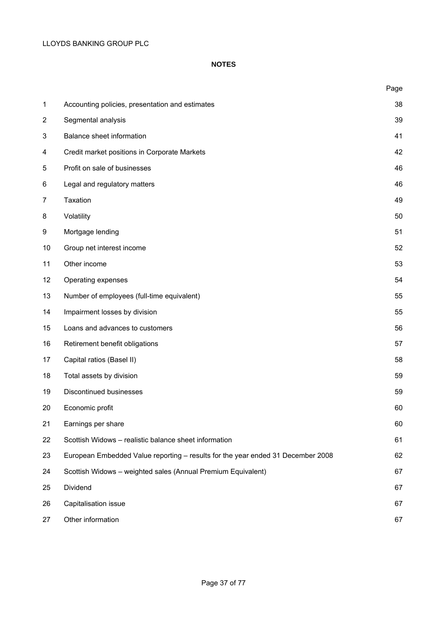## **NOTES**

|                |                                                                                 | Page |
|----------------|---------------------------------------------------------------------------------|------|
| $\mathbf 1$    | Accounting policies, presentation and estimates                                 | 38   |
| $\overline{2}$ | Segmental analysis                                                              | 39   |
| 3              | Balance sheet information                                                       | 41   |
| 4              | Credit market positions in Corporate Markets                                    | 42   |
| 5              | Profit on sale of businesses                                                    | 46   |
| 6              | Legal and regulatory matters                                                    | 46   |
| $\overline{7}$ | Taxation                                                                        | 49   |
| 8              | Volatility                                                                      | 50   |
| 9              | Mortgage lending                                                                | 51   |
| 10             | Group net interest income                                                       | 52   |
| 11             | Other income                                                                    | 53   |
| 12             | Operating expenses                                                              | 54   |
| 13             | Number of employees (full-time equivalent)                                      | 55   |
| 14             | Impairment losses by division                                                   | 55   |
| 15             | Loans and advances to customers                                                 | 56   |
| 16             | Retirement benefit obligations                                                  | 57   |
| 17             | Capital ratios (Basel II)                                                       | 58   |
| 18             | Total assets by division                                                        | 59   |
| 19             | Discontinued businesses                                                         | 59   |
| 20             | Economic profit                                                                 | 60   |
| 21             | Earnings per share                                                              | 60   |
| 22             | Scottish Widows - realistic balance sheet information                           | 61   |
| 23             | European Embedded Value reporting - results for the year ended 31 December 2008 | 62   |
| 24             | Scottish Widows - weighted sales (Annual Premium Equivalent)                    | 67   |
| 25             | Dividend                                                                        | 67   |
| 26             | Capitalisation issue                                                            | 67   |
| 27             | Other information                                                               | 67   |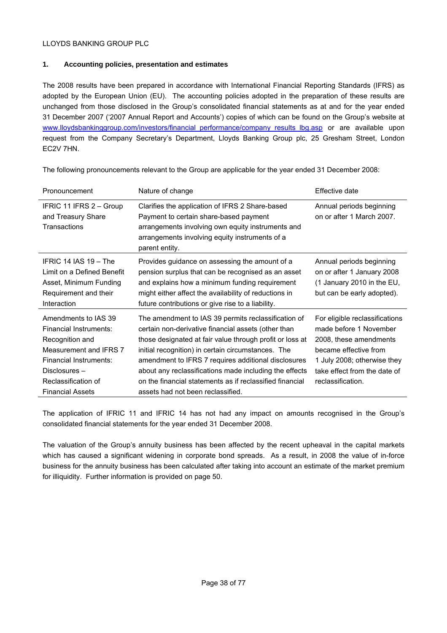## **1. Accounting policies, presentation and estimates**

The 2008 results have been prepared in accordance with International Financial Reporting Standards (IFRS) as adopted by the European Union (EU). The accounting policies adopted in the preparation of these results are unchanged from those disclosed in the Group's consolidated financial statements as at and for the year ended 31 December 2007 ('2007 Annual Report and Accounts') copies of which can be found on the Group's website at [www.lloydsbankinggroup.com/investors/financial\\_performance/company\\_results\\_lbg.asp](http://www.lloydsbankinggroup.com/investors/financial_performance/company_results_lbg.asp) or are available upon request from the Company Secretary's Department, Lloyds Banking Group plc, 25 Gresham Street, London EC2V 7HN.

| Pronouncement                                                                                                                                                                            | Nature of change                                                                                                                                                                                                                                                                                                                                                                                                                               | Effective date                                                                                                                                                                                  |
|------------------------------------------------------------------------------------------------------------------------------------------------------------------------------------------|------------------------------------------------------------------------------------------------------------------------------------------------------------------------------------------------------------------------------------------------------------------------------------------------------------------------------------------------------------------------------------------------------------------------------------------------|-------------------------------------------------------------------------------------------------------------------------------------------------------------------------------------------------|
| IFRIC 11 IFRS 2 - Group<br>and Treasury Share<br>Transactions                                                                                                                            | Clarifies the application of IFRS 2 Share-based<br>Payment to certain share-based payment<br>arrangements involving own equity instruments and<br>arrangements involving equity instruments of a<br>parent entity.                                                                                                                                                                                                                             | Annual periods beginning<br>on or after 1 March 2007.                                                                                                                                           |
| IFRIC 14 IAS 19 - The<br>Limit on a Defined Benefit<br>Asset, Minimum Funding<br>Requirement and their<br>Interaction                                                                    | Provides guidance on assessing the amount of a<br>pension surplus that can be recognised as an asset<br>and explains how a minimum funding requirement<br>might either affect the availability of reductions in<br>future contributions or give rise to a liability.                                                                                                                                                                           | Annual periods beginning<br>on or after 1 January 2008<br>(1 January 2010 in the EU,<br>but can be early adopted).                                                                              |
| Amendments to IAS 39<br>Financial Instruments:<br>Recognition and<br>Measurement and IFRS 7<br>Financial Instruments:<br>Disclosures -<br>Reclassification of<br><b>Financial Assets</b> | The amendment to IAS 39 permits reclassification of<br>certain non-derivative financial assets (other than<br>those designated at fair value through profit or loss at<br>initial recognition) in certain circumstances. The<br>amendment to IFRS 7 requires additional disclosures<br>about any reclassifications made including the effects<br>on the financial statements as if reclassified financial<br>assets had not been reclassified. | For eligible reclassifications<br>made before 1 November<br>2008, these amendments<br>became effective from<br>1 July 2008; otherwise they<br>take effect from the date of<br>reclassification. |

The following pronouncements relevant to the Group are applicable for the year ended 31 December 2008:

The application of IFRIC 11 and IFRIC 14 has not had any impact on amounts recognised in the Group's consolidated financial statements for the year ended 31 December 2008.

The valuation of the Group's annuity business has been affected by the recent upheaval in the capital markets which has caused a significant widening in corporate bond spreads. As a result, in 2008 the value of in-force business for the annuity business has been calculated after taking into account an estimate of the market premium for illiquidity. Further information is provided on page 50.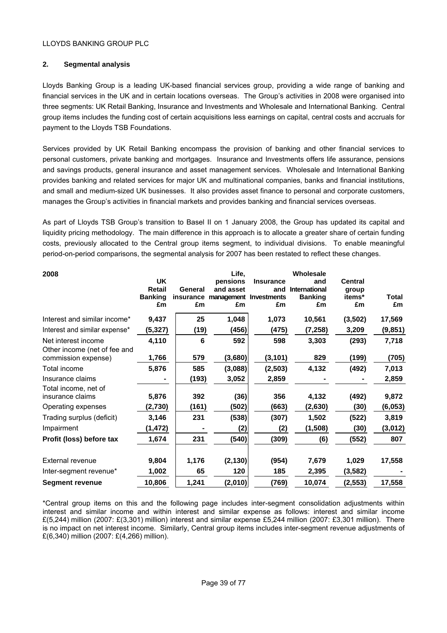## **2. Segmental analysis**

Lloyds Banking Group is a leading UK-based financial services group, providing a wide range of banking and financial services in the UK and in certain locations overseas. The Group's activities in 2008 were organised into three segments: UK Retail Banking, Insurance and Investments and Wholesale and International Banking. Central group items includes the funding cost of certain acquisitions less earnings on capital, central costs and accruals for payment to the Lloyds TSB Foundations.

Services provided by UK Retail Banking encompass the provision of banking and other financial services to personal customers, private banking and mortgages. Insurance and Investments offers life assurance, pensions and savings products, general insurance and asset management services. Wholesale and International Banking provides banking and related services for major UK and multinational companies, banks and financial institutions, and small and medium-sized UK businesses. It also provides asset finance to personal and corporate customers, manages the Group's activities in financial markets and provides banking and financial services overseas.

As part of Lloyds TSB Group's transition to Basel II on 1 January 2008, the Group has updated its capital and liquidity pricing methodology. The main difference in this approach is to allocate a greater share of certain funding costs, previously allocated to the Central group items segment, to individual divisions. To enable meaningful period-on-period comparisons, the segmental analysis for 2007 has been restated to reflect these changes.

| 2008                          | <b>UK</b>      |         | Life,<br>pensions                | <b>Insurance</b> | Wholesale<br>and     | <b>Central</b> |          |
|-------------------------------|----------------|---------|----------------------------------|------------------|----------------------|----------------|----------|
|                               | <b>Retail</b>  | General | and asset                        | and              | <b>International</b> | group          |          |
|                               | <b>Banking</b> |         | insurance management Investments |                  | <b>Banking</b>       | items*         | Total    |
|                               | £m             | £m      | £m                               | £m               | £m                   | £m             | £m       |
| Interest and similar income*  | 9,437          | 25      | 1,048                            | 1,073            | 10,561               | (3,502)        | 17,569   |
| Interest and similar expense* | (5, 327)       | (19)    | (456)                            | (475)            | (7, 258)             | 3,209          | (9, 851) |
| Net interest income           | 4,110          | 6       | 592                              | 598              | 3,303                | (293)          | 7,718    |
| Other income (net of fee and  |                |         |                                  |                  |                      |                |          |
| commission expense)           | 1,766          | 579     | (3,680)                          | (3, 101)         | 829                  | (199)          | (705)    |
| Total income                  | 5,876          | 585     | (3,088)                          | (2,503)          | 4,132                | (492)          | 7,013    |
| Insurance claims              |                | (193)   | 3,052                            | 2,859            |                      |                | 2,859    |
| Total income, net of          |                |         |                                  |                  |                      |                |          |
| insurance claims              | 5,876          | 392     | (36)                             | 356              | 4,132                | (492)          | 9,872    |
| Operating expenses            | (2,730)        | (161)   | (502)                            | (663)            | (2,630)              | (30)           | (6,053)  |
| Trading surplus (deficit)     | 3,146          | 231     | (538)                            | (307)            | 1,502                | (522)          | 3,819    |
| Impairment                    | (1,472)        |         | (2)                              | (2)              | (1,508)              | (30)           | (3,012)  |
| Profit (loss) before tax      | 1,674          | 231     | (540)                            | (309)            | (6)                  | (552)          | 807      |
|                               |                |         |                                  |                  |                      |                |          |
| <b>External revenue</b>       | 9,804          | 1,176   | (2, 130)                         | (954)            | 7,679                | 1,029          | 17,558   |
| Inter-segment revenue*        | 1,002          | 65      | 120                              | 185              | 2,395                | (3, 582)       |          |
| Segment revenue               | 10,806         | 1,241   | (2,010)                          | (769)            | 10,074               | (2, 553)       | 17,558   |

\*Central group items on this and the following page includes inter-segment consolidation adjustments within interest and similar income and within interest and similar expense as follows: interest and similar income £(5,244) million (2007: £(3,301) million) interest and similar expense £5,244 million (2007: £3,301 million). There is no impact on net interest income. Similarly, Central group items includes inter-segment revenue adjustments of £(6,340) million (2007: £(4,266) million).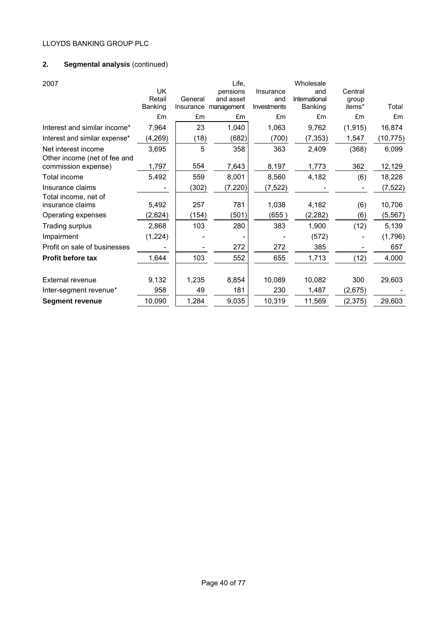# **2. Segmental analysis** (continued)

| 2007                          | <b>UK</b> |         | Life,<br>pensions    | Insurance   | Wholesale<br>and | Central  |           |
|-------------------------------|-----------|---------|----------------------|-------------|------------------|----------|-----------|
|                               | Retail    | General | and asset            | and         | International    | group    |           |
|                               | Banking   |         | Insurance management | Investments | Banking          | items*   | Total     |
|                               | £m        | £m      | £m                   | £m          | £m               | £m       | £m        |
| Interest and similar income*  | 7,964     | 23      | 1,040                | 1,063       | 9,762            | (1, 915) | 16,874    |
| Interest and similar expense* | (4,269)   | (18)    | (682)                | (700)       | (7, 353)         | 1,547    | (10, 775) |
| Net interest income           | 3,695     | 5       | 358                  | 363         | 2,409            | (368)    | 6,099     |
| Other income (net of fee and  |           |         |                      |             |                  |          |           |
| commission expense)           | 1,797     | 554     | 7,643                | 8,197       | 1,773            | 362      | 12,129    |
| Total income                  | 5,492     | 559     | 8,001                | 8,560       | 4,182            | (6)      | 18,228    |
| Insurance claims              |           | (302)   | (7, 220)             | (7, 522)    |                  |          | (7, 522)  |
| Total income, net of          |           |         |                      |             |                  |          |           |
| insurance claims              | 5,492     | 257     | 781                  | 1,038       | 4,182            | (6)      | 10,706    |
| Operating expenses            | (2,624)   | (154)   | (501)                | (655)       | (2, 282)         | (6)      | (5, 567)  |
| Trading surplus               | 2,868     | 103     | 280                  | 383         | 1,900            | (12)     | 5,139     |
| Impairment                    | (1,224)   |         |                      |             | (572)            |          | (1,796)   |
| Profit on sale of businesses  |           |         | 272                  | 272         | 385              |          | 657       |
| <b>Profit before tax</b>      | 1,644     | 103     | 552                  | 655         | 1,713            | (12)     | 4,000     |
|                               |           |         |                      |             |                  |          |           |
| <b>External revenue</b>       | 9,132     | 1,235   | 8,854                | 10,089      | 10,082           | 300      | 29,603    |
| Inter-segment revenue*        | 958       | 49      | 181                  | 230         | 1,487            | (2,675)  |           |
| <b>Segment revenue</b>        | 10,090    | 1,284   | 9,035                | 10,319      | 11,569           | (2,375)  | 29,603    |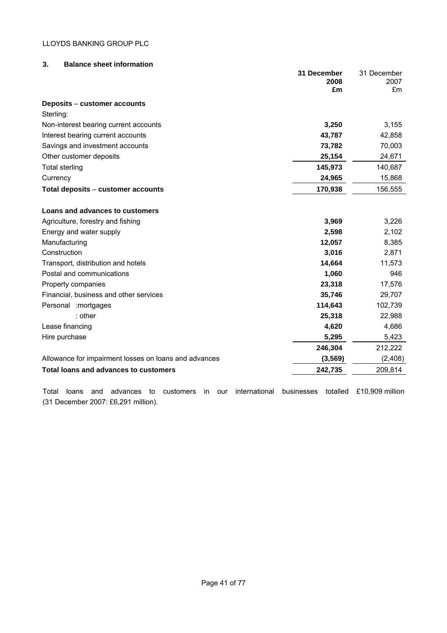| Lease financing                                                                                                            | 4,620                  | 4,686           |
|----------------------------------------------------------------------------------------------------------------------------|------------------------|-----------------|
| Hire purchase                                                                                                              | 5,295                  | 5,423           |
|                                                                                                                            | 246,304                | 212,222         |
| Allowance for impairment losses on loans and advances                                                                      | (3, 569)               | (2,408)         |
| Total loans and advances to customers                                                                                      | 242,735                | 209,814         |
| international<br>customers<br>Total<br>advances<br>in.<br>loans<br>to<br>our<br>and<br>(31 December 2007: £6,291 million). | totalled<br>businesses | £10,909 million |

## **3. Balance sheet information**

|                                                       | 31 December<br>2008<br>£m | 31 December<br>2007<br>£m |
|-------------------------------------------------------|---------------------------|---------------------------|
| Deposits – customer accounts                          |                           |                           |
| Sterling:                                             |                           |                           |
| Non-interest bearing current accounts                 | 3,250                     | 3,155                     |
| Interest bearing current accounts                     | 43,787                    | 42,858                    |
| Savings and investment accounts                       | 73,782                    | 70,003                    |
| Other customer deposits                               | 25,154                    | 24,671                    |
| Total sterling                                        | 145,973                   | 140,687                   |
| Currency                                              | 24,965                    | 15,868                    |
| Total deposits – customer accounts                    | 170,938                   | 156,555                   |
| Loans and advances to customers                       |                           |                           |
| Agriculture, forestry and fishing                     | 3,969                     | 3,226                     |
| Energy and water supply                               | 2,598                     | 2,102                     |
| Manufacturing                                         | 12,057                    | 8,385                     |
| Construction                                          | 3,016                     | 2,871                     |
| Transport, distribution and hotels                    | 14,664                    | 11,573                    |
| Postal and communications                             | 1,060                     | 946                       |
| Property companies                                    | 23,318                    | 17,576                    |
| Financial, business and other services                | 35,746                    | 29,707                    |
| Personal : mortgages                                  | 114,643                   | 102,739                   |
| : other                                               | 25,318                    | 22,988                    |
| Lease financing                                       | 4,620                     | 4,686                     |
| Hire purchase                                         | 5,295                     | 5,423                     |
|                                                       | 246,304                   | 212,222                   |
| Allowance for impairment losses on loans and advances | (3, 569)                  | (2, 408)                  |
| Total loans and advances to customers                 | 242.735                   | 209.814                   |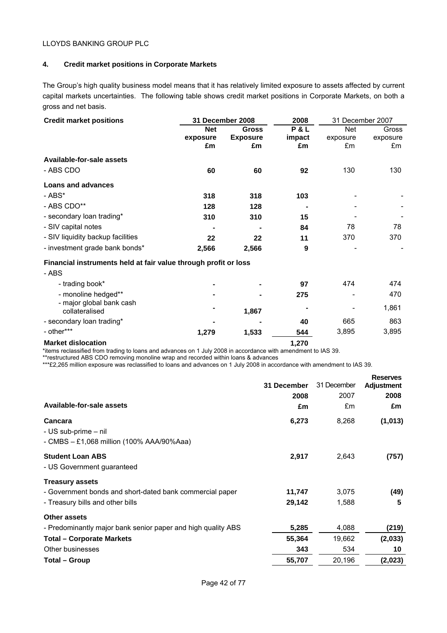## **4. Credit market positions in Corporate Markets**

The Group's high quality business model means that it has relatively limited exposure to assets affected by current capital markets uncertainties. The following table shows credit market positions in Corporate Markets, on both a gross and net basis.

| <b>Credit market positions</b>                                  |            | 31 December 2008 | 2008   | 31 December 2007 |          |  |
|-----------------------------------------------------------------|------------|------------------|--------|------------------|----------|--|
|                                                                 | <b>Net</b> | <b>Gross</b>     | P&L    | <b>Net</b>       | Gross    |  |
|                                                                 | exposure   | <b>Exposure</b>  | impact | exposure         | exposure |  |
|                                                                 | £m         | £m               | £m     | £m               | £m       |  |
| Available-for-sale assets                                       |            |                  |        |                  |          |  |
| - ABS CDO                                                       | 60         | 60               | 92     | 130              | 130      |  |
| <b>Loans and advances</b>                                       |            |                  |        |                  |          |  |
| - ABS*                                                          | 318        | 318              | 103    |                  |          |  |
| - ABS CDO**                                                     | 128        | 128              | ٠      |                  |          |  |
| - secondary loan trading*                                       | 310        | 310              | 15     |                  |          |  |
| - SIV capital notes                                             |            |                  | 84     | 78               | 78       |  |
| - SIV liquidity backup facilities                               | 22         | 22               | 11     | 370              | 370      |  |
| - investment grade bank bonds*                                  | 2,566      | 2,566            | 9      |                  |          |  |
| Financial instruments held at fair value through profit or loss |            |                  |        |                  |          |  |
| - ABS                                                           |            |                  |        |                  |          |  |
| - trading book*                                                 |            |                  | 97     | 474              | 474      |  |
| - monoline hedged**                                             |            |                  | 275    |                  | 470      |  |
| - major global bank cash<br>collateralised                      |            | 1,867            | ۰      |                  | 1,861    |  |
| - secondary loan trading*                                       |            |                  | 40     | 665              | 863      |  |
| - other***                                                      | 1,279      | 1,533            | 544    | 3,895            | 3,895    |  |

#### **Market dislocation** 1,270

\*items reclassified from trading to loans and advances on 1 July 2008 in accordance with amendment to IAS 39.

\*\*restructured ABS CDO removing monoline wrap and recorded within loans & advances

\*\*\*£2,265 million exposure was reclassified to loans and advances on 1 July 2008 in accordance with amendment to IAS 39.

| Available-for-sale assets<br><b>Cancara</b><br>- US sub-prime - nil                                                    | 31 December<br>2008<br>£m<br>6,273 | 31 December<br>2007<br>£m<br>8,268 | <b>Reserves</b><br><b>Adjustment</b><br>2008<br>£m<br>(1,013) |
|------------------------------------------------------------------------------------------------------------------------|------------------------------------|------------------------------------|---------------------------------------------------------------|
| - CMBS - £1,068 million (100% AAA/90%Aaa)                                                                              |                                    |                                    |                                                               |
| <b>Student Loan ABS</b><br>- US Government guaranteed                                                                  | 2,917                              | 2,643                              | (757)                                                         |
| <b>Treasury assets</b><br>- Government bonds and short-dated bank commercial paper<br>- Treasury bills and other bills | 11,747<br>29,142                   | 3,075<br>1,588                     | (49)<br>5                                                     |
| Other assets<br>- Predominantly major bank senior paper and high quality ABS                                           | 5,285                              | 4,088                              | (219)                                                         |
| <b>Total – Corporate Markets</b><br>Other businesses                                                                   | 55,364<br>343                      | 19,662<br>534                      | (2,033)<br>10                                                 |
| Total – Group                                                                                                          | 55,707                             | 20,196                             | (2,023)                                                       |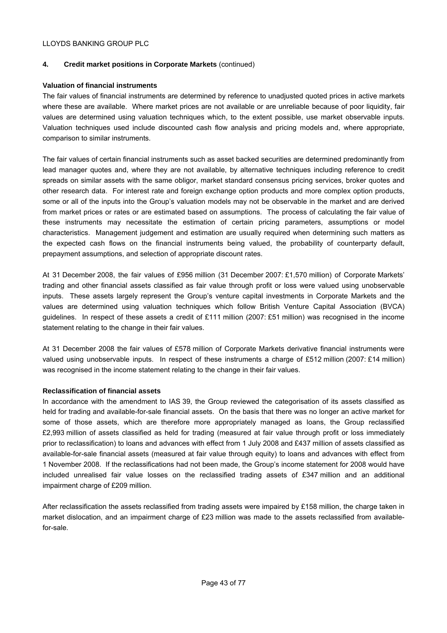## **4. Credit market positions in Corporate Markets** (continued)

## **Valuation of financial instruments**

The fair values of financial instruments are determined by reference to unadjusted quoted prices in active markets where these are available. Where market prices are not available or are unreliable because of poor liquidity, fair values are determined using valuation techniques which, to the extent possible, use market observable inputs. Valuation techniques used include discounted cash flow analysis and pricing models and, where appropriate, comparison to similar instruments.

The fair values of certain financial instruments such as asset backed securities are determined predominantly from lead manager quotes and, where they are not available, by alternative techniques including reference to credit spreads on similar assets with the same obligor, market standard consensus pricing services, broker quotes and other research data. For interest rate and foreign exchange option products and more complex option products, some or all of the inputs into the Group's valuation models may not be observable in the market and are derived from market prices or rates or are estimated based on assumptions. The process of calculating the fair value of these instruments may necessitate the estimation of certain pricing parameters, assumptions or model characteristics. Management judgement and estimation are usually required when determining such matters as the expected cash flows on the financial instruments being valued, the probability of counterparty default, prepayment assumptions, and selection of appropriate discount rates.

At 31 December 2008, the fair values of £956 million (31 December 2007: £1,570 million) of Corporate Markets' trading and other financial assets classified as fair value through profit or loss were valued using unobservable inputs. These assets largely represent the Group's venture capital investments in Corporate Markets and the values are determined using valuation techniques which follow British Venture Capital Association (BVCA) guidelines. In respect of these assets a credit of £111 million (2007: £51 million) was recognised in the income statement relating to the change in their fair values.

At 31 December 2008 the fair values of £578 million of Corporate Markets derivative financial instruments were valued using unobservable inputs. In respect of these instruments a charge of £512 million (2007: £14 million) was recognised in the income statement relating to the change in their fair values.

## **Reclassification of financial assets**

In accordance with the amendment to IAS 39, the Group reviewed the categorisation of its assets classified as held for trading and available-for-sale financial assets. On the basis that there was no longer an active market for some of those assets, which are therefore more appropriately managed as loans, the Group reclassified £2,993 million of assets classified as held for trading (measured at fair value through profit or loss immediately prior to reclassification) to loans and advances with effect from 1 July 2008 and £437 million of assets classified as available-for-sale financial assets (measured at fair value through equity) to loans and advances with effect from 1 November 2008. If the reclassifications had not been made, the Group's income statement for 2008 would have included unrealised fair value losses on the reclassified trading assets of £347 million and an additional impairment charge of £209 million.

After reclassification the assets reclassified from trading assets were impaired by £158 million, the charge taken in market dislocation, and an impairment charge of £23 million was made to the assets reclassified from availablefor-sale.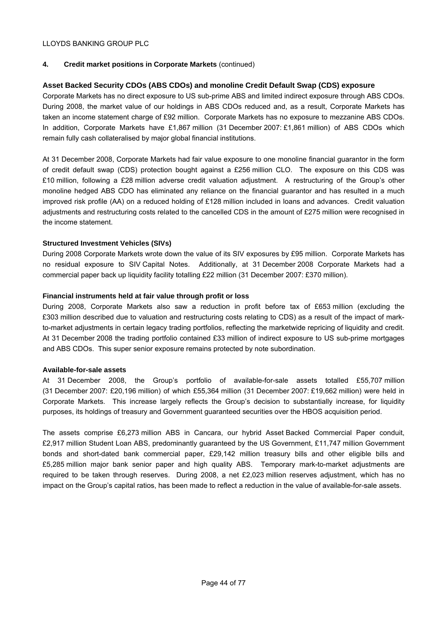## **4. Credit market positions in Corporate Markets** (continued)

## **Asset Backed Security CDOs (ABS CDOs) and monoline Credit Default Swap (CDS) exposure**

Corporate Markets has no direct exposure to US sub-prime ABS and limited indirect exposure through ABS CDOs. During 2008, the market value of our holdings in ABS CDOs reduced and, as a result, Corporate Markets has taken an income statement charge of £92 million. Corporate Markets has no exposure to mezzanine ABS CDOs. In addition, Corporate Markets have £1,867 million (31 December 2007: £1,861 million) of ABS CDOs which remain fully cash collateralised by major global financial institutions.

At 31 December 2008, Corporate Markets had fair value exposure to one monoline financial guarantor in the form of credit default swap (CDS) protection bought against a £256 million CLO. The exposure on this CDS was £10 million, following a £28 million adverse credit valuation adjustment. A restructuring of the Group's other monoline hedged ABS CDO has eliminated any reliance on the financial guarantor and has resulted in a much improved risk profile (AA) on a reduced holding of £128 million included in loans and advances. Credit valuation adjustments and restructuring costs related to the cancelled CDS in the amount of £275 million were recognised in the income statement.

## **Structured Investment Vehicles (SIVs)**

During 2008 Corporate Markets wrote down the value of its SIV exposures by £95 million. Corporate Markets has no residual exposure to SIV Capital Notes. Additionally, at 31 December 2008 Corporate Markets had a commercial paper back up liquidity facility totalling £22 million (31 December 2007: £370 million).

## **Financial instruments held at fair value through profit or loss**

During 2008, Corporate Markets also saw a reduction in profit before tax of £653 million (excluding the £303 million described due to valuation and restructuring costs relating to CDS) as a result of the impact of markto-market adjustments in certain legacy trading portfolios, reflecting the marketwide repricing of liquidity and credit. At 31 December 2008 the trading portfolio contained £33 million of indirect exposure to US sub-prime mortgages and ABS CDOs. This super senior exposure remains protected by note subordination.

#### **Available-for-sale assets**

At 31 December 2008, the Group's portfolio of available-for-sale assets totalled £55,707 million (31 December 2007: £20,196 million) of which £55,364 million (31 December 2007: £19,662 million) were held in Corporate Markets. This increase largely reflects the Group's decision to substantially increase, for liquidity purposes, its holdings of treasury and Government guaranteed securities over the HBOS acquisition period.

The assets comprise £6,273 million ABS in Cancara, our hybrid Asset Backed Commercial Paper conduit, £2,917 million Student Loan ABS, predominantly guaranteed by the US Government, £11,747 million Government bonds and short-dated bank commercial paper, £29,142 million treasury bills and other eligible bills and £5,285 million major bank senior paper and high quality ABS. Temporary mark-to-market adjustments are required to be taken through reserves. During 2008, a net £2,023 million reserves adjustment, which has no impact on the Group's capital ratios, has been made to reflect a reduction in the value of available-for-sale assets.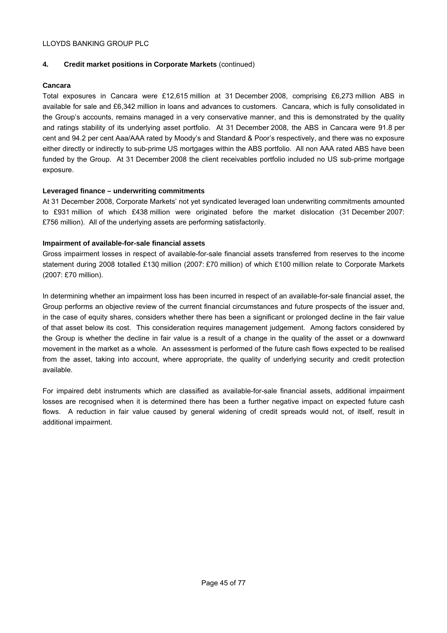## **4. Credit market positions in Corporate Markets** (continued)

## **Cancara**

Total exposures in Cancara were £12,615 million at 31 December 2008, comprising £6,273 million ABS in available for sale and £6,342 million in loans and advances to customers. Cancara, which is fully consolidated in the Group's accounts, remains managed in a very conservative manner, and this is demonstrated by the quality and ratings stability of its underlying asset portfolio. At 31 December 2008, the ABS in Cancara were 91.8 per cent and 94.2 per cent Aaa/AAA rated by Moody's and Standard & Poor's respectively, and there was no exposure either directly or indirectly to sub-prime US mortgages within the ABS portfolio. All non AAA rated ABS have been funded by the Group. At 31 December 2008 the client receivables portfolio included no US sub-prime mortgage exposure.

## **Leveraged finance – underwriting commitments**

At 31 December 2008, Corporate Markets' not yet syndicated leveraged loan underwriting commitments amounted to £931 million of which £438 million were originated before the market dislocation (31 December 2007: £756 million). All of the underlying assets are performing satisfactorily.

## **Impairment of available-for-sale financial assets**

Gross impairment losses in respect of available-for-sale financial assets transferred from reserves to the income statement during 2008 totalled £130 million (2007: £70 million) of which £100 million relate to Corporate Markets (2007: £70 million).

In determining whether an impairment loss has been incurred in respect of an available-for-sale financial asset, the Group performs an objective review of the current financial circumstances and future prospects of the issuer and, in the case of equity shares, considers whether there has been a significant or prolonged decline in the fair value of that asset below its cost. This consideration requires management judgement. Among factors considered by the Group is whether the decline in fair value is a result of a change in the quality of the asset or a downward movement in the market as a whole. An assessment is performed of the future cash flows expected to be realised from the asset, taking into account, where appropriate, the quality of underlying security and credit protection available.

For impaired debt instruments which are classified as available-for-sale financial assets, additional impairment losses are recognised when it is determined there has been a further negative impact on expected future cash flows. A reduction in fair value caused by general widening of credit spreads would not, of itself, result in additional impairment.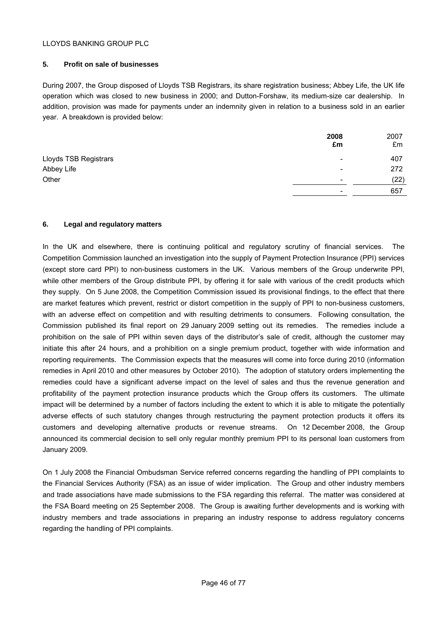## **5. Profit on sale of businesses**

During 2007, the Group disposed of Lloyds TSB Registrars, its share registration business; Abbey Life, the UK life operation which was closed to new business in 2000; and Dutton-Forshaw, its medium-size car dealership. In addition, provision was made for payments under an indemnity given in relation to a business sold in an earlier year. A breakdown is provided below:

|                       | 2008<br>£m               | 2007<br>£m |
|-----------------------|--------------------------|------------|
| Lloyds TSB Registrars | $\overline{\phantom{a}}$ | 407        |
| Abbey Life            | $\overline{\phantom{0}}$ | 272        |
| Other                 | -                        | (22)       |
|                       | $\overline{\phantom{0}}$ | 657        |

## **6. Legal and regulatory matters**

In the UK and elsewhere, there is continuing political and regulatory scrutiny of financial services. The Competition Commission launched an investigation into the supply of Payment Protection Insurance (PPI) services (except store card PPI) to non-business customers in the UK. Various members of the Group underwrite PPI, while other members of the Group distribute PPI, by offering it for sale with various of the credit products which they supply. On 5 June 2008, the Competition Commission issued its provisional findings, to the effect that there are market features which prevent, restrict or distort competition in the supply of PPI to non-business customers, with an adverse effect on competition and with resulting detriments to consumers. Following consultation, the Commission published its final report on 29 January 2009 setting out its remedies. The remedies include a prohibition on the sale of PPI within seven days of the distributor's sale of credit, although the customer may initiate this after 24 hours, and a prohibition on a single premium product, together with wide information and reporting requirements. The Commission expects that the measures will come into force during 2010 (information remedies in April 2010 and other measures by October 2010). The adoption of statutory orders implementing the remedies could have a significant adverse impact on the level of sales and thus the revenue generation and profitability of the payment protection insurance products which the Group offers its customers. The ultimate impact will be determined by a number of factors including the extent to which it is able to mitigate the potentially adverse effects of such statutory changes through restructuring the payment protection products it offers its customers and developing alternative products or revenue streams. On 12 December 2008, the Group announced its commercial decision to sell only regular monthly premium PPI to its personal loan customers from January 2009.

On 1 July 2008 the Financial Ombudsman Service referred concerns regarding the handling of PPI complaints to the Financial Services Authority (FSA) as an issue of wider implication. The Group and other industry members and trade associations have made submissions to the FSA regarding this referral. The matter was considered at the FSA Board meeting on 25 September 2008. The Group is awaiting further developments and is working with industry members and trade associations in preparing an industry response to address regulatory concerns regarding the handling of PPI complaints.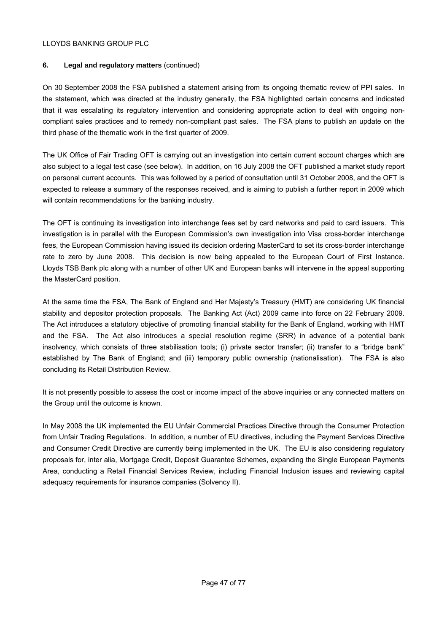## **6. Legal and regulatory matters** (continued)

On 30 September 2008 the FSA published a statement arising from its ongoing thematic review of PPI sales. In the statement, which was directed at the industry generally, the FSA highlighted certain concerns and indicated that it was escalating its regulatory intervention and considering appropriate action to deal with ongoing noncompliant sales practices and to remedy non-compliant past sales. The FSA plans to publish an update on the third phase of the thematic work in the first quarter of 2009.

The UK Office of Fair Trading OFT is carrying out an investigation into certain current account charges which are also subject to a legal test case (see below). In addition, on 16 July 2008 the OFT published a market study report on personal current accounts. This was followed by a period of consultation until 31 October 2008, and the OFT is expected to release a summary of the responses received, and is aiming to publish a further report in 2009 which will contain recommendations for the banking industry.

The OFT is continuing its investigation into interchange fees set by card networks and paid to card issuers. This investigation is in parallel with the European Commission's own investigation into Visa cross-border interchange fees, the European Commission having issued its decision ordering MasterCard to set its cross-border interchange rate to zero by June 2008. This decision is now being appealed to the European Court of First Instance. Lloyds TSB Bank plc along with a number of other UK and European banks will intervene in the appeal supporting the MasterCard position.

At the same time the FSA, The Bank of England and Her Majesty's Treasury (HMT) are considering UK financial stability and depositor protection proposals. The Banking Act (Act) 2009 came into force on 22 February 2009. The Act introduces a statutory objective of promoting financial stability for the Bank of England, working with HMT and the FSA. The Act also introduces a special resolution regime (SRR) in advance of a potential bank insolvency, which consists of three stabilisation tools; (i) private sector transfer; (ii) transfer to a "bridge bank" established by The Bank of England; and (iii) temporary public ownership (nationalisation). The FSA is also concluding its Retail Distribution Review.

It is not presently possible to assess the cost or income impact of the above inquiries or any connected matters on the Group until the outcome is known.

In May 2008 the UK implemented the EU Unfair Commercial Practices Directive through the Consumer Protection from Unfair Trading Regulations. In addition, a number of EU directives, including the Payment Services Directive and Consumer Credit Directive are currently being implemented in the UK. The EU is also considering regulatory proposals for, inter alia, Mortgage Credit, Deposit Guarantee Schemes, expanding the Single European Payments Area, conducting a Retail Financial Services Review, including Financial Inclusion issues and reviewing capital adequacy requirements for insurance companies (Solvency II).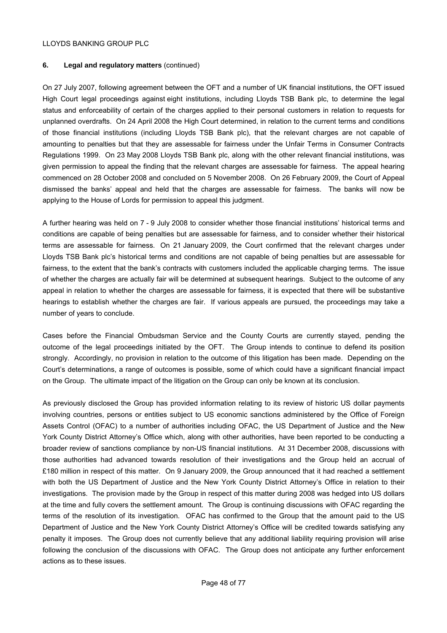## **6. Legal and regulatory matters** (continued)

On 27 July 2007, following agreement between the OFT and a number of UK financial institutions, the OFT issued High Court legal proceedings against eight institutions, including Lloyds TSB Bank plc, to determine the legal status and enforceability of certain of the charges applied to their personal customers in relation to requests for unplanned overdrafts. On 24 April 2008 the High Court determined, in relation to the current terms and conditions of those financial institutions (including Lloyds TSB Bank plc), that the relevant charges are not capable of amounting to penalties but that they are assessable for fairness under the Unfair Terms in Consumer Contracts Regulations 1999. On 23 May 2008 Lloyds TSB Bank plc, along with the other relevant financial institutions, was given permission to appeal the finding that the relevant charges are assessable for fairness. The appeal hearing commenced on 28 October 2008 and concluded on 5 November 2008. On 26 February 2009, the Court of Appeal dismissed the banks' appeal and held that the charges are assessable for fairness. The banks will now be applying to the House of Lords for permission to appeal this judgment.

A further hearing was held on 7 - 9 July 2008 to consider whether those financial institutions' historical terms and conditions are capable of being penalties but are assessable for fairness, and to consider whether their historical terms are assessable for fairness. On 21 January 2009, the Court confirmed that the relevant charges under Lloyds TSB Bank plc's historical terms and conditions are not capable of being penalties but are assessable for fairness, to the extent that the bank's contracts with customers included the applicable charging terms. The issue of whether the charges are actually fair will be determined at subsequent hearings. Subject to the outcome of any appeal in relation to whether the charges are assessable for fairness, it is expected that there will be substantive hearings to establish whether the charges are fair. If various appeals are pursued, the proceedings may take a number of years to conclude.

Cases before the Financial Ombudsman Service and the County Courts are currently stayed, pending the outcome of the legal proceedings initiated by the OFT. The Group intends to continue to defend its position strongly. Accordingly, no provision in relation to the outcome of this litigation has been made. Depending on the Court's determinations, a range of outcomes is possible, some of which could have a significant financial impact on the Group. The ultimate impact of the litigation on the Group can only be known at its conclusion.

As previously disclosed the Group has provided information relating to its review of historic US dollar payments involving countries, persons or entities subject to US economic sanctions administered by the Office of Foreign Assets Control (OFAC) to a number of authorities including OFAC, the US Department of Justice and the New York County District Attorney's Office which, along with other authorities, have been reported to be conducting a broader review of sanctions compliance by non-US financial institutions. At 31 December 2008, discussions with those authorities had advanced towards resolution of their investigations and the Group held an accrual of £180 million in respect of this matter. On 9 January 2009, the Group announced that it had reached a settlement with both the US Department of Justice and the New York County District Attorney's Office in relation to their investigations. The provision made by the Group in respect of this matter during 2008 was hedged into US dollars at the time and fully covers the settlement amount. The Group is continuing discussions with OFAC regarding the terms of the resolution of its investigation. OFAC has confirmed to the Group that the amount paid to the US Department of Justice and the New York County District Attorney's Office will be credited towards satisfying any penalty it imposes. The Group does not currently believe that any additional liability requiring provision will arise following the conclusion of the discussions with OFAC. The Group does not anticipate any further enforcement actions as to these issues.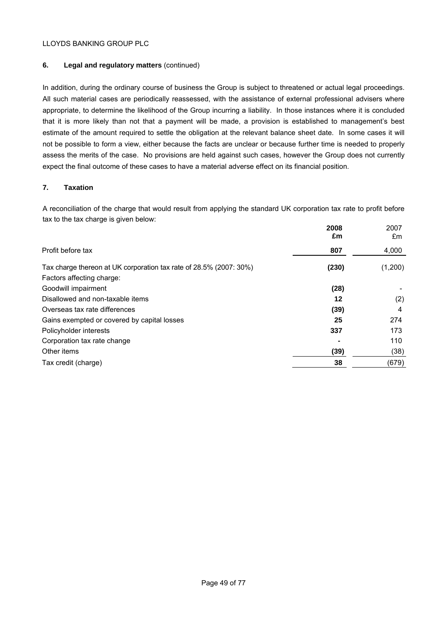## **6. Legal and regulatory matters** (continued)

In addition, during the ordinary course of business the Group is subject to threatened or actual legal proceedings. All such material cases are periodically reassessed, with the assistance of external professional advisers where appropriate, to determine the likelihood of the Group incurring a liability. In those instances where it is concluded that it is more likely than not that a payment will be made, a provision is established to management's best estimate of the amount required to settle the obligation at the relevant balance sheet date. In some cases it will not be possible to form a view, either because the facts are unclear or because further time is needed to properly assess the merits of the case. No provisions are held against such cases, however the Group does not currently expect the final outcome of these cases to have a material adverse effect on its financial position.

## **7. Taxation**

A reconciliation of the charge that would result from applying the standard UK corporation tax rate to profit before tax to the tax charge is given below:

|                                                                    | 2008<br>£m | 2007<br>£m |
|--------------------------------------------------------------------|------------|------------|
| Profit before tax                                                  | 807        | 4,000      |
| Tax charge thereon at UK corporation tax rate of 28.5% (2007: 30%) | (230)      | (1,200)    |
| Factors affecting charge:                                          |            |            |
| Goodwill impairment                                                | (28)       |            |
| Disallowed and non-taxable items                                   | 12         | (2)        |
| Overseas tax rate differences                                      | (39)       | 4          |
| Gains exempted or covered by capital losses                        | 25         | 274        |
| Policyholder interests                                             | 337        | 173        |
| Corporation tax rate change                                        |            | 110        |
| Other items                                                        | (39)       | (38)       |
| Tax credit (charge)                                                | 38         | (679)      |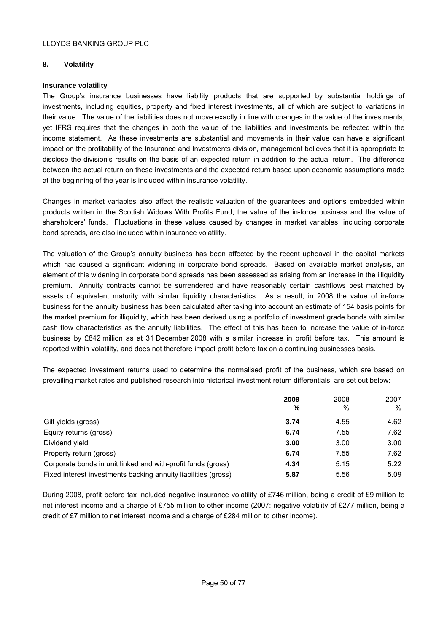## **8. Volatility**

## **Insurance volatility**

The Group's insurance businesses have liability products that are supported by substantial holdings of investments, including equities, property and fixed interest investments, all of which are subject to variations in their value. The value of the liabilities does not move exactly in line with changes in the value of the investments, yet IFRS requires that the changes in both the value of the liabilities and investments be reflected within the income statement. As these investments are substantial and movements in their value can have a significant impact on the profitability of the Insurance and Investments division, management believes that it is appropriate to disclose the division's results on the basis of an expected return in addition to the actual return. The difference between the actual return on these investments and the expected return based upon economic assumptions made at the beginning of the year is included within insurance volatility.

Changes in market variables also affect the realistic valuation of the guarantees and options embedded within products written in the Scottish Widows With Profits Fund, the value of the in-force business and the value of shareholders' funds. Fluctuations in these values caused by changes in market variables, including corporate bond spreads, are also included within insurance volatility.

The valuation of the Group's annuity business has been affected by the recent upheaval in the capital markets which has caused a significant widening in corporate bond spreads. Based on available market analysis, an element of this widening in corporate bond spreads has been assessed as arising from an increase in the illiquidity premium. Annuity contracts cannot be surrendered and have reasonably certain cashflows best matched by assets of equivalent maturity with similar liquidity characteristics. As a result, in 2008 the value of in-force business for the annuity business has been calculated after taking into account an estimate of 154 basis points for the market premium for illiquidity, which has been derived using a portfolio of investment grade bonds with similar cash flow characteristics as the annuity liabilities. The effect of this has been to increase the value of in-force business by £842 million as at 31 December 2008 with a similar increase in profit before tax. This amount is reported within volatility, and does not therefore impact profit before tax on a continuing businesses basis.

The expected investment returns used to determine the normalised profit of the business, which are based on prevailing market rates and published research into historical investment return differentials, are set out below:

|                                                                | 2009 | 2008 | 2007 |
|----------------------------------------------------------------|------|------|------|
|                                                                | $\%$ | $\%$ | %    |
| Gilt yields (gross)                                            | 3.74 | 4.55 | 4.62 |
| Equity returns (gross)                                         | 6.74 | 7.55 | 7.62 |
| Dividend yield                                                 | 3.00 | 3.00 | 3.00 |
| Property return (gross)                                        | 6.74 | 7.55 | 7.62 |
| Corporate bonds in unit linked and with-profit funds (gross)   | 4.34 | 5.15 | 5.22 |
| Fixed interest investments backing annuity liabilities (gross) | 5.87 | 5.56 | 5.09 |

During 2008, profit before tax included negative insurance volatility of £746 million, being a credit of £9 million to net interest income and a charge of £755 million to other income (2007: negative volatility of £277 million, being a credit of £7 million to net interest income and a charge of £284 million to other income).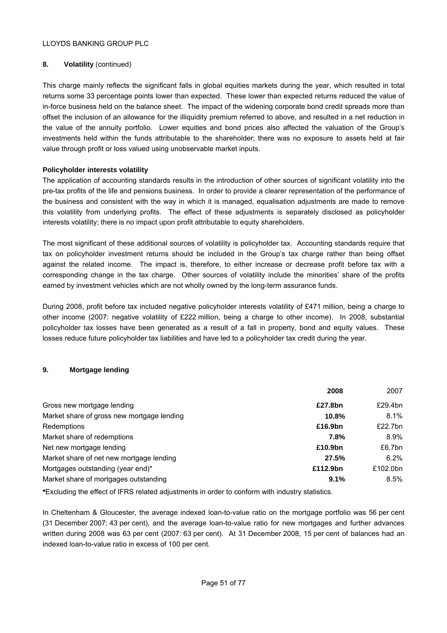## **8. Volatility** (continued)

This charge mainly reflects the significant falls in global equities markets during the year, which resulted in total returns some 33 percentage points lower than expected. These lower than expected returns reduced the value of in-force business held on the balance sheet. The impact of the widening corporate bond credit spreads more than offset the inclusion of an allowance for the illiquidity premium referred to above, and resulted in a net reduction in the value of the annuity portfolio. Lower equities and bond prices also affected the valuation of the Group's investments held within the funds attributable to the shareholder; there was no exposure to assets held at fair value through profit or loss valued using unobservable market inputs.

## **Policyholder interests volatility**

The application of accounting standards results in the introduction of other sources of significant volatility into the pre-tax profits of the life and pensions business. In order to provide a clearer representation of the performance of the business and consistent with the way in which it is managed, equalisation adjustments are made to remove this volatility from underlying profits. The effect of these adjustments is separately disclosed as policyholder interests volatility; there is no impact upon profit attributable to equity shareholders.

The most significant of these additional sources of volatility is policyholder tax. Accounting standards require that tax on policyholder investment returns should be included in the Group's tax charge rather than being offset against the related income. The impact is, therefore, to either increase or decrease profit before tax with a corresponding change in the tax charge. Other sources of volatility include the minorities' share of the profits earned by investment vehicles which are not wholly owned by the long-term assurance funds.

During 2008, profit before tax included negative policyholder interests volatility of £471 million, being a charge to other income (2007: negative volatility of £222 million, being a charge to other income). In 2008, substantial policyholder tax losses have been generated as a result of a fall in property, bond and equity values. These losses reduce future policyholder tax liabilities and have led to a policyholder tax credit during the year.

## **9. Mortgage lending**

|                                            | 2008     | 2007     |
|--------------------------------------------|----------|----------|
| Gross new mortgage lending                 | £27.8bn  | £29.4bn  |
| Market share of gross new mortgage lending | 10.8%    | 8.1%     |
| Redemptions                                | £16.9bn  | £22.7bn  |
| Market share of redemptions                | 7.8%     | 8.9%     |
| Net new mortgage lending                   | £10.9bn  | £6.7bn   |
| Market share of net new mortgage lending   | 27.5%    | 6.2%     |
| Mortgages outstanding (year end)*          | £112.9bn | £102.0bn |
| Market share of mortgages outstanding      | 9.1%     | 8.5%     |

**\***Excluding the effect of IFRS related adjustments in order to conform with industry statistics.

In Cheltenham & Gloucester, the average indexed loan-to-value ratio on the mortgage portfolio was 56 per cent (31 December 2007: 43 per cent), and the average loan-to-value ratio for new mortgages and further advances written during 2008 was 63 per cent (2007: 63 per cent). At 31 December 2008, 15 per cent of balances had an indexed loan-to-value ratio in excess of 100 per cent.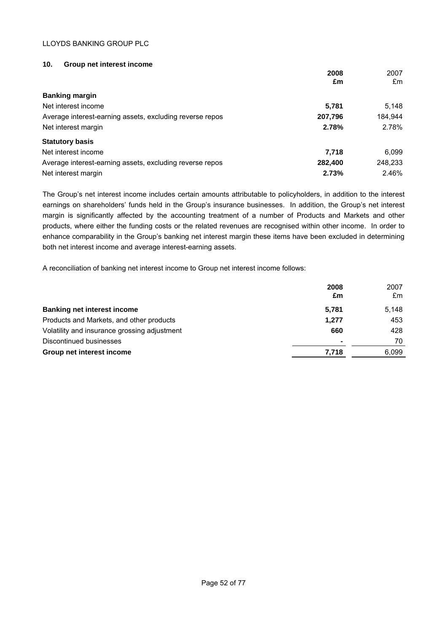## **10. Group net interest income**

|                                                          | 2008<br>£m | 2007<br>£m |
|----------------------------------------------------------|------------|------------|
| <b>Banking margin</b>                                    |            |            |
| Net interest income                                      | 5,781      | 5,148      |
| Average interest-earning assets, excluding reverse repos | 207,796    | 184,944    |
| Net interest margin                                      | 2.78%      | 2.78%      |
| <b>Statutory basis</b>                                   |            |            |
| Net interest income                                      | 7.718      | 6.099      |
| Average interest-earning assets, excluding reverse repos | 282,400    | 248,233    |
| Net interest margin                                      | 2.73%      | 2.46%      |

The Group's net interest income includes certain amounts attributable to policyholders, in addition to the interest earnings on shareholders' funds held in the Group's insurance businesses. In addition, the Group's net interest margin is significantly affected by the accounting treatment of a number of Products and Markets and other products, where either the funding costs or the related revenues are recognised within other income. In order to enhance comparability in the Group's banking net interest margin these items have been excluded in determining both net interest income and average interest-earning assets.

A reconciliation of banking net interest income to Group net interest income follows:

|                                              | 2008<br>£m     | 2007<br>£m |
|----------------------------------------------|----------------|------------|
| <b>Banking net interest income</b>           | 5,781          | 5,148      |
| Products and Markets, and other products     | 1.277          | 453        |
| Volatility and insurance grossing adjustment | 660            | 428        |
| Discontinued businesses                      | $\blacksquare$ | 70         |
| Group net interest income                    | 7,718          | 6,099      |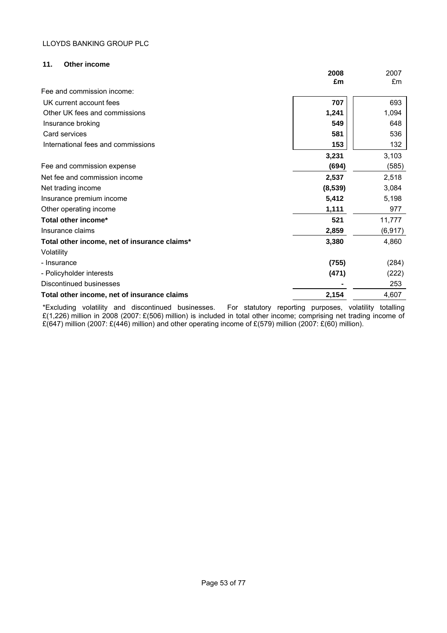## **11. Other income**

|                                              | 2008    | 2007     |
|----------------------------------------------|---------|----------|
|                                              | £m      | £m       |
| Fee and commission income:                   |         |          |
| UK current account fees                      | 707     | 693      |
| Other UK fees and commissions                | 1,241   | 1,094    |
| Insurance broking                            | 549     | 648      |
| Card services                                | 581     | 536      |
| International fees and commissions           | 153     | 132      |
|                                              | 3,231   | 3,103    |
| Fee and commission expense                   | (694)   | (585)    |
| Net fee and commission income                | 2,537   | 2,518    |
| Net trading income                           | (8,539) | 3,084    |
| Insurance premium income                     | 5,412   | 5,198    |
| Other operating income                       | 1,111   | 977      |
| Total other income*                          | 521     | 11,777   |
| Insurance claims                             | 2,859   | (6, 917) |
| Total other income, net of insurance claims* | 3,380   | 4,860    |
| Volatility                                   |         |          |
| - Insurance                                  | (755)   | (284)    |
| - Policyholder interests                     | (471)   | (222)    |
| Discontinued businesses                      |         | 253      |
| Total other income, net of insurance claims  | 2,154   | 4,607    |

\*Excluding volatility and discontinued businesses. For statutory reporting purposes, volatility totalling £(1,226) million in 2008 (2007: £(506) million) is included in total other income; comprising net trading income of £(647) million (2007: £(446) million) and other operating income of £(579) million (2007: £(60) million).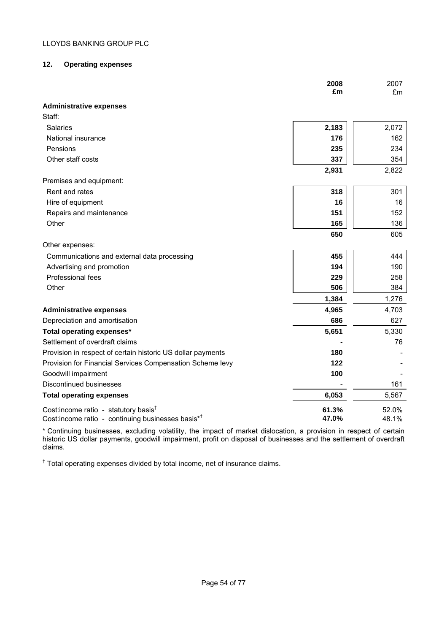## **12. Operating expenses**

|                                                                                                                    | 2008<br>£m     | 2007<br>£m     |
|--------------------------------------------------------------------------------------------------------------------|----------------|----------------|
| <b>Administrative expenses</b>                                                                                     |                |                |
| Staff:                                                                                                             |                |                |
| Salaries                                                                                                           | 2,183          | 2,072          |
| National insurance                                                                                                 | 176            | 162            |
| Pensions                                                                                                           | 235            | 234            |
| Other staff costs                                                                                                  | 337            | 354            |
|                                                                                                                    | 2,931          | 2,822          |
| Premises and equipment:                                                                                            |                |                |
| Rent and rates                                                                                                     | 318            | 301            |
| Hire of equipment                                                                                                  | 16             | 16             |
| Repairs and maintenance                                                                                            | 151            | 152            |
| Other                                                                                                              | 165            | 136            |
|                                                                                                                    | 650            | 605            |
| Other expenses:                                                                                                    |                |                |
| Communications and external data processing                                                                        | 455            | 444            |
| Advertising and promotion                                                                                          | 194            | 190            |
| Professional fees                                                                                                  | 229            | 258            |
| Other                                                                                                              | 506            | 384            |
|                                                                                                                    | 1,384          | 1,276          |
| <b>Administrative expenses</b>                                                                                     | 4,965          | 4,703          |
| Depreciation and amortisation                                                                                      | 686            | 627            |
| Total operating expenses*                                                                                          | 5,651          | 5,330          |
| Settlement of overdraft claims                                                                                     |                | 76             |
| Provision in respect of certain historic US dollar payments                                                        | 180            |                |
| Provision for Financial Services Compensation Scheme levy                                                          | 122            |                |
| Goodwill impairment                                                                                                | 100            |                |
| <b>Discontinued businesses</b>                                                                                     |                | 161            |
| <b>Total operating expenses</b>                                                                                    | 6,053          | 5,567          |
| Cost: income ratio - statutory basis <sup>t</sup><br>Cost:income ratio - continuing businesses basis* <sup>†</sup> | 61.3%<br>47.0% | 52.0%<br>48.1% |

\* Continuing businesses, excluding volatility, the impact of market dislocation, a provision in respect of certain historic US dollar payments, goodwill impairment, profit on disposal of businesses and the settlement of overdraft claims.

<sup>†</sup> Total operating expenses divided by total income, net of insurance claims.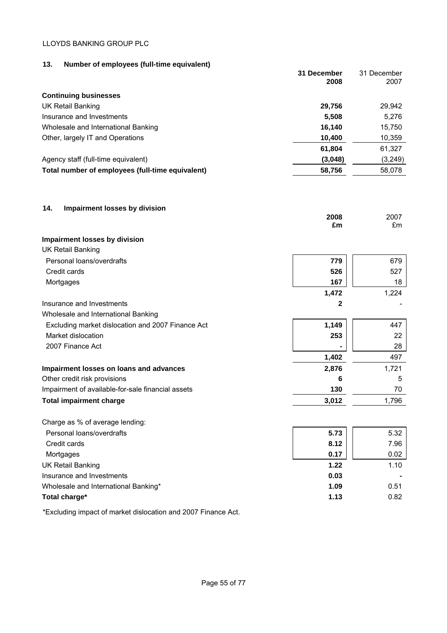## **13. Number of employees (full-time equivalent)**

| <br><b>Hamber of employees from mine equivalently</b> | 31 December<br>2008 | 31 December<br>2007 |
|-------------------------------------------------------|---------------------|---------------------|
| <b>Continuing businesses</b>                          |                     |                     |
| UK Retail Banking                                     | 29,756              | 29,942              |
| Insurance and Investments                             | 5,508               | 5,276               |
| Wholesale and International Banking                   | 16,140              | 15,750              |
| Other, largely IT and Operations                      | 10,400              | 10,359              |
|                                                       | 61,804              | 61,327              |
| Agency staff (full-time equivalent)                   | (3,048)             | (3,249)             |
| Total number of employees (full-time equivalent)      | 58,756              | 58,078              |

**2008** 2007

## **14. Impairment losses by division**

|                                                   | £m    | £m    |
|---------------------------------------------------|-------|-------|
| Impairment losses by division                     |       |       |
| UK Retail Banking                                 |       |       |
| Personal loans/overdrafts                         | 779   | 679   |
| Credit cards                                      | 526   | 527   |
| Mortgages                                         | 167   | 18    |
|                                                   | 1,472 | 1,224 |
| Insurance and Investments                         | 2     |       |
| Wholesale and International Banking               |       |       |
| Excluding market dislocation and 2007 Finance Act | 1,149 | 447   |
| Market dislocation                                | 253   | 22    |
| 2007 Finance Act                                  |       | 28    |
|                                                   | 1,402 | 497   |
| Impairment losses on loans and advances           | 2,876 | 1,721 |
| Other credit risk provisions                      | 6     | 5     |
| Impairment of available-for-sale financial assets | 130   | 70    |
| <b>Total impairment charge</b>                    | 3,012 | 1,796 |
|                                                   |       |       |

| Charge as % of average lending:      |      |      |
|--------------------------------------|------|------|
| Personal loans/overdrafts            | 5.73 | 5.32 |
| Credit cards                         | 8.12 | 7.96 |
| Mortgages                            | 0.17 | 0.02 |
| <b>UK Retail Banking</b>             | 1.22 | 1.10 |
| Insurance and Investments            | 0.03 |      |
| Wholesale and International Banking* | 1.09 | 0.51 |
| Total charge*                        | 1.13 | 0.82 |
|                                      |      |      |

\*Excluding impact of market dislocation and 2007 Finance Act.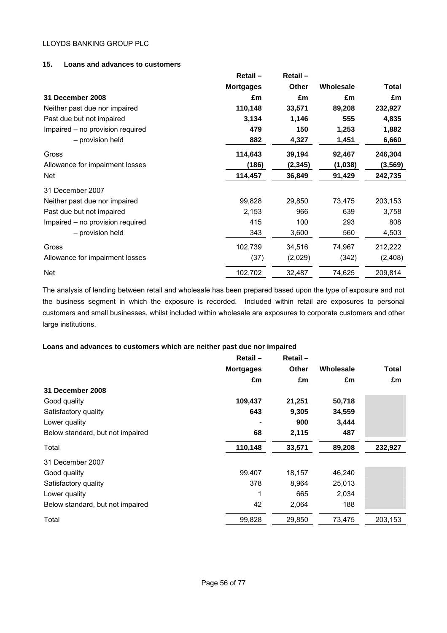## **15. Loans and advances to customers**

|                                  | Retail-          | Retail-  |           |          |
|----------------------------------|------------------|----------|-----------|----------|
|                                  | <b>Mortgages</b> | Other    | Wholesale | Total    |
| 31 December 2008                 | £m               | £m       | £m        | £m       |
| Neither past due nor impaired    | 110,148          | 33,571   | 89,208    | 232,927  |
| Past due but not impaired        | 3,134            | 1,146    | 555       | 4,835    |
| Impaired – no provision required | 479              | 150      | 1,253     | 1,882    |
| - provision held                 | 882              | 4,327    | 1,451     | 6,660    |
| Gross                            | 114,643          | 39,194   | 92,467    | 246,304  |
| Allowance for impairment losses  | (186)            | (2, 345) | (1,038)   | (3, 569) |
| Net                              | 114,457          | 36,849   | 91,429    | 242,735  |
| 31 December 2007                 |                  |          |           |          |
| Neither past due nor impaired    | 99,828           | 29,850   | 73,475    | 203,153  |
| Past due but not impaired        | 2,153            | 966      | 639       | 3,758    |
| Impaired - no provision required | 415              | 100      | 293       | 808      |
| - provision held                 | 343              | 3,600    | 560       | 4,503    |
| Gross                            | 102,739          | 34,516   | 74,967    | 212,222  |
| Allowance for impairment losses  | (37)             | (2,029)  | (342)     | (2, 408) |
| <b>Net</b>                       | 102,702          | 32,487   | 74,625    | 209,814  |

The analysis of lending between retail and wholesale has been prepared based upon the type of exposure and not the business segment in which the exposure is recorded. Included within retail are exposures to personal customers and small businesses, whilst included within wholesale are exposures to corporate customers and other large institutions.

## **Loans and advances to customers which are neither past due nor impaired**

|                                  | Retail-          | Retail- |           |              |
|----------------------------------|------------------|---------|-----------|--------------|
|                                  | <b>Mortgages</b> | Other   | Wholesale | <b>Total</b> |
|                                  | £m               | £m      | £m        | £m           |
| 31 December 2008                 |                  |         |           |              |
| Good quality                     | 109,437          | 21,251  | 50,718    |              |
| Satisfactory quality             | 643              | 9,305   | 34,559    |              |
| Lower quality                    |                  | 900     | 3,444     |              |
| Below standard, but not impaired | 68               | 2,115   | 487       |              |
| Total                            | 110,148          | 33,571  | 89,208    | 232,927      |
| 31 December 2007                 |                  |         |           |              |
| Good quality                     | 99,407           | 18,157  | 46,240    |              |
| Satisfactory quality             | 378              | 8,964   | 25,013    |              |
| Lower quality                    | 1                | 665     | 2,034     |              |
| Below standard, but not impaired | 42               | 2,064   | 188       |              |
| Total                            | 99,828           | 29,850  | 73,475    | 203,153      |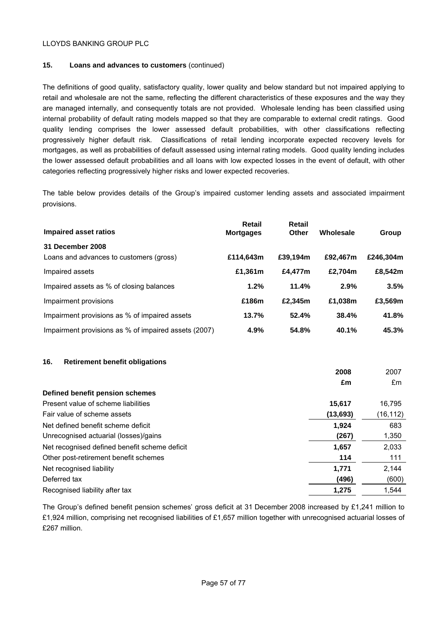## **15. Loans and advances to customers** (continued)

The definitions of good quality, satisfactory quality, lower quality and below standard but not impaired applying to retail and wholesale are not the same, reflecting the different characteristics of these exposures and the way they are managed internally, and consequently totals are not provided. Wholesale lending has been classified using internal probability of default rating models mapped so that they are comparable to external credit ratings. Good quality lending comprises the lower assessed default probabilities, with other classifications reflecting progressively higher default risk. Classifications of retail lending incorporate expected recovery levels for mortgages, as well as probabilities of default assessed using internal rating models. Good quality lending includes the lower assessed default probabilities and all loans with low expected losses in the event of default, with other categories reflecting progressively higher risks and lower expected recoveries.

The table below provides details of the Group's impaired customer lending assets and associated impairment provisions.

| Impaired asset ratios                                       | Retail<br><b>Mortgages</b> | Retail<br>Other | Wholesale | Group     |
|-------------------------------------------------------------|----------------------------|-----------------|-----------|-----------|
| 31 December 2008<br>Loans and advances to customers (gross) | £114.643m                  | £39.194m        | £92.467m  | £246.304m |
| Impaired assets                                             | £1,361m                    | £4.477m         | £2.704m   | £8,542m   |
| Impaired assets as % of closing balances                    | 1.2%                       | 11.4%           | 2.9%      | 3.5%      |
| Impairment provisions                                       | £186m                      | £2.345m         | £1,038m   | £3,569m   |
| Impairment provisions as % of impaired assets               | 13.7%                      | 52.4%           | 38.4%     | 41.8%     |
| Impairment provisions as % of impaired assets (2007)        | 4.9%                       | 54.8%           | 40.1%     | 45.3%     |

## **16. Retirement benefit obligations**

|                                               | 2008     | 2007     |
|-----------------------------------------------|----------|----------|
|                                               | £m       | £m       |
| Defined benefit pension schemes               |          |          |
| Present value of scheme liabilities           | 15,617   | 16.795   |
| Fair value of scheme assets                   | (13,693) | (16,112) |
| Net defined benefit scheme deficit            | 1,924    | 683      |
| Unrecognised actuarial (losses)/gains         | (267)    | 1,350    |
| Net recognised defined benefit scheme deficit | 1,657    | 2,033    |
| Other post-retirement benefit schemes         | 114      | 111      |
| Net recognised liability                      | 1,771    | 2,144    |
| Deferred tax                                  | (496)    | (600)    |
| Recognised liability after tax                | 1.275    | 1.544    |

The Group's defined benefit pension schemes' gross deficit at 31 December 2008 increased by £1,241 million to £1,924 million, comprising net recognised liabilities of £1,657 million together with unrecognised actuarial losses of £267 million.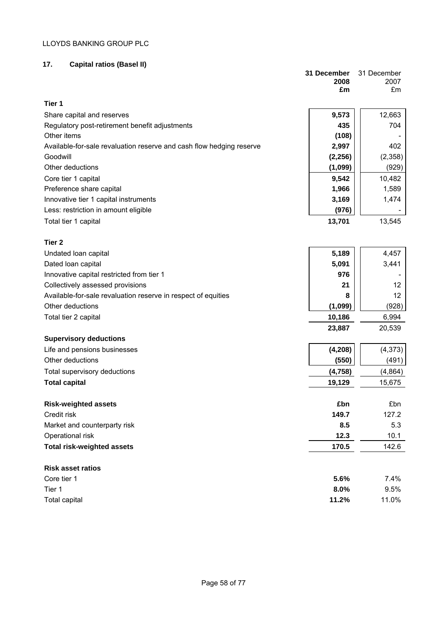## **17. Capital ratios (Basel II)**

|                                                                      | 31 December | 31 December     |
|----------------------------------------------------------------------|-------------|-----------------|
|                                                                      | 2008<br>£m  | 2007<br>£m      |
|                                                                      |             |                 |
| Tier 1                                                               |             |                 |
| Share capital and reserves                                           | 9,573       | 12,663          |
| Regulatory post-retirement benefit adjustments                       | 435         | 704             |
| Other items                                                          | (108)       |                 |
| Available-for-sale revaluation reserve and cash flow hedging reserve | 2,997       | 402             |
| Goodwill                                                             | (2, 256)    | (2,358)         |
| Other deductions                                                     | (1,099)     | (929)           |
| Core tier 1 capital                                                  | 9,542       | 10,482          |
| Preference share capital                                             | 1,966       | 1,589           |
| Innovative tier 1 capital instruments                                | 3,169       | 1,474           |
| Less: restriction in amount eligible                                 | (976)       |                 |
| Total tier 1 capital                                                 | 13,701      | 13,545          |
|                                                                      |             |                 |
| Tier <sub>2</sub>                                                    |             |                 |
| Undated loan capital                                                 | 5,189       | 4,457           |
| Dated loan capital                                                   | 5,091       | 3,441           |
| Innovative capital restricted from tier 1                            | 976         |                 |
| Collectively assessed provisions                                     | 21          | 12              |
| Available-for-sale revaluation reserve in respect of equities        | 8           | 12 <sup>2</sup> |
| Other deductions                                                     | (1,099)     | (928)           |
| Total tier 2 capital                                                 | 10,186      | 6,994           |
|                                                                      | 23,887      | 20,539          |
| <b>Supervisory deductions</b>                                        |             |                 |
| Life and pensions businesses                                         | (4, 208)    | (4, 373)        |
| Other deductions                                                     | (550)       | (491)           |
| Total supervisory deductions                                         | (4, 758)    | (4,864)         |
| <b>Total capital</b>                                                 | 19,129      | 15,675          |
|                                                                      |             |                 |
| <b>Risk-weighted assets</b>                                          | £bn         | £bn             |
| Credit risk                                                          | 149.7       | 127.2           |
| Market and counterparty risk                                         | 8.5         | 5.3             |
| Operational risk                                                     | 12.3        | 10.1            |
| <b>Total risk-weighted assets</b>                                    | 170.5       | 142.6           |
|                                                                      |             |                 |
| <b>Risk asset ratios</b>                                             |             |                 |
| Core tier 1                                                          | 5.6%        | 7.4%            |
| Tier 1                                                               | 8.0%        | 9.5%            |
| Total capital                                                        | 11.2%       | 11.0%           |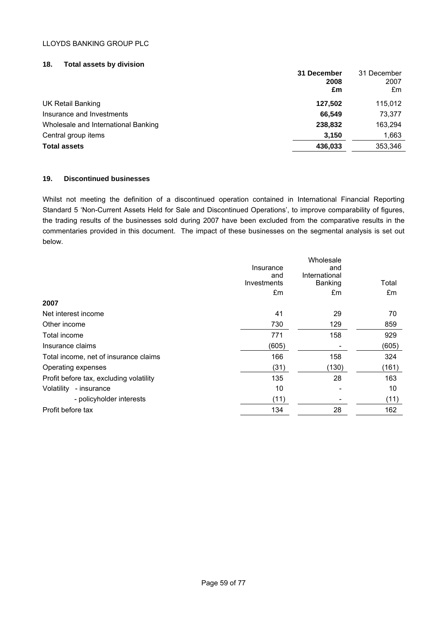#### **18. Total assets by division**

|                                     | 31 December<br>2008<br>£m | 31 December<br>2007<br>£m |
|-------------------------------------|---------------------------|---------------------------|
| <b>UK Retail Banking</b>            | 127.502                   | 115,012                   |
| Insurance and Investments           | 66.549                    | 73,377                    |
| Wholesale and International Banking | 238,832                   | 163,294                   |
| Central group items                 | 3,150                     | 1,663                     |
| <b>Total assets</b>                 | 436,033                   | 353,346                   |

## **19. Discontinued businesses**

Whilst not meeting the definition of a discontinued operation contained in International Financial Reporting Standard 5 'Non-Current Assets Held for Sale and Discontinued Operations', to improve comparability of figures, the trading results of the businesses sold during 2007 have been excluded from the comparative results in the commentaries provided in this document. The impact of these businesses on the segmental analysis is set out below.

|                                         |                    | Wholesale     |       |
|-----------------------------------------|--------------------|---------------|-------|
|                                         | Insurance          | and           |       |
|                                         | and<br>Investments | International | Total |
|                                         |                    | Banking       |       |
|                                         | £m                 | £m            | £m    |
| 2007                                    |                    |               |       |
| Net interest income                     | 41                 | 29            | 70    |
| Other income                            | 730                | 129           | 859   |
| Total income                            | 771                | 158           | 929   |
| Insurance claims                        | (605)              |               | (605) |
| Total income, net of insurance claims   | 166                | 158           | 324   |
| Operating expenses                      | (31)               | (130)         | (161) |
| Profit before tax, excluding volatility | 135                | 28            | 163   |
| Volatility<br>- insurance               | 10                 |               | 10    |
| - policyholder interests                | (11)               |               | (11)  |
| Profit before tax                       | 134                | 28            | 162   |
|                                         |                    |               |       |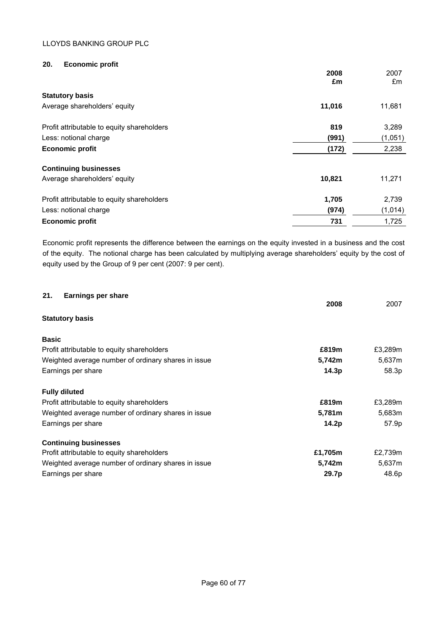## **20. Economic profit**

|                                            | 2008<br>£m | 2007<br>£m |
|--------------------------------------------|------------|------------|
| <b>Statutory basis</b>                     |            |            |
| Average shareholders' equity               | 11,016     | 11,681     |
| Profit attributable to equity shareholders | 819        | 3,289      |
| Less: notional charge                      | (991)      | (1,051)    |
| <b>Economic profit</b>                     | (172)      | 2,238      |
| <b>Continuing businesses</b>               |            |            |
| Average shareholders' equity               | 10,821     | 11,271     |
| Profit attributable to equity shareholders | 1,705      | 2,739      |
| Less: notional charge                      | (974)      | (1,014)    |
| <b>Economic profit</b>                     | 731        | 1,725      |

Economic profit represents the difference between the earnings on the equity invested in a business and the cost of the equity. The notional charge has been calculated by multiplying average shareholders' equity by the cost of equity used by the Group of 9 per cent (2007: 9 per cent).

| 21.<br><b>Earnings per share</b>                    | 2008    | 2007    |
|-----------------------------------------------------|---------|---------|
| <b>Statutory basis</b>                              |         |         |
| <b>Basic</b>                                        |         |         |
| Profit attributable to equity shareholders          | £819m   | £3,289m |
| Weighted average number of ordinary shares in issue | 5,742m  | 5,637m  |
| Earnings per share                                  | 14.3p   | 58.3p   |
| <b>Fully diluted</b>                                |         |         |
| Profit attributable to equity shareholders          | £819m   | £3,289m |
| Weighted average number of ordinary shares in issue | 5,781m  | 5,683m  |
| Earnings per share                                  | 14.2p   | 57.9p   |
| <b>Continuing businesses</b>                        |         |         |
| Profit attributable to equity shareholders          | £1,705m | £2,739m |
| Weighted average number of ordinary shares in issue | 5,742m  | 5,637m  |
| Earnings per share                                  | 29.7p   | 48.6p   |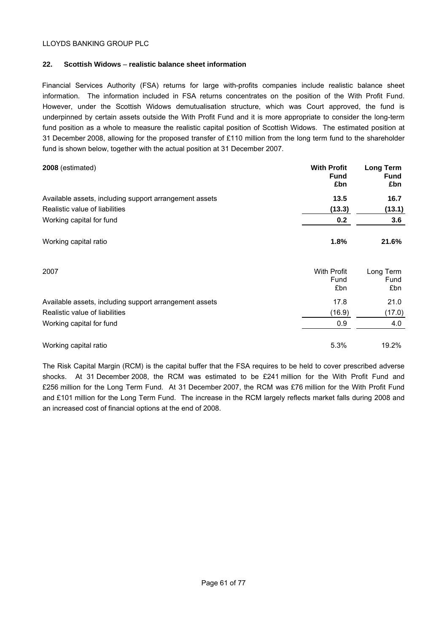## **22. Scottish Widows** – **realistic balance sheet information**

Financial Services Authority (FSA) returns for large with-profits companies include realistic balance sheet information. The information included in FSA returns concentrates on the position of the With Profit Fund. However, under the Scottish Widows demutualisation structure, which was Court approved, the fund is underpinned by certain assets outside the With Profit Fund and it is more appropriate to consider the long-term fund position as a whole to measure the realistic capital position of Scottish Widows. The estimated position at 31 December 2008, allowing for the proposed transfer of £110 million from the long term fund to the shareholder fund is shown below, together with the actual position at 31 December 2007.

| 2008 (estimated)                                       | <b>With Profit</b><br><b>Fund</b><br>£bn | <b>Long Term</b><br><b>Fund</b><br>£bn |
|--------------------------------------------------------|------------------------------------------|----------------------------------------|
| Available assets, including support arrangement assets | 13.5                                     | 16.7                                   |
| Realistic value of liabilities                         | (13.3)                                   | (13.1)                                 |
| Working capital for fund                               | 0.2                                      | 3.6                                    |
| Working capital ratio                                  | 1.8%                                     | 21.6%                                  |
| 2007                                                   | <b>With Profit</b><br>Fund<br>£bn        | Long Term<br>Fund<br>£bn               |
| Available assets, including support arrangement assets | 17.8                                     | 21.0                                   |
| Realistic value of liabilities                         | (16.9)                                   | (17.0)                                 |
| Working capital for fund                               | 0.9                                      | 4.0                                    |
| Working capital ratio                                  | 5.3%                                     | 19.2%                                  |

The Risk Capital Margin (RCM) is the capital buffer that the FSA requires to be held to cover prescribed adverse shocks. At 31 December 2008, the RCM was estimated to be £241 million for the With Profit Fund and £256 million for the Long Term Fund. At 31 December 2007, the RCM was £76 million for the With Profit Fund and £101 million for the Long Term Fund. The increase in the RCM largely reflects market falls during 2008 and an increased cost of financial options at the end of 2008.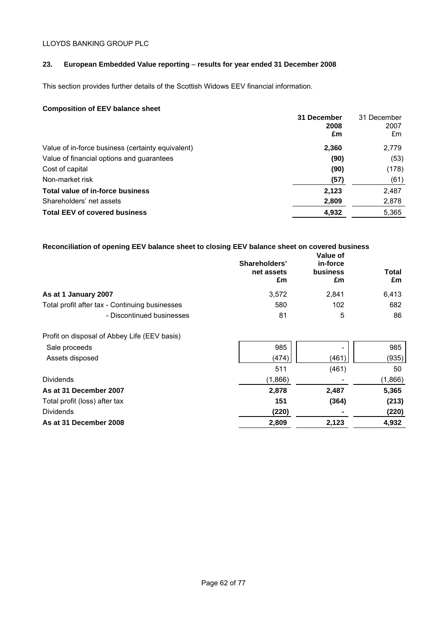## **23. European Embedded Value reporting** – **results for year ended 31 December 2008**

This section provides further details of the Scottish Widows EEV financial information.

## **Composition of EEV balance sheet**

|                                                   | 31 December<br>2008 | 31 December<br>2007 |
|---------------------------------------------------|---------------------|---------------------|
|                                                   | £m                  | £m                  |
| Value of in-force business (certainty equivalent) | 2,360               | 2,779               |
| Value of financial options and guarantees         | (90)                | (53)                |
| Cost of capital                                   | (90)                | (178)               |
| Non-market risk                                   | (57)                | (61)                |
| Total value of in-force business                  | 2,123               | 2,487               |
| Shareholders' net assets                          | 2,809               | 2,878               |
| <b>Total EEV of covered business</b>              | 4,932               | 5,365               |

| Reconciliation of opening EEV balance sheet to closing EEV balance sheet on covered business |                       |
|----------------------------------------------------------------------------------------------|-----------------------|
|                                                                                              | $\mathbf{V}$ -Less -f |

|                                                | Shareholders'<br>net assets<br>£m | Value of<br>in-force<br><b>business</b><br>£m | <b>Total</b><br>£m |
|------------------------------------------------|-----------------------------------|-----------------------------------------------|--------------------|
| As at 1 January 2007                           | 3,572                             | 2,841                                         | 6,413              |
| Total profit after tax - Continuing businesses | 580                               | 102                                           | 682                |
| - Discontinued businesses                      | 81                                | 5                                             | 86                 |
| Profit on disposal of Abbey Life (EEV basis)   |                                   |                                               |                    |
| Sale proceeds                                  | 985                               |                                               | 985                |
| Assets disposed                                | (474)                             | (461)                                         | (935)              |
|                                                | 511                               | (461)                                         | 50                 |
| <b>Dividends</b>                               | (1,866)                           |                                               | (1,866)            |
| As at 31 December 2007                         | 2,878                             | 2,487                                         | 5,365              |
| Total profit (loss) after tax                  | 151                               | (364)                                         | (213)              |
| <b>Dividends</b>                               | (220)                             |                                               | (220)              |
| As at 31 December 2008                         | 2,809                             | 2,123                                         | 4,932              |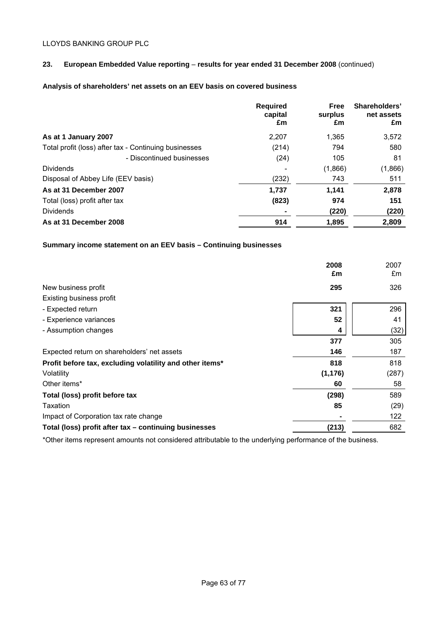## **23. European Embedded Value reporting** – **results for year ended 31 December 2008** (continued)

## **Analysis of shareholders' net assets on an EEV basis on covered business**

|                                                       | <b>Required</b><br>capital<br>£m | <b>Free</b><br>surplus<br>£m | Shareholders'<br>net assets<br>£m |
|-------------------------------------------------------|----------------------------------|------------------------------|-----------------------------------|
| As at 1 January 2007                                  | 2,207                            | 1.365                        | 3,572                             |
| Total profit (loss) after tax - Continuing businesses | (214)                            | 794                          | 580                               |
| - Discontinued businesses                             | (24)                             | 105                          | 81                                |
| <b>Dividends</b>                                      |                                  | (1,866)                      | (1,866)                           |
| Disposal of Abbey Life (EEV basis)                    | (232)                            | 743                          | 511                               |
| As at 31 December 2007                                | 1,737                            | 1,141                        | 2,878                             |
| Total (loss) profit after tax                         | (823)                            | 974                          | 151                               |
| <b>Dividends</b>                                      |                                  | (220)                        | (220)                             |
| As at 31 December 2008                                | 914                              | 1,895                        | 2,809                             |

## **Summary income statement on an EEV basis – Continuing businesses**

|                                                          | 2008<br>£m | 2007<br>£m |
|----------------------------------------------------------|------------|------------|
| New business profit                                      | 295        | 326        |
| Existing business profit                                 |            |            |
| - Expected return                                        | 321        | 296        |
| - Experience variances                                   | 52         | 41         |
| - Assumption changes                                     | 4          | (32)       |
|                                                          | 377        | 305        |
| Expected return on shareholders' net assets              | 146        | 187        |
| Profit before tax, excluding volatility and other items* | 818        | 818        |
| Volatility                                               | (1, 176)   | (287)      |
| Other items*                                             | 60         | 58         |
| Total (loss) profit before tax                           | (298)      | 589        |
| Taxation                                                 | 85         | (29)       |
| Impact of Corporation tax rate change                    |            | 122        |
| Total (loss) profit after tax – continuing businesses    | (213)      | 682        |

\*Other items represent amounts not considered attributable to the underlying performance of the business.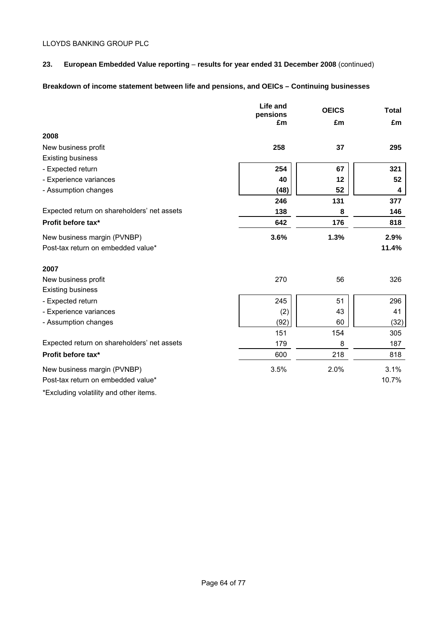## **23. European Embedded Value reporting** – **results for year ended 31 December 2008** (continued)

# **Breakdown of income statement between life and pensions, and OEICs – Continuing businesses**

|                                                       | Life and<br>pensions | <b>OEICS</b> | <b>Total</b> |
|-------------------------------------------------------|----------------------|--------------|--------------|
|                                                       | £m                   | £m           | £m           |
| 2008                                                  |                      |              |              |
| New business profit                                   | 258                  | 37           | 295          |
| <b>Existing business</b>                              |                      |              |              |
| - Expected return                                     | 254                  | 67           | 321          |
| - Experience variances                                | 40                   | 12           | 52           |
| - Assumption changes                                  | (48)                 | 52           | 4            |
|                                                       | 246                  | 131          | 377          |
| Expected return on shareholders' net assets           | 138                  | 8            | 146          |
| Profit before tax*                                    | 642                  | 176          | 818          |
| New business margin (PVNBP)                           | 3.6%                 | 1.3%         | 2.9%         |
| Post-tax return on embedded value*                    |                      |              | 11.4%        |
| 2007                                                  |                      |              |              |
| New business profit                                   | 270                  | 56           | 326          |
| <b>Existing business</b>                              |                      |              |              |
| - Expected return                                     | 245                  | 51           | 296          |
| - Experience variances                                | (2)                  | 43           | 41           |
| - Assumption changes                                  | (92)                 | 60           | (32)         |
|                                                       | 151                  | 154          | 305          |
| Expected return on shareholders' net assets           | 179                  | 8            | 187          |
| Profit before tax*                                    | 600                  | 218          | 818          |
| New business margin (PVNBP)                           | 3.5%                 | 2.0%         | 3.1%         |
| Post-tax return on embedded value*                    |                      |              | 10.7%        |
| *External the actual addition and additional the pro- |                      |              |              |

\*Excluding volatility and other items.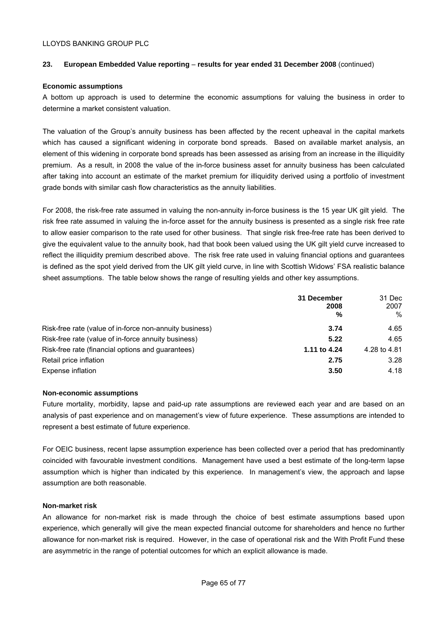## **23. European Embedded Value reporting** – **results for year ended 31 December 2008** (continued)

#### **Economic assumptions**

A bottom up approach is used to determine the economic assumptions for valuing the business in order to determine a market consistent valuation.

The valuation of the Group's annuity business has been affected by the recent upheaval in the capital markets which has caused a significant widening in corporate bond spreads. Based on available market analysis, an element of this widening in corporate bond spreads has been assessed as arising from an increase in the illiquidity premium. As a result, in 2008 the value of the in-force business asset for annuity business has been calculated after taking into account an estimate of the market premium for illiquidity derived using a portfolio of investment grade bonds with similar cash flow characteristics as the annuity liabilities.

For 2008, the risk-free rate assumed in valuing the non-annuity in-force business is the 15 year UK gilt yield. The risk free rate assumed in valuing the in-force asset for the annuity business is presented as a single risk free rate to allow easier comparison to the rate used for other business. That single risk free-free rate has been derived to give the equivalent value to the annuity book, had that book been valued using the UK gilt yield curve increased to reflect the illiquidity premium described above. The risk free rate used in valuing financial options and guarantees is defined as the spot yield derived from the UK gilt yield curve, in line with Scottish Widows' FSA realistic balance sheet assumptions. The table below shows the range of resulting yields and other key assumptions.

|                                                         | 31 December<br>2008<br>% | 31 Dec<br>2007<br>$\%$ |
|---------------------------------------------------------|--------------------------|------------------------|
| Risk-free rate (value of in-force non-annuity business) | 3.74                     | 4.65                   |
| Risk-free rate (value of in-force annuity business)     | 5.22                     | 4.65                   |
| Risk-free rate (financial options and guarantees)       | 1.11 to 4.24             | 4.28 to 4.81           |
| Retail price inflation                                  | 2.75                     | 3.28                   |
| Expense inflation                                       | 3.50                     | 4.18                   |

## **Non-economic assumptions**

Future mortality, morbidity, lapse and paid-up rate assumptions are reviewed each year and are based on an analysis of past experience and on management's view of future experience. These assumptions are intended to represent a best estimate of future experience.

For OEIC business, recent lapse assumption experience has been collected over a period that has predominantly coincided with favourable investment conditions. Management have used a best estimate of the long-term lapse assumption which is higher than indicated by this experience. In management's view, the approach and lapse assumption are both reasonable.

#### **Non-market risk**

An allowance for non-market risk is made through the choice of best estimate assumptions based upon experience, which generally will give the mean expected financial outcome for shareholders and hence no further allowance for non-market risk is required. However, in the case of operational risk and the With Profit Fund these are asymmetric in the range of potential outcomes for which an explicit allowance is made.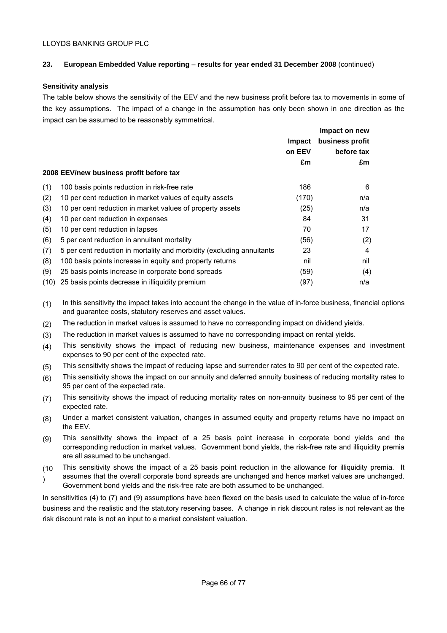## **23. European Embedded Value reporting** – **results for year ended 31 December 2008** (continued)

## **Sensitivity analysis**

The table below shows the sensitivity of the EEV and the new business profit before tax to movements in some of the key assumptions. The impact of a change in the assumption has only been shown in one direction as the impact can be assumed to be reasonably symmetrical.

|      |                                                                       |               | Impact on new   |
|------|-----------------------------------------------------------------------|---------------|-----------------|
|      |                                                                       | <b>Impact</b> | business profit |
|      |                                                                       | on EEV        | before tax      |
|      |                                                                       | £m            | £m              |
|      | 2008 EEV/new business profit before tax                               |               |                 |
| (1)  | 100 basis points reduction in risk-free rate                          | 186           | 6               |
| (2)  | 10 per cent reduction in market values of equity assets               | (170)         | n/a             |
| (3)  | 10 per cent reduction in market values of property assets             | (25)          | n/a             |
| (4)  | 10 per cent reduction in expenses                                     | 84            | 31              |
| (5)  | 10 per cent reduction in lapses                                       | 70            | 17              |
| (6)  | 5 per cent reduction in annuitant mortality                           | (56)          | (2)             |
| (7)  | 5 per cent reduction in mortality and morbidity (excluding annuitants | 23            | 4               |
| (8)  | 100 basis points increase in equity and property returns              | nil           | nil             |
| (9)  | 25 basis points increase in corporate bond spreads                    | (59)          | (4)             |
| (10) | 25 basis points decrease in illiquidity premium                       | (97)          | n/a             |

(1) In this sensitivity the impact takes into account the change in the value of in-force business, financial options and guarantee costs, statutory reserves and asset values.

- (2) The reduction in market values is assumed to have no corresponding impact on dividend yields.
- (3) The reduction in market values is assumed to have no corresponding impact on rental yields.
- (4) This sensitivity shows the impact of reducing new business, maintenance expenses and investment expenses to 90 per cent of the expected rate.
- (5) This sensitivity shows the impact of reducing lapse and surrender rates to 90 per cent of the expected rate.
- (6) This sensitivity shows the impact on our annuity and deferred annuity business of reducing mortality rates to 95 per cent of the expected rate.
- (7) This sensitivity shows the impact of reducing mortality rates on non-annuity business to 95 per cent of the expected rate.
- (8) Under a market consistent valuation, changes in assumed equity and property returns have no impact on the EEV.
- (9) This sensitivity shows the impact of a 25 basis point increase in corporate bond yields and the corresponding reduction in market values. Government bond yields, the risk-free rate and illiquidity premia are all assumed to be unchanged.
- (10 This sensitivity shows the impact of a 25 basis point reduction in the allowance for illiquidity premia. It
- ) assumes that the overall corporate bond spreads are unchanged and hence market values are unchanged. Government bond yields and the risk-free rate are both assumed to be unchanged.

In sensitivities (4) to (7) and (9) assumptions have been flexed on the basis used to calculate the value of in-force business and the realistic and the statutory reserving bases. A change in risk discount rates is not relevant as the risk discount rate is not an input to a market consistent valuation.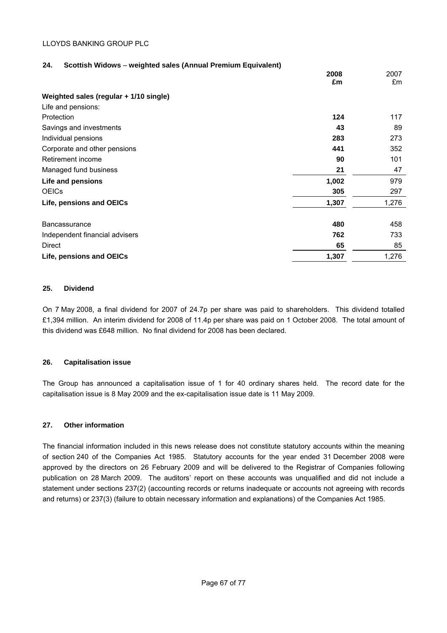#### **24. Scottish Widows** – **weighted sales (Annual Premium Equivalent)**

|                                        | 2008<br>£m | 2007<br>£m |
|----------------------------------------|------------|------------|
|                                        |            |            |
| Weighted sales (regular + 1/10 single) |            |            |
| Life and pensions:                     |            |            |
| Protection                             | 124        | 117        |
| Savings and investments                | 43         | 89         |
| Individual pensions                    | 283        | 273        |
| Corporate and other pensions           | 441        | 352        |
| Retirement income                      | 90         | 101        |
| Managed fund business                  | 21         | 47         |
| Life and pensions                      | 1,002      | 979        |
| <b>OEICS</b>                           | 305        | 297        |
| Life, pensions and OEICs               | 1,307      | 1,276      |
| <b>Bancassurance</b>                   | 480        | 458        |
| Independent financial advisers         | 762        | 733        |
| Direct                                 | 65         | 85         |
| Life, pensions and OEICs               | 1,307      | 1,276      |

#### **25. Dividend**

On 7 May 2008, a final dividend for 2007 of 24.7p per share was paid to shareholders. This dividend totalled £1,394 million. An interim dividend for 2008 of 11.4p per share was paid on 1 October 2008. The total amount of this dividend was £648 million. No final dividend for 2008 has been declared.

#### **26. Capitalisation issue**

The Group has announced a capitalisation issue of 1 for 40 ordinary shares held. The record date for the capitalisation issue is 8 May 2009 and the ex-capitalisation issue date is 11 May 2009.

## **27. Other information**

The financial information included in this news release does not constitute statutory accounts within the meaning of section 240 of the Companies Act 1985. Statutory accounts for the year ended 31 December 2008 were approved by the directors on 26 February 2009 and will be delivered to the Registrar of Companies following publication on 28 March 2009. The auditors' report on these accounts was unqualified and did not include a statement under sections 237(2) (accounting records or returns inadequate or accounts not agreeing with records and returns) or 237(3) (failure to obtain necessary information and explanations) of the Companies Act 1985.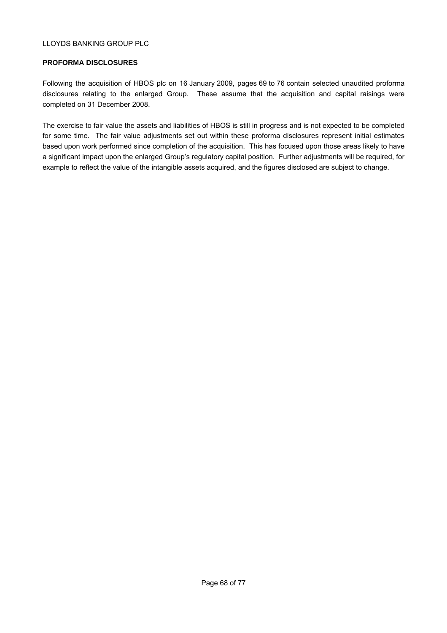## **PROFORMA DISCLOSURES**

Following the acquisition of HBOS plc on 16 January 2009, pages 69 to 76 contain selected unaudited proforma disclosures relating to the enlarged Group. These assume that the acquisition and capital raisings were completed on 31 December 2008.

The exercise to fair value the assets and liabilities of HBOS is still in progress and is not expected to be completed for some time. The fair value adjustments set out within these proforma disclosures represent initial estimates based upon work performed since completion of the acquisition. This has focused upon those areas likely to have a significant impact upon the enlarged Group's regulatory capital position. Further adjustments will be required, for example to reflect the value of the intangible assets acquired, and the figures disclosed are subject to change.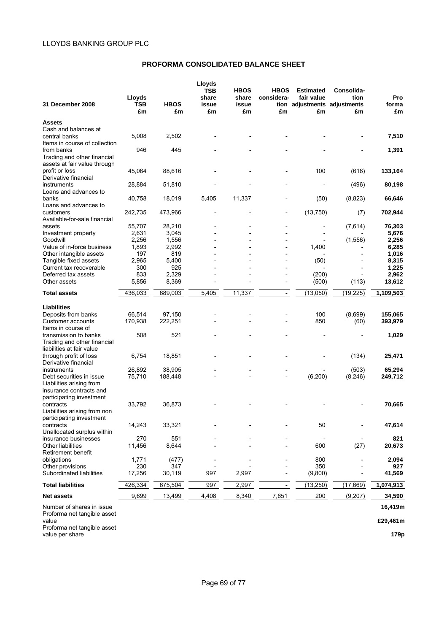## **PROFORMA CONSOLIDATED BALANCE SHEET**

| 31 December 2008                                            | Lloyds<br>TSB<br>£m | <b>HBOS</b><br>£m | Lloyds<br><b>TSB</b><br>share<br>issue<br>£m | <b>HBOS</b><br>share<br>issue<br>£m | <b>HBOS</b><br>considera-<br>£m | <b>Estimated</b><br>fair value<br>tion adjustments adjustments<br>£m | Consolida-<br>tion<br>£m | Pro<br>forma<br>£m |
|-------------------------------------------------------------|---------------------|-------------------|----------------------------------------------|-------------------------------------|---------------------------------|----------------------------------------------------------------------|--------------------------|--------------------|
| <b>Assets</b>                                               |                     |                   |                                              |                                     |                                 |                                                                      |                          |                    |
| Cash and balances at                                        |                     |                   |                                              |                                     |                                 |                                                                      |                          |                    |
| central banks                                               | 5,008               | 2,502             |                                              |                                     |                                 |                                                                      |                          | 7,510              |
| Items in course of collection                               |                     |                   |                                              |                                     |                                 |                                                                      |                          |                    |
| from banks                                                  | 946                 | 445               |                                              |                                     |                                 |                                                                      |                          | 1,391              |
| Trading and other financial<br>assets at fair value through |                     |                   |                                              |                                     |                                 |                                                                      |                          |                    |
| profit or loss                                              | 45,064              | 88,616            |                                              |                                     |                                 | 100                                                                  | (616)                    | 133,164            |
| Derivative financial                                        |                     |                   |                                              |                                     |                                 |                                                                      |                          |                    |
| instruments                                                 | 28,884              | 51,810            |                                              |                                     |                                 |                                                                      | (496)                    | 80,198             |
| Loans and advances to                                       |                     |                   |                                              |                                     |                                 |                                                                      |                          |                    |
| banks                                                       | 40,758              | 18,019            | 5,405                                        | 11,337                              |                                 | (50)                                                                 | (8,823)                  | 66,646             |
| Loans and advances to<br>customers                          | 242,735             | 473,966           |                                              |                                     |                                 | (13,750)                                                             | (7)                      | 702,944            |
| Available-for-sale financial                                |                     |                   |                                              |                                     |                                 |                                                                      |                          |                    |
| assets                                                      | 55,707              | 28,210            |                                              |                                     |                                 |                                                                      | (7,614)                  | 76,303             |
| Investment property                                         | 2,631               | 3,045             |                                              |                                     |                                 |                                                                      |                          | 5,676              |
| Goodwill                                                    | 2,256               | 1,556             |                                              |                                     |                                 |                                                                      | (1,556)                  | 2,256              |
| Value of in-force business                                  | 1,893               | 2,992             |                                              |                                     |                                 | 1,400                                                                |                          | 6,285              |
| Other intangible assets                                     | 197                 | 819               |                                              |                                     |                                 |                                                                      |                          | 1,016              |
| Tangible fixed assets                                       | 2,965               | 5,400             |                                              |                                     |                                 | (50)                                                                 |                          | 8,315              |
| Current tax recoverable<br>Deferred tax assets              | 300<br>833          | 925<br>2,329      |                                              |                                     |                                 | (200)                                                                |                          | 1,225<br>2,962     |
| Other assets                                                | 5,856               | 8,369             |                                              |                                     | $\overline{\phantom{0}}$        | (500)                                                                | (113)                    | 13,612             |
|                                                             |                     |                   |                                              |                                     |                                 |                                                                      |                          |                    |
| <b>Total assets</b>                                         | 436,033             | 689,003           | 5,405                                        | 11,337                              | $\blacksquare$                  | (13,050)                                                             | (19, 225)                | 1,109,503          |
| Liabilities                                                 |                     |                   |                                              |                                     |                                 |                                                                      |                          |                    |
| Deposits from banks                                         | 66,514              | 97,150            |                                              |                                     |                                 | 100                                                                  | (8,699)                  | 155,065            |
| Customer accounts                                           | 170,938             | 222,251           |                                              |                                     |                                 | 850                                                                  | (60)                     | 393,979            |
| Items in course of                                          |                     |                   |                                              |                                     |                                 |                                                                      |                          |                    |
| transmission to banks                                       | 508                 | 521               |                                              |                                     |                                 |                                                                      |                          | 1,029              |
| Trading and other financial                                 |                     |                   |                                              |                                     |                                 |                                                                      |                          |                    |
| liabilities at fair value                                   |                     |                   |                                              |                                     |                                 |                                                                      |                          |                    |
| through profit of loss                                      | 6,754               | 18,851            |                                              |                                     |                                 |                                                                      | (134)                    | 25,471             |
| Derivative financial<br>instruments                         | 26,892              | 38.905            |                                              |                                     |                                 |                                                                      | (503)                    | 65,294             |
| Debt securities in issue                                    | 75,710              | 188,448           |                                              |                                     |                                 | (6, 200)                                                             | (8, 246)                 | 249,712            |
| Liabilities arising from                                    |                     |                   |                                              |                                     |                                 |                                                                      |                          |                    |
| insurance contracts and                                     |                     |                   |                                              |                                     |                                 |                                                                      |                          |                    |
| participating investment                                    |                     |                   |                                              |                                     |                                 |                                                                      |                          |                    |
| contracts                                                   | 33,792              | 36,873            |                                              |                                     |                                 |                                                                      |                          | 70,665             |
| Liabilities arising from non                                |                     |                   |                                              |                                     |                                 |                                                                      |                          |                    |
| participating investment<br>contracts                       | 14,243              | 33,321            |                                              |                                     |                                 | 50                                                                   |                          |                    |
| Unallocated surplus within                                  |                     |                   |                                              |                                     |                                 |                                                                      |                          | 47,614             |
| insurance businesses                                        | 270                 | 551               |                                              |                                     |                                 |                                                                      |                          | 821                |
| Other liabilities                                           | 11,456              | 8,644             |                                              |                                     |                                 | 600                                                                  | (27)                     | 20,673             |
| Retirement benefit                                          |                     |                   |                                              |                                     |                                 |                                                                      |                          |                    |
| obligations                                                 | 1,771               | (477)             |                                              |                                     |                                 | 800                                                                  |                          | 2,094              |
| Other provisions                                            | 230                 | 347               |                                              |                                     |                                 | 350                                                                  |                          | 927                |
| Subordinated liabilities                                    | 17,256              | 30,119            | 997                                          | 2,997                               |                                 | (9,800)                                                              |                          | 41,569             |
| <b>Total liabilities</b>                                    | 426,334             | 675,504           | 997                                          | 2,997                               | $\overline{\phantom{a}}$        | (13, 250)                                                            | (17, 669)                | 1,074,913          |
| <b>Net assets</b>                                           | 9,699               | 13,499            | 4,408                                        | 8,340                               | 7,651                           | 200                                                                  | (9,207)                  | 34,590             |
| Number of shares in issue                                   |                     |                   |                                              |                                     |                                 |                                                                      |                          | 16,419m            |

Proforma net tangible asset value **£29,461m** Proforma net tangible asset value per share **179p**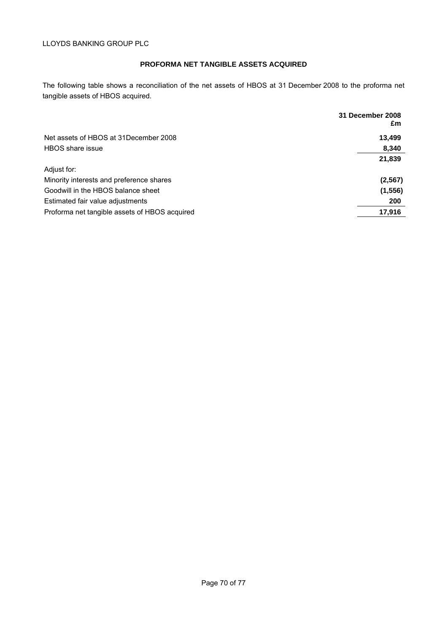# **PROFORMA NET TANGIBLE ASSETS ACQUIRED**

The following table shows a reconciliation of the net assets of HBOS at 31 December 2008 to the proforma net tangible assets of HBOS acquired.

|                                               | 31 December 2008<br>£m |
|-----------------------------------------------|------------------------|
| Net assets of HBOS at 31 December 2008        | 13,499                 |
| HBOS share issue                              | 8,340                  |
|                                               | 21,839                 |
| Adjust for:                                   |                        |
| Minority interests and preference shares      | (2, 567)               |
| Goodwill in the HBOS balance sheet            | (1, 556)               |
| Estimated fair value adjustments              | 200                    |
| Proforma net tangible assets of HBOS acquired | 17,916                 |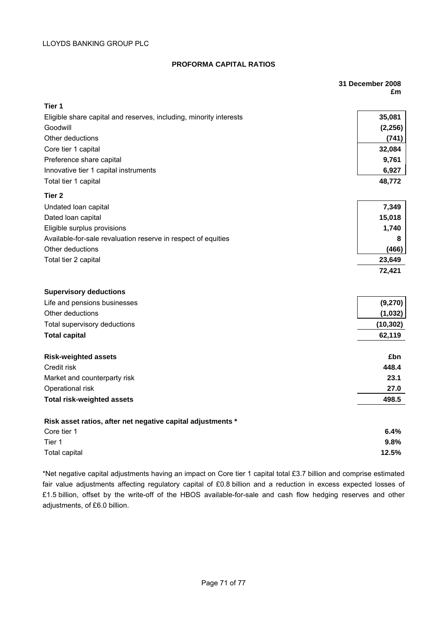# **PROFORMA CAPITAL RATIOS**

|                                                                                | 31 December 2008<br>£m |  |
|--------------------------------------------------------------------------------|------------------------|--|
| Tier 1                                                                         |                        |  |
|                                                                                |                        |  |
| Eligible share capital and reserves, including, minority interests<br>Goodwill | 35,081<br>(2, 256)     |  |
| Other deductions                                                               | (741)                  |  |
| Core tier 1 capital                                                            | 32,084                 |  |
| Preference share capital                                                       | 9,761                  |  |
| Innovative tier 1 capital instruments                                          | 6,927                  |  |
| Total tier 1 capital                                                           | 48,772                 |  |
| Tier <sub>2</sub>                                                              |                        |  |
| Undated loan capital                                                           | 7,349                  |  |
| Dated loan capital                                                             | 15,018                 |  |
| Eligible surplus provisions                                                    | 1,740                  |  |
| Available-for-sale revaluation reserve in respect of equities                  | 8                      |  |
| Other deductions                                                               | (466)                  |  |
| Total tier 2 capital                                                           | 23,649                 |  |
|                                                                                | 72,421                 |  |
|                                                                                |                        |  |
| <b>Supervisory deductions</b>                                                  |                        |  |
| Life and pensions businesses                                                   | (9,270)                |  |
| Other deductions                                                               | (1,032)                |  |
| Total supervisory deductions                                                   | (10, 302)              |  |
| <b>Total capital</b>                                                           | 62,119                 |  |
| <b>Risk-weighted assets</b>                                                    | £bn                    |  |
| Credit risk                                                                    | 448.4                  |  |
| Market and counterparty risk                                                   | 23.1                   |  |
| Operational risk                                                               | 27.0                   |  |
| <b>Total risk-weighted assets</b>                                              | 498.5                  |  |
| Risk asset ratios, after net negative capital adjustments *                    |                        |  |
| Core tier 1                                                                    | 6.4%                   |  |
| Tier 1                                                                         | 9.8%                   |  |
| Total capital                                                                  | 12.5%                  |  |
|                                                                                |                        |  |

\*Net negative capital adjustments having an impact on Core tier 1 capital total £3.7 billion and comprise estimated fair value adjustments affecting regulatory capital of £0.8 billion and a reduction in excess expected losses of £1.5 billion, offset by the write-off of the HBOS available-for-sale and cash flow hedging reserves and other adjustments, of £6.0 billion.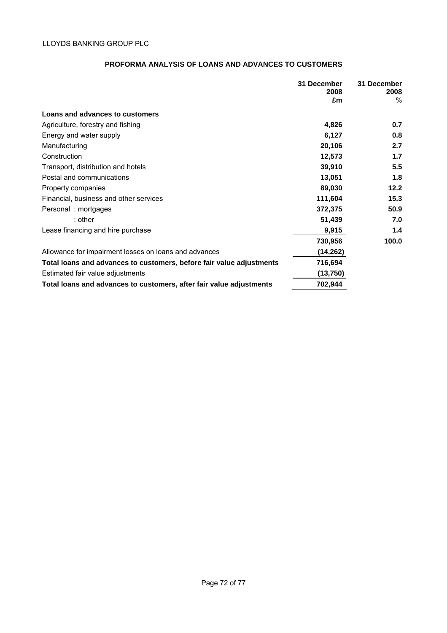# **PROFORMA ANALYSIS OF LOANS AND ADVANCES TO CUSTOMERS**

|                                                                      | 31 December | 31 December  |
|----------------------------------------------------------------------|-------------|--------------|
|                                                                      | 2008<br>£m  | 2008<br>$\%$ |
|                                                                      |             |              |
| Loans and advances to customers                                      |             |              |
| Agriculture, forestry and fishing                                    | 4,826       | 0.7          |
| Energy and water supply                                              | 6,127       | 0.8          |
| Manufacturing                                                        | 20,106      | 2.7          |
| Construction                                                         | 12,573      | $1.7$        |
| Transport, distribution and hotels                                   | 39,910      | 5.5          |
| Postal and communications                                            | 13,051      | 1.8          |
| Property companies                                                   | 89,030      | 12.2         |
| Financial, business and other services                               | 111,604     | 15.3         |
| Personal: mortgages                                                  | 372,375     | 50.9         |
| $:$ other                                                            | 51,439      | 7.0          |
| Lease financing and hire purchase                                    | 9,915       | 1.4          |
|                                                                      | 730,956     | 100.0        |
| Allowance for impairment losses on loans and advances                | (14, 262)   |              |
| Total loans and advances to customers, before fair value adjustments | 716,694     |              |
| Estimated fair value adjustments                                     | (13,750)    |              |
| Total loans and advances to customers, after fair value adjustments  | 702,944     |              |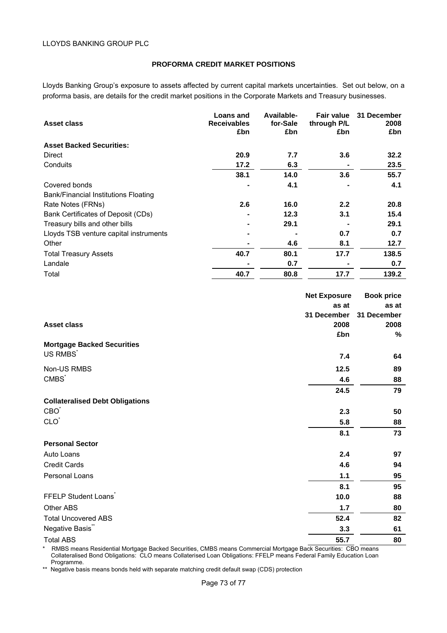### **PROFORMA CREDIT MARKET POSITIONS**

Lloyds Banking Group's exposure to assets affected by current capital markets uncertainties. Set out below, on a proforma basis, are details for the credit market positions in the Corporate Markets and Treasury businesses.

| Asset class                                 | <b>Loans and</b><br><b>Receivables</b><br>£bn | Available-<br>for-Sale<br>£bn | <b>Fair value</b><br>through P/L<br>£bn | 31 December<br>2008<br>£bn |
|---------------------------------------------|-----------------------------------------------|-------------------------------|-----------------------------------------|----------------------------|
| <b>Asset Backed Securities:</b>             |                                               |                               |                                         |                            |
| Direct                                      | 20.9                                          | 7.7                           | 3.6                                     | 32.2                       |
| Conduits                                    | 17.2                                          | 6.3                           |                                         | 23.5                       |
|                                             | 38.1                                          | 14.0                          | 3.6                                     | 55.7                       |
| Covered bonds                               |                                               | 4.1                           |                                         | 4.1                        |
| <b>Bank/Financial Institutions Floating</b> |                                               |                               |                                         |                            |
| Rate Notes (FRNs)                           | 2.6                                           | 16.0                          | 2.2                                     | 20.8                       |
| Bank Certificates of Deposit (CDs)          | ۰                                             | 12.3                          | 3.1                                     | 15.4                       |
| Treasury bills and other bills              | ۰                                             | 29.1                          |                                         | 29.1                       |
| Lloyds TSB venture capital instruments      | ۰                                             |                               | 0.7                                     | 0.7                        |
| Other                                       |                                               | 4.6                           | 8.1                                     | 12.7                       |
| <b>Total Treasury Assets</b>                | 40.7                                          | 80.1                          | 17.7                                    | 138.5                      |
| Landale                                     |                                               | 0.7                           |                                         | 0.7                        |
| Total                                       | 40.7                                          | 80.8                          | 17.7                                    | 139.2                      |

|                                        | <b>Net Exposure</b> | <b>Book price</b> |
|----------------------------------------|---------------------|-------------------|
|                                        | as at               | as at             |
|                                        | 31 December         | 31 December       |
| <b>Asset class</b>                     | 2008                | 2008              |
|                                        | £bn                 | %                 |
| <b>Mortgage Backed Securities</b>      |                     |                   |
| US RMBS <sup>*</sup>                   | 7.4                 | 64                |
| Non-US RMBS                            | 12.5                | 89                |
| CMBS <sup>*</sup>                      | 4.6                 | 88                |
|                                        | 24.5                | 79                |
| <b>Collateralised Debt Obligations</b> |                     |                   |
| CBO <sup>*</sup>                       | 2.3                 | 50                |
| CLO <sup>*</sup>                       | 5.8                 | 88                |
|                                        | 8.1                 | 73                |
| <b>Personal Sector</b>                 |                     |                   |
| Auto Loans                             | 2.4                 | 97                |
| <b>Credit Cards</b>                    | 4.6                 | 94                |
| Personal Loans                         | 1.1                 | 95                |
|                                        | 8.1                 | 95                |
| FFELP Student Loans                    | 10.0                | 88                |
| <b>Other ABS</b>                       | 1.7                 | 80                |
| <b>Total Uncovered ABS</b>             | 52.4                | 82                |
| Negative Basis"                        | 3.3                 | 61                |
| <b>Total ABS</b>                       | 55.7                | 80                |

\* RMBS means Residential Mortgage Backed Securities, CMBS means Commercial Mortgage Back Securities: CBO means Collateralised Bond Obligations: CLO means Collaterised Loan Obligations: FFELP means Federal Family Education Loan Programme.

\*\* Negative basis means bonds held with separate matching credit default swap (CDS) protection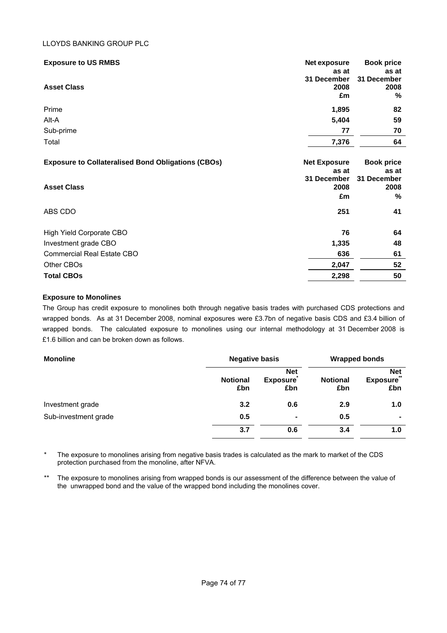#### LLOYDS BANKING GROUP PLC

| <b>Exposure to US RMBS</b>                                | Net exposure<br>as at     | <b>Book price</b><br>as at |
|-----------------------------------------------------------|---------------------------|----------------------------|
| <b>Asset Class</b>                                        | 31 December<br>2008<br>£m | 31 December<br>2008<br>℅   |
| Prime                                                     | 1,895                     | 82                         |
| Alt-A                                                     | 5,404                     | 59                         |
| Sub-prime                                                 | 77                        | 70                         |
| Total                                                     | 7,376                     | 64                         |
|                                                           |                           |                            |
| <b>Exposure to Collateralised Bond Obligations (CBOs)</b> | <b>Net Exposure</b>       | <b>Book price</b>          |
|                                                           | as at                     | as at                      |
| <b>Asset Class</b>                                        | 31 December<br>2008       | 31 December<br>2008        |
|                                                           | £m                        | ℅                          |
| ABS CDO                                                   | 251                       | 41                         |
| High Yield Corporate CBO                                  | 76                        | 64                         |
| Investment grade CBO                                      | 1,335                     | 48                         |
| <b>Commercial Real Estate CBO</b>                         | 636                       | 61                         |
| Other CBOs                                                | 2,047                     | 52                         |
| <b>Total CBOs</b>                                         | 2,298                     | 50                         |

### **Exposure to Monolines**

The Group has credit exposure to monolines both through negative basis trades with purchased CDS protections and wrapped bonds. As at 31 December 2008, nominal exposures were £3.7bn of negative basis CDS and £3.4 billion of wrapped bonds. The calculated exposure to monolines using our internal methodology at 31 December 2008 is £1.6 billion and can be broken down as follows.

| <b>Monoline</b>      | <b>Negative basis</b>  | <b>Wrapped bonds</b>                 |                        |                                      |  |
|----------------------|------------------------|--------------------------------------|------------------------|--------------------------------------|--|
|                      | <b>Notional</b><br>£bn | <b>Net</b><br><b>Exposure</b><br>£bn | <b>Notional</b><br>£bn | <b>Net</b><br><b>Exposure</b><br>£bn |  |
| Investment grade     | 3.2                    | 0.6                                  | 2.9                    | 1.0                                  |  |
| Sub-investment grade | 0.5                    | ٠                                    | 0.5                    | ۰                                    |  |
|                      | 3.7                    | 0.6                                  | 3.4                    | 1.0                                  |  |

\* The exposure to monolines arising from negative basis trades is calculated as the mark to market of the CDS protection purchased from the monoline, after NFVA.

\*\* The exposure to monolines arising from wrapped bonds is our assessment of the difference between the value of the unwrapped bond and the value of the wrapped bond including the monolines cover.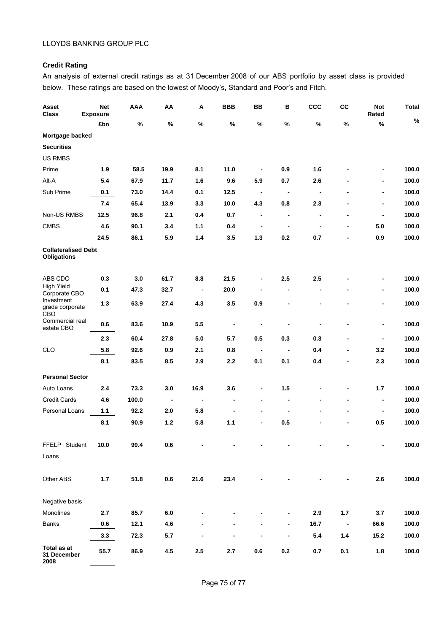# **Credit Rating**

An analysis of external credit ratings as at 31 December 2008 of our ABS portfolio by asset class is provided below. These ratings are based on the lowest of Moody's, Standard and Poor's and Fitch.

| Asset<br><b>Class</b>                            | <b>Net</b><br><b>Exposure</b> | <b>AAA</b> | ΑА                       | Α                        | <b>BBB</b>                   | BB                           | В                            | <b>CCC</b>                   | cc                           | <b>Not</b><br>Rated      | <b>Total</b><br>$\%$ |
|--------------------------------------------------|-------------------------------|------------|--------------------------|--------------------------|------------------------------|------------------------------|------------------------------|------------------------------|------------------------------|--------------------------|----------------------|
|                                                  | £bn                           | %          | %                        | $\%$                     | %                            | %                            | %                            | $\%$                         | %                            | $\%$                     |                      |
| Mortgage backed                                  |                               |            |                          |                          |                              |                              |                              |                              |                              |                          |                      |
| <b>Securities</b>                                |                               |            |                          |                          |                              |                              |                              |                              |                              |                          |                      |
| <b>US RMBS</b>                                   |                               |            |                          |                          |                              |                              |                              |                              |                              |                          |                      |
| Prime                                            | 1.9                           | 58.5       | 19.9                     | 8.1                      | 11.0                         | $\qquad \qquad \blacksquare$ | 0.9                          | 1.6                          |                              | -                        | 100.0                |
| Alt-A                                            | 5.4                           | 67.9       | 11.7                     | 1.6                      | 9.6                          | 5.9                          | 0.7                          | 2.6                          |                              | -                        | 100.0                |
| Sub Prime                                        | 0.1                           | 73.0       | 14.4                     | 0.1                      | 12.5                         | $\overline{\phantom{a}}$     | $\blacksquare$               | $\overline{\phantom{a}}$     | $\qquad \qquad \blacksquare$ | -                        | 100.0                |
|                                                  | 7.4                           | 65.4       | 13.9                     | 3.3                      | 10.0                         | 4.3                          | 0.8                          | 2.3                          | $\overline{\phantom{a}}$     | -                        | 100.0                |
| Non-US RMBS                                      | 12.5                          | 96.8       | 2.1                      | 0.4                      | 0.7                          | $\blacksquare$               | $\overline{\phantom{a}}$     | $\blacksquare$               | $\blacksquare$               | $\blacksquare$           | 100.0                |
| <b>CMBS</b>                                      | 4.6                           | 90.1       | 3.4                      | $1.1$                    | 0.4                          | $\qquad \qquad \blacksquare$ | $\blacksquare$               | $\blacksquare$               | $\blacksquare$               | 5.0                      | 100.0                |
|                                                  | 24.5                          | 86.1       | 5.9                      | 1.4                      | 3.5                          | $1.3$                        | 0.2                          | 0.7                          | $\blacksquare$               | 0.9                      | 100.0                |
| <b>Collateralised Debt</b><br><b>Obligations</b> |                               |            |                          |                          |                              |                              |                              |                              |                              |                          |                      |
| ABS CDO                                          | 0.3                           | 3.0        | 61.7                     | 8.8                      | 21.5                         | $\qquad \qquad \blacksquare$ | 2.5                          | 2.5                          |                              | -                        | 100.0                |
| <b>High Yield</b><br>Corporate CBO               | 0.1                           | 47.3       | 32.7                     | $\overline{\phantom{a}}$ | 20.0                         | $\overline{\phantom{a}}$     | $\overline{\phantom{a}}$     | $\blacksquare$               | $\overline{\phantom{a}}$     | $\overline{a}$           | 100.0                |
| Investment<br>grade corporate<br>CBO             | 1.3                           | 63.9       | 27.4                     | 4.3                      | 3.5                          | 0.9                          | $\blacksquare$               | $\blacksquare$               |                              | $\overline{\phantom{0}}$ | 100.0                |
| Commercial real<br>estate CBO                    | 0.6                           | 83.6       | 10.9                     | 5.5                      | $\qquad \qquad \blacksquare$ | $\blacksquare$               | ٠                            | $\blacksquare$               | ٠                            | -                        | 100.0                |
|                                                  | 2.3                           | 60.4       | 27.8                     | 5.0                      | 5.7                          | 0.5                          | 0.3                          | 0.3                          | $\blacksquare$               | $\overline{\phantom{a}}$ | 100.0                |
| <b>CLO</b>                                       | 5.8                           | 92.6       | 0.9                      | 2.1                      | 0.8                          | $\blacksquare$               | $\overline{\phantom{a}}$     | 0.4                          | $\blacksquare$               | 3.2                      | 100.0                |
|                                                  | 8.1                           | 83.5       | 8.5                      | 2.9                      | 2.2                          | 0.1                          | 0.1                          | 0.4                          | $\blacksquare$               | 2.3                      | 100.0                |
| <b>Personal Sector</b>                           |                               |            |                          |                          |                              |                              |                              |                              |                              |                          |                      |
| Auto Loans                                       | 2.4                           | 73.3       | 3.0                      | 16.9                     | 3.6                          | $\qquad \qquad \blacksquare$ | 1.5                          | $\qquad \qquad \blacksquare$ | $\blacksquare$               | 1.7                      | 100.0                |
| <b>Credit Cards</b>                              | 4.6                           | 100.0      | $\overline{\phantom{a}}$ | $\blacksquare$           | $\qquad \qquad \blacksquare$ | $\blacksquare$               | $\blacksquare$               | $\blacksquare$               | $\blacksquare$               | $\overline{\phantom{a}}$ | 100.0                |
| Personal Loans                                   | 1.1                           | 92.2       | 2.0                      | 5.8                      | $\blacksquare$               | $\blacksquare$               | $\blacksquare$               | $\blacksquare$               | $\blacksquare$               | $\blacksquare$           | 100.0                |
|                                                  | 8.1                           | 90.9       | $1.2$                    | 5.8                      | 1.1                          | $\blacksquare$               | 0.5                          |                              |                              | 0.5                      | 100.0                |
| FFELP Student<br>Loans                           | 10.0                          | 99.4       | $0.6\,$                  |                          |                              |                              |                              |                              |                              | -                        | 100.0                |
| Other ABS                                        | $1.7$                         | 51.8       | $0.6\,$                  | 21.6                     | 23.4                         |                              |                              |                              |                              | 2.6                      | 100.0                |
| Negative basis                                   |                               |            |                          |                          |                              |                              |                              |                              |                              |                          |                      |
| Monolines                                        | 2.7                           | 85.7       | $6.0\,$                  |                          |                              |                              | $\qquad \qquad \blacksquare$ | 2.9                          | $1.7$                        | 3.7                      | 100.0                |
| <b>Banks</b>                                     | $0.6\,$                       | 12.1       | 4.6                      |                          |                              |                              | $\overline{\phantom{a}}$     | 16.7                         | $\overline{\phantom{a}}$     | 66.6                     | 100.0                |
|                                                  | 3.3                           | 72.3       | $5.7\,$                  |                          |                              |                              | $\qquad \qquad \blacksquare$ | 5.4                          | $1.4$                        | 15.2                     | 100.0                |
| Total as at<br>31 December                       | 55.7                          | 86.9       | 4.5                      | $2.5\,$                  | 2.7                          | $0.6\,$                      | $0.2\,$                      | $0.7\,$                      | 0.1                          | 1.8                      | 100.0                |

**2008**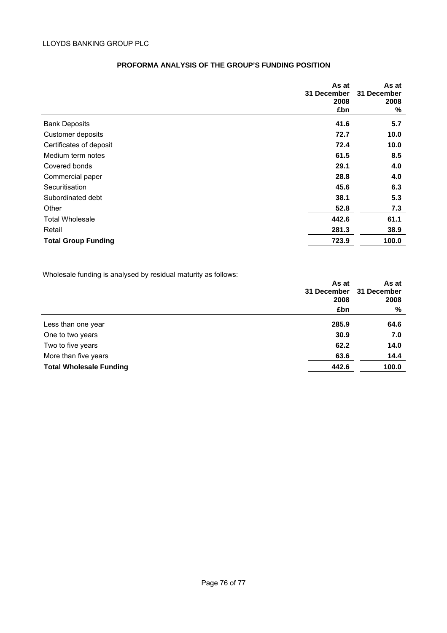|                            | As at       | As at       |
|----------------------------|-------------|-------------|
|                            | 31 December | 31 December |
|                            | 2008        | 2008        |
|                            | £bn         | %           |
| <b>Bank Deposits</b>       | 41.6        | 5.7         |
| Customer deposits          | 72.7        | 10.0        |
| Certificates of deposit    | 72.4        | 10.0        |
| Medium term notes          | 61.5        | 8.5         |
| Covered bonds              | 29.1        | 4.0         |
| Commercial paper           | 28.8        | 4.0         |
| Securitisation             | 45.6        | 6.3         |
| Subordinated debt          | 38.1        | 5.3         |
| Other                      | 52.8        | 7.3         |
| <b>Total Wholesale</b>     | 442.6       | 61.1        |
| Retail                     | 281.3       | 38.9        |
| <b>Total Group Funding</b> | 723.9       | 100.0       |

### **PROFORMA ANALYSIS OF THE GROUP'S FUNDING POSITION**

Wholesale funding is analysed by residual maturity as follows:

|                                | As at       | As at       |
|--------------------------------|-------------|-------------|
|                                | 31 December | 31 December |
|                                | 2008        | 2008        |
|                                | £bn         | %           |
| Less than one year             | 285.9       | 64.6        |
| One to two years               | 30.9        | 7.0         |
| Two to five years              | 62.2        | 14.0        |
| More than five years           | 63.6        | 14.4        |
| <b>Total Wholesale Funding</b> | 442.6       | 100.0       |
|                                |             |             |